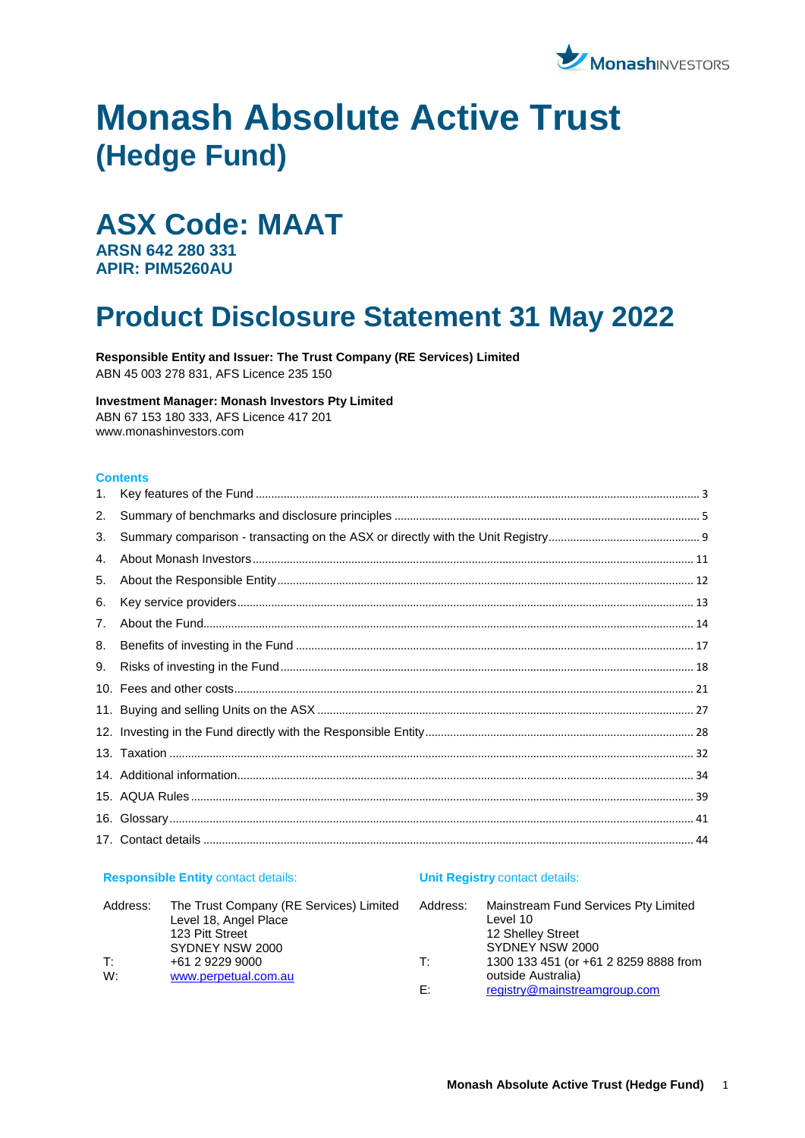

# **Monash Absolute Active Trust (Hedge Fund)**

# **ASX Code: MAAT**

**ARSN 642 280 331 APIR: PIM5260AU**

# **Product Disclosure Statement 31 May 2022**

**Responsible Entity and Issuer: The Trust Company (RE Services) Limited** ABN 45 003 278 831, AFS Licence 235 150

# **Investment Manager: Monash Investors Pty Limited**

ABN 67 153 180 333, AFS Licence 417 201 www.monashinvestors.com

# **Contents**

| 1. |  |
|----|--|
| 2. |  |
| 3. |  |
| 4. |  |
| 5. |  |
| 6. |  |
| 7. |  |
| 8. |  |
| 9. |  |
|    |  |
|    |  |
|    |  |
|    |  |
|    |  |
|    |  |
|    |  |
|    |  |
|    |  |

### **Responsible Entity** contact details:

# **Unit Registry** contact details:

| Address: | The Trust Company (RE Services) Limited | Address: | Mainstream Fund Services Pty Limited  |
|----------|-----------------------------------------|----------|---------------------------------------|
|          | Level 18, Angel Place                   |          | Level 10                              |
|          | 123 Pitt Street                         |          | 12 Shelley Street                     |
|          | SYDNEY NSW 2000                         |          | SYDNEY NSW 2000                       |
| T:       | +61 2 9229 9000                         | T:       | 1300 133 451 (or +61 2 8259 8888 from |
| W:       | www.perpetual.com.au                    |          | outside Australia)                    |
|          |                                         | E:       | registry@mainstreamgroup.com          |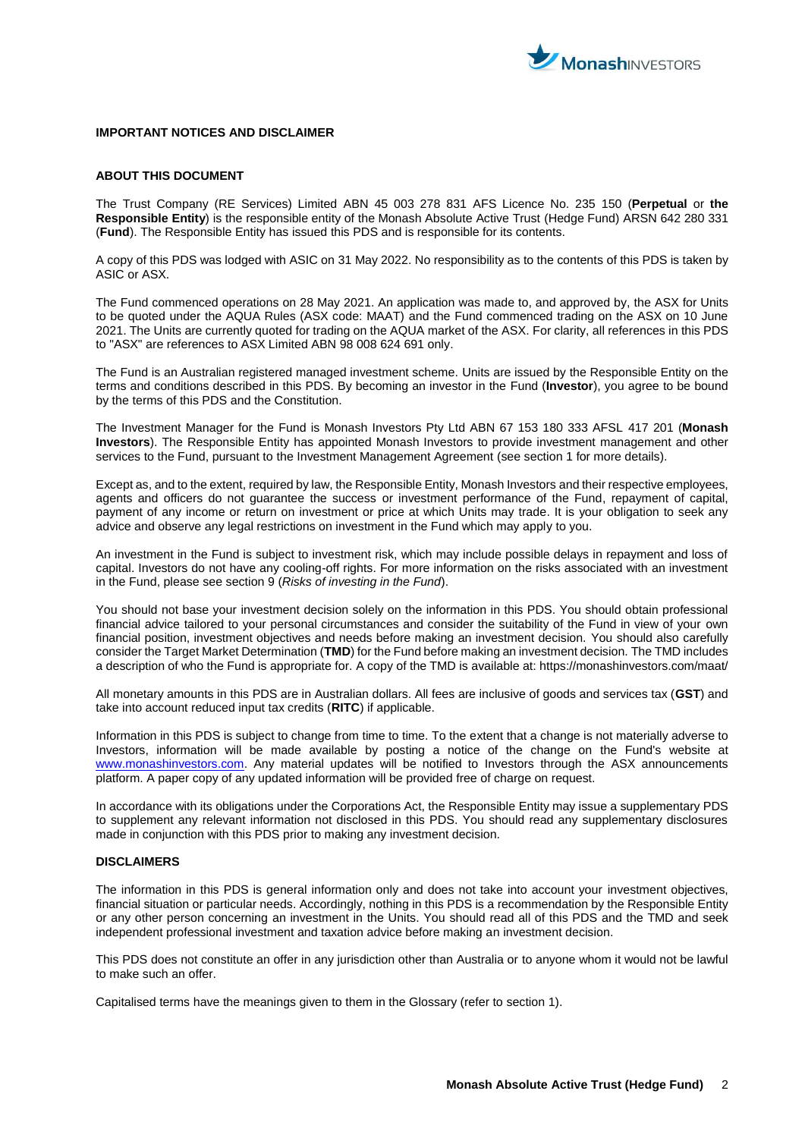

#### **IMPORTANT NOTICES AND DISCLAIMER**

# **ABOUT THIS DOCUMENT**

The Trust Company (RE Services) Limited ABN 45 003 278 831 AFS Licence No. 235 150 (**Perpetual** or **the Responsible Entity**) is the responsible entity of the Monash Absolute Active Trust (Hedge Fund) ARSN 642 280 331 (**Fund**). The Responsible Entity has issued this PDS and is responsible for its contents.

A copy of this PDS was lodged with ASIC on 31 May 2022. No responsibility as to the contents of this PDS is taken by ASIC or ASX.

The Fund commenced operations on 28 May 2021. An application was made to, and approved by, the ASX for Units to be quoted under the AQUA Rules (ASX code: MAAT) and the Fund commenced trading on the ASX on 10 June 2021. The Units are currently quoted for trading on the AQUA market of the ASX. For clarity, all references in this PDS to "ASX" are references to ASX Limited ABN 98 008 624 691 only.

The Fund is an Australian registered managed investment scheme. Units are issued by the Responsible Entity on the terms and conditions described in this PDS. By becoming an investor in the Fund (**Investor**), you agree to be bound by the terms of this PDS and the Constitution.

The Investment Manager for the Fund is Monash Investors Pty Ltd ABN 67 153 180 333 AFSL 417 201 (**Monash Investors**). The Responsible Entity has appointed Monash Investors to provide investment management and other services to the Fund, pursuant to the Investment Management Agreement (see sectio[n 1](#page-33-1) for more details).

Except as, and to the extent, required by law, the Responsible Entity, Monash Investors and their respective employees, agents and officers do not guarantee the success or investment performance of the Fund, repayment of capital, payment of any income or return on investment or price at which Units may trade. It is your obligation to seek any advice and observe any legal restrictions on investment in the Fund which may apply to you.

An investment in the Fund is subject to investment risk, which may include possible delays in repayment and loss of capital. Investors do not have any cooling-off rights. For more information on the risks associated with an investment in the Fund, please see section 9 (*Risks of investing in the Fund*).

You should not base your investment decision solely on the information in this PDS. You should obtain professional financial advice tailored to your personal circumstances and consider the suitability of the Fund in view of your own financial position, investment objectives and needs before making an investment decision. You should also carefully consider the Target Market Determination (**TMD**) for the Fund before making an investment decision. The TMD includes a description of who the Fund is appropriate for. A copy of the TMD is available at: https://monashinvestors.com/maat/

All monetary amounts in this PDS are in Australian dollars. All fees are inclusive of goods and services tax (**GST**) and take into account reduced input tax credits (**RITC**) if applicable.

Information in this PDS is subject to change from time to time. To the extent that a change is not materially adverse to Investors, information will be made available by posting a notice of the change on the Fund's website at [www.monashinvestors.com.](http://www.monashinvestors.com/) Any material updates will be notified to Investors through the ASX announcements platform. A paper copy of any updated information will be provided free of charge on request.

In accordance with its obligations under the Corporations Act, the Responsible Entity may issue a supplementary PDS to supplement any relevant information not disclosed in this PDS. You should read any supplementary disclosures made in conjunction with this PDS prior to making any investment decision.

# **DISCLAIMERS**

The information in this PDS is general information only and does not take into account your investment objectives, financial situation or particular needs. Accordingly, nothing in this PDS is a recommendation by the Responsible Entity or any other person concerning an investment in the Units. You should read all of this PDS and the TMD and seek independent professional investment and taxation advice before making an investment decision.

This PDS does not constitute an offer in any jurisdiction other than Australia or to anyone whom it would not be lawful to make such an offer.

Capitalised terms have the meanings given to them in the Glossary (refer to sectio[n 1\)](#page-39-0).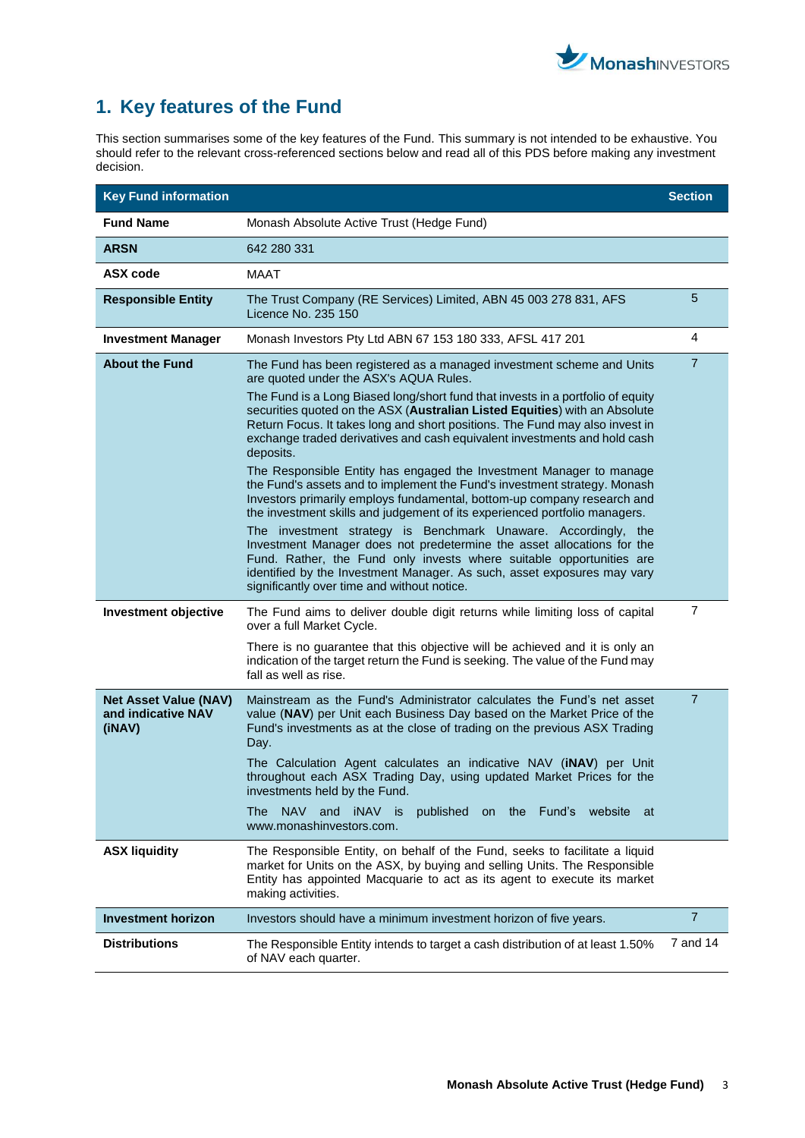

# <span id="page-2-0"></span>**1. Key features of the Fund**

This section summarises some of the key features of the Fund. This summary is not intended to be exhaustive. You should refer to the relevant cross-referenced sections below and read all of this PDS before making any investment decision.

| <b>Key Fund information</b>                                  |                                                                                                                                                                                                                                                                                                                                                                                                                                                                                                                                                                                                                                                                                                                                                                                                                                                                                                                                                                                                                                                                                                                       | <b>Section</b> |
|--------------------------------------------------------------|-----------------------------------------------------------------------------------------------------------------------------------------------------------------------------------------------------------------------------------------------------------------------------------------------------------------------------------------------------------------------------------------------------------------------------------------------------------------------------------------------------------------------------------------------------------------------------------------------------------------------------------------------------------------------------------------------------------------------------------------------------------------------------------------------------------------------------------------------------------------------------------------------------------------------------------------------------------------------------------------------------------------------------------------------------------------------------------------------------------------------|----------------|
| <b>Fund Name</b>                                             | Monash Absolute Active Trust (Hedge Fund)                                                                                                                                                                                                                                                                                                                                                                                                                                                                                                                                                                                                                                                                                                                                                                                                                                                                                                                                                                                                                                                                             |                |
| <b>ARSN</b>                                                  | 642 280 331                                                                                                                                                                                                                                                                                                                                                                                                                                                                                                                                                                                                                                                                                                                                                                                                                                                                                                                                                                                                                                                                                                           |                |
| <b>ASX</b> code                                              | <b>MAAT</b>                                                                                                                                                                                                                                                                                                                                                                                                                                                                                                                                                                                                                                                                                                                                                                                                                                                                                                                                                                                                                                                                                                           |                |
| <b>Responsible Entity</b>                                    | The Trust Company (RE Services) Limited, ABN 45 003 278 831, AFS<br>Licence No. 235 150                                                                                                                                                                                                                                                                                                                                                                                                                                                                                                                                                                                                                                                                                                                                                                                                                                                                                                                                                                                                                               | $\overline{5}$ |
| <b>Investment Manager</b>                                    | Monash Investors Pty Ltd ABN 67 153 180 333, AFSL 417 201                                                                                                                                                                                                                                                                                                                                                                                                                                                                                                                                                                                                                                                                                                                                                                                                                                                                                                                                                                                                                                                             | $\overline{4}$ |
| <b>About the Fund</b>                                        | The Fund has been registered as a managed investment scheme and Units<br>are quoted under the ASX's AQUA Rules.<br>The Fund is a Long Biased long/short fund that invests in a portfolio of equity<br>securities quoted on the ASX (Australian Listed Equities) with an Absolute<br>Return Focus. It takes long and short positions. The Fund may also invest in<br>exchange traded derivatives and cash equivalent investments and hold cash<br>deposits.<br>The Responsible Entity has engaged the Investment Manager to manage<br>the Fund's assets and to implement the Fund's investment strategy. Monash<br>Investors primarily employs fundamental, bottom-up company research and<br>the investment skills and judgement of its experienced portfolio managers.<br>The investment strategy is Benchmark Unaware. Accordingly, the<br>Investment Manager does not predetermine the asset allocations for the<br>Fund. Rather, the Fund only invests where suitable opportunities are<br>identified by the Investment Manager. As such, asset exposures may vary<br>significantly over time and without notice. | $\overline{7}$ |
| <b>Investment objective</b>                                  | The Fund aims to deliver double digit returns while limiting loss of capital<br>over a full Market Cycle.<br>There is no guarantee that this objective will be achieved and it is only an<br>indication of the target return the Fund is seeking. The value of the Fund may<br>fall as well as rise.                                                                                                                                                                                                                                                                                                                                                                                                                                                                                                                                                                                                                                                                                                                                                                                                                  | 7              |
| <b>Net Asset Value (NAV)</b><br>and indicative NAV<br>(iNAV) | Mainstream as the Fund's Administrator calculates the Fund's net asset<br>value (NAV) per Unit each Business Day based on the Market Price of the<br>Fund's investments as at the close of trading on the previous ASX Trading<br>Day.<br>The Calculation Agent calculates an indicative NAV (iNAV) per Unit<br>throughout each ASX Trading Day, using updated Market Prices for the<br>investments held by the Fund.<br>The NAV<br>on the Fund's website<br>and <b>iNAV</b><br>is is<br>published<br>at<br>www.monashinvestors.com.                                                                                                                                                                                                                                                                                                                                                                                                                                                                                                                                                                                  | $\overline{7}$ |
| <b>ASX liquidity</b>                                         | The Responsible Entity, on behalf of the Fund, seeks to facilitate a liquid<br>market for Units on the ASX, by buying and selling Units. The Responsible<br>Entity has appointed Macquarie to act as its agent to execute its market<br>making activities.                                                                                                                                                                                                                                                                                                                                                                                                                                                                                                                                                                                                                                                                                                                                                                                                                                                            |                |
| <b>Investment horizon</b>                                    | Investors should have a minimum investment horizon of five years.                                                                                                                                                                                                                                                                                                                                                                                                                                                                                                                                                                                                                                                                                                                                                                                                                                                                                                                                                                                                                                                     | $\overline{7}$ |
| <b>Distributions</b>                                         | The Responsible Entity intends to target a cash distribution of at least 1.50%<br>of NAV each quarter.                                                                                                                                                                                                                                                                                                                                                                                                                                                                                                                                                                                                                                                                                                                                                                                                                                                                                                                                                                                                                | 7 and 14       |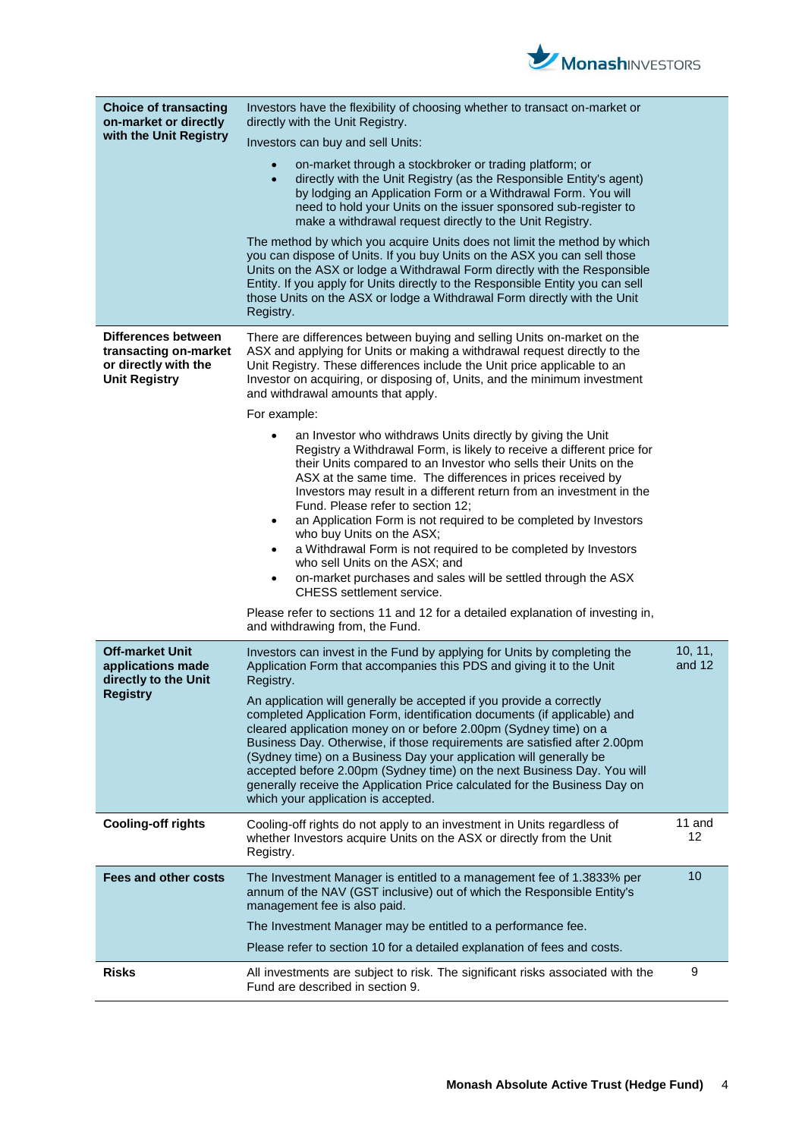

| <b>Choice of transacting</b><br>on-market or directly                                        | Investors have the flexibility of choosing whether to transact on-market or<br>directly with the Unit Registry.                                                                                                                                                                                                                                                                                                                                                                                                                                                                                                                                                                                                                              |                   |
|----------------------------------------------------------------------------------------------|----------------------------------------------------------------------------------------------------------------------------------------------------------------------------------------------------------------------------------------------------------------------------------------------------------------------------------------------------------------------------------------------------------------------------------------------------------------------------------------------------------------------------------------------------------------------------------------------------------------------------------------------------------------------------------------------------------------------------------------------|-------------------|
| with the Unit Registry                                                                       | Investors can buy and sell Units:                                                                                                                                                                                                                                                                                                                                                                                                                                                                                                                                                                                                                                                                                                            |                   |
|                                                                                              | on-market through a stockbroker or trading platform; or<br>directly with the Unit Registry (as the Responsible Entity's agent)<br>$\bullet$<br>by lodging an Application Form or a Withdrawal Form. You will<br>need to hold your Units on the issuer sponsored sub-register to<br>make a withdrawal request directly to the Unit Registry.                                                                                                                                                                                                                                                                                                                                                                                                  |                   |
|                                                                                              | The method by which you acquire Units does not limit the method by which<br>you can dispose of Units. If you buy Units on the ASX you can sell those<br>Units on the ASX or lodge a Withdrawal Form directly with the Responsible<br>Entity. If you apply for Units directly to the Responsible Entity you can sell<br>those Units on the ASX or lodge a Withdrawal Form directly with the Unit<br>Registry.                                                                                                                                                                                                                                                                                                                                 |                   |
| Differences between<br>transacting on-market<br>or directly with the<br><b>Unit Registry</b> | There are differences between buying and selling Units on-market on the<br>ASX and applying for Units or making a withdrawal request directly to the<br>Unit Registry. These differences include the Unit price applicable to an<br>Investor on acquiring, or disposing of, Units, and the minimum investment<br>and withdrawal amounts that apply.                                                                                                                                                                                                                                                                                                                                                                                          |                   |
|                                                                                              | For example:                                                                                                                                                                                                                                                                                                                                                                                                                                                                                                                                                                                                                                                                                                                                 |                   |
|                                                                                              | an Investor who withdraws Units directly by giving the Unit<br>$\bullet$<br>Registry a Withdrawal Form, is likely to receive a different price for<br>their Units compared to an Investor who sells their Units on the<br>ASX at the same time. The differences in prices received by<br>Investors may result in a different return from an investment in the<br>Fund. Please refer to section 12;<br>an Application Form is not required to be completed by Investors<br>$\bullet$<br>who buy Units on the ASX;<br>a Withdrawal Form is not required to be completed by Investors<br>$\bullet$<br>who sell Units on the ASX; and<br>on-market purchases and sales will be settled through the ASX<br>$\bullet$<br>CHESS settlement service. |                   |
|                                                                                              | Please refer to sections 11 and 12 for a detailed explanation of investing in,<br>and withdrawing from, the Fund.                                                                                                                                                                                                                                                                                                                                                                                                                                                                                                                                                                                                                            |                   |
| <b>Off-market Unit</b><br>applications made<br>directly to the Unit                          | Investors can invest in the Fund by applying for Units by completing the<br>Application Form that accompanies this PDS and giving it to the Unit<br>Registry.                                                                                                                                                                                                                                                                                                                                                                                                                                                                                                                                                                                | 10, 11,<br>and 12 |
| <b>Registry</b>                                                                              | An application will generally be accepted if you provide a correctly<br>completed Application Form, identification documents (if applicable) and<br>cleared application money on or before 2.00pm (Sydney time) on a<br>Business Day. Otherwise, if those requirements are satisfied after 2.00pm<br>(Sydney time) on a Business Day your application will generally be<br>accepted before 2.00pm (Sydney time) on the next Business Day. You will<br>generally receive the Application Price calculated for the Business Day on<br>which your application is accepted.                                                                                                                                                                      |                   |
| <b>Cooling-off rights</b>                                                                    | Cooling-off rights do not apply to an investment in Units regardless of<br>whether Investors acquire Units on the ASX or directly from the Unit<br>Registry.                                                                                                                                                                                                                                                                                                                                                                                                                                                                                                                                                                                 | 11 and<br>12      |
| <b>Fees and other costs</b>                                                                  | The Investment Manager is entitled to a management fee of 1.3833% per<br>annum of the NAV (GST inclusive) out of which the Responsible Entity's<br>management fee is also paid.                                                                                                                                                                                                                                                                                                                                                                                                                                                                                                                                                              | 10                |
|                                                                                              | The Investment Manager may be entitled to a performance fee.                                                                                                                                                                                                                                                                                                                                                                                                                                                                                                                                                                                                                                                                                 |                   |
|                                                                                              | Please refer to section 10 for a detailed explanation of fees and costs.                                                                                                                                                                                                                                                                                                                                                                                                                                                                                                                                                                                                                                                                     |                   |
| <b>Risks</b>                                                                                 | All investments are subject to risk. The significant risks associated with the<br>Fund are described in section 9.                                                                                                                                                                                                                                                                                                                                                                                                                                                                                                                                                                                                                           | 9                 |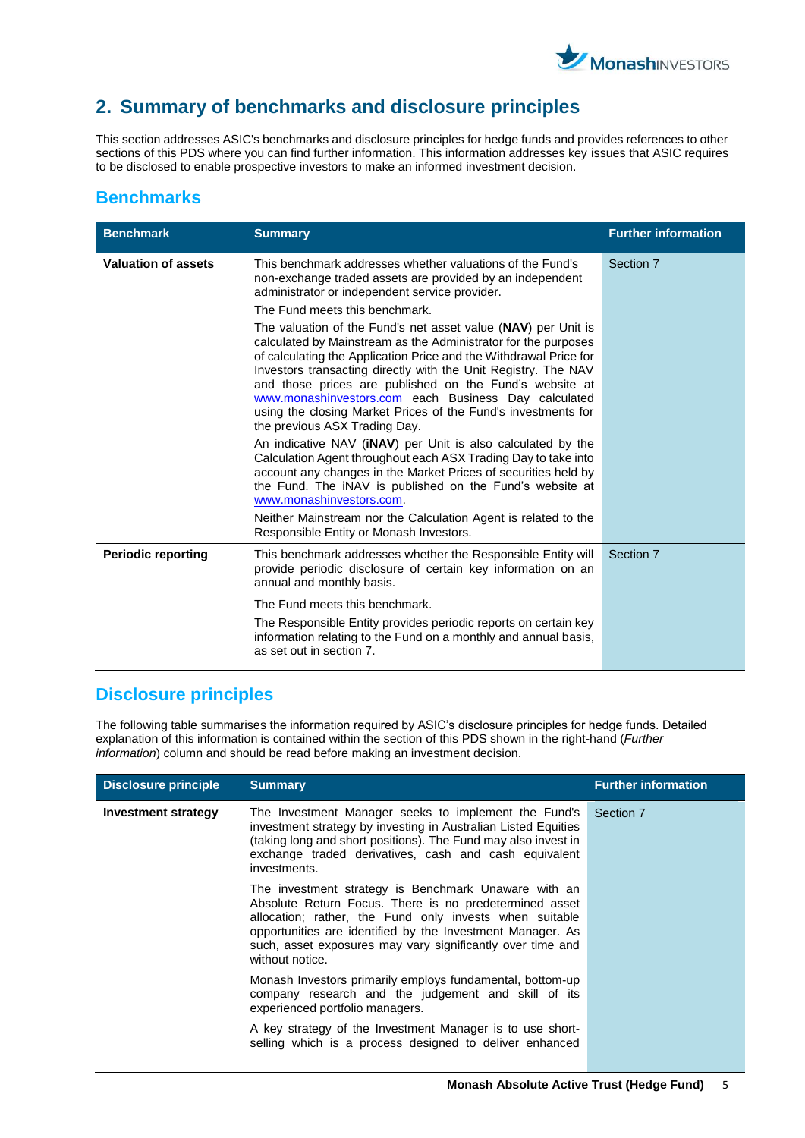

# <span id="page-4-0"></span>**2. Summary of benchmarks and disclosure principles**

This section addresses ASIC's benchmarks and disclosure principles for hedge funds and provides references to other sections of this PDS where you can find further information. This information addresses key issues that ASIC requires to be disclosed to enable prospective investors to make an informed investment decision.

# **Benchmarks**

| <b>Benchmark</b>           | <b>Summary</b>                                                                                                                                                                                                                                                                                                                                                                                                                                                                              | <b>Further information</b> |
|----------------------------|---------------------------------------------------------------------------------------------------------------------------------------------------------------------------------------------------------------------------------------------------------------------------------------------------------------------------------------------------------------------------------------------------------------------------------------------------------------------------------------------|----------------------------|
| <b>Valuation of assets</b> | This benchmark addresses whether valuations of the Fund's<br>non-exchange traded assets are provided by an independent<br>administrator or independent service provider.                                                                                                                                                                                                                                                                                                                    | Section 7                  |
|                            | The Fund meets this benchmark.                                                                                                                                                                                                                                                                                                                                                                                                                                                              |                            |
|                            | The valuation of the Fund's net asset value (NAV) per Unit is<br>calculated by Mainstream as the Administrator for the purposes<br>of calculating the Application Price and the Withdrawal Price for<br>Investors transacting directly with the Unit Registry. The NAV<br>and those prices are published on the Fund's website at<br>www.monashinvestors.com each Business Day calculated<br>using the closing Market Prices of the Fund's investments for<br>the previous ASX Trading Day. |                            |
|                            | An indicative NAV ( <b>iNAV</b> ) per Unit is also calculated by the<br>Calculation Agent throughout each ASX Trading Day to take into<br>account any changes in the Market Prices of securities held by<br>the Fund. The INAV is published on the Fund's website at<br>www.monashinvestors.com.                                                                                                                                                                                            |                            |
|                            | Neither Mainstream nor the Calculation Agent is related to the<br>Responsible Entity or Monash Investors.                                                                                                                                                                                                                                                                                                                                                                                   |                            |
| <b>Periodic reporting</b>  | This benchmark addresses whether the Responsible Entity will<br>provide periodic disclosure of certain key information on an<br>annual and monthly basis.                                                                                                                                                                                                                                                                                                                                   | Section 7                  |
|                            | The Fund meets this benchmark.                                                                                                                                                                                                                                                                                                                                                                                                                                                              |                            |
|                            | The Responsible Entity provides periodic reports on certain key<br>information relating to the Fund on a monthly and annual basis,<br>as set out in section 7.                                                                                                                                                                                                                                                                                                                              |                            |

# **Disclosure principles**

The following table summarises the information required by ASIC's disclosure principles for hedge funds. Detailed explanation of this information is contained within the section of this PDS shown in the right-hand (*Further information*) column and should be read before making an investment decision.

| <b>Disclosure principle</b> | <b>Summary</b>                                                                                                                                                                                                                                                                                                           | <b>Further information</b> |
|-----------------------------|--------------------------------------------------------------------------------------------------------------------------------------------------------------------------------------------------------------------------------------------------------------------------------------------------------------------------|----------------------------|
| Investment strategy         | The Investment Manager seeks to implement the Fund's<br>investment strategy by investing in Australian Listed Equities<br>(taking long and short positions). The Fund may also invest in<br>exchange traded derivatives, cash and cash equivalent<br>investments.                                                        | Section 7                  |
|                             | The investment strategy is Benchmark Unaware with an<br>Absolute Return Focus. There is no predetermined asset<br>allocation; rather, the Fund only invests when suitable<br>opportunities are identified by the Investment Manager. As<br>such, asset exposures may vary significantly over time and<br>without notice. |                            |
|                             | Monash Investors primarily employs fundamental, bottom-up<br>company research and the judgement and skill of its<br>experienced portfolio managers.                                                                                                                                                                      |                            |
|                             | A key strategy of the Investment Manager is to use short-<br>selling which is a process designed to deliver enhanced                                                                                                                                                                                                     |                            |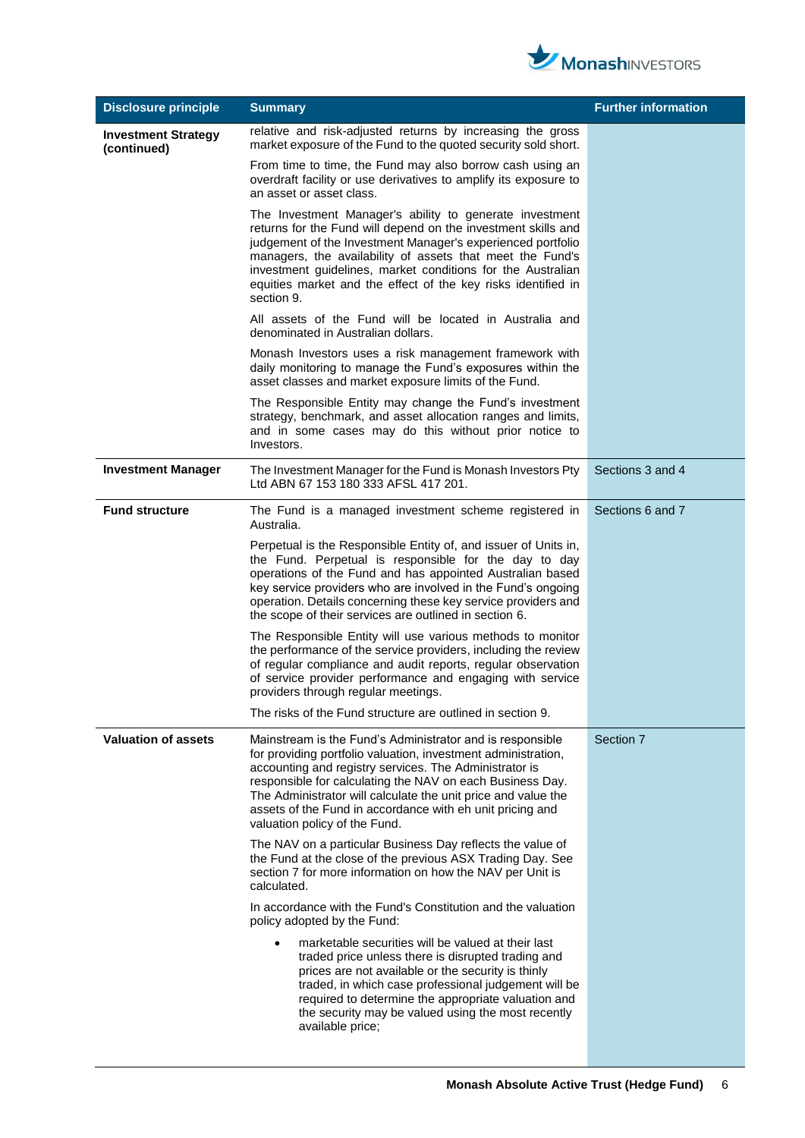

| <b>Disclosure principle</b>               | <b>Summary</b>                                                                                                                                                                                                                                                                                                                                                                                                   | <b>Further information</b> |
|-------------------------------------------|------------------------------------------------------------------------------------------------------------------------------------------------------------------------------------------------------------------------------------------------------------------------------------------------------------------------------------------------------------------------------------------------------------------|----------------------------|
| <b>Investment Strategy</b><br>(continued) | relative and risk-adjusted returns by increasing the gross<br>market exposure of the Fund to the quoted security sold short.                                                                                                                                                                                                                                                                                     |                            |
|                                           | From time to time, the Fund may also borrow cash using an<br>overdraft facility or use derivatives to amplify its exposure to<br>an asset or asset class.                                                                                                                                                                                                                                                        |                            |
|                                           | The Investment Manager's ability to generate investment<br>returns for the Fund will depend on the investment skills and<br>judgement of the Investment Manager's experienced portfolio<br>managers, the availability of assets that meet the Fund's<br>investment guidelines, market conditions for the Australian<br>equities market and the effect of the key risks identified in<br>section 9.               |                            |
|                                           | All assets of the Fund will be located in Australia and<br>denominated in Australian dollars.                                                                                                                                                                                                                                                                                                                    |                            |
|                                           | Monash Investors uses a risk management framework with<br>daily monitoring to manage the Fund's exposures within the<br>asset classes and market exposure limits of the Fund.                                                                                                                                                                                                                                    |                            |
|                                           | The Responsible Entity may change the Fund's investment<br>strategy, benchmark, and asset allocation ranges and limits,<br>and in some cases may do this without prior notice to<br>Investors.                                                                                                                                                                                                                   |                            |
| <b>Investment Manager</b>                 | The Investment Manager for the Fund is Monash Investors Pty<br>Ltd ABN 67 153 180 333 AFSL 417 201.                                                                                                                                                                                                                                                                                                              | Sections 3 and 4           |
| <b>Fund structure</b>                     | The Fund is a managed investment scheme registered in<br>Australia.                                                                                                                                                                                                                                                                                                                                              | Sections 6 and 7           |
|                                           | Perpetual is the Responsible Entity of, and issuer of Units in,<br>the Fund. Perpetual is responsible for the day to day<br>operations of the Fund and has appointed Australian based<br>key service providers who are involved in the Fund's ongoing<br>operation. Details concerning these key service providers and<br>the scope of their services are outlined in section 6.                                 |                            |
|                                           | The Responsible Entity will use various methods to monitor<br>the performance of the service providers, including the review<br>of regular compliance and audit reports, regular observation<br>of service provider performance and engaging with service<br>providers through regular meetings.                                                                                                                 |                            |
|                                           | The risks of the Fund structure are outlined in section 9.                                                                                                                                                                                                                                                                                                                                                       |                            |
| <b>Valuation of assets</b>                | Mainstream is the Fund's Administrator and is responsible<br>for providing portfolio valuation, investment administration,<br>accounting and registry services. The Administrator is<br>responsible for calculating the NAV on each Business Day.<br>The Administrator will calculate the unit price and value the<br>assets of the Fund in accordance with eh unit pricing and<br>valuation policy of the Fund. | Section 7                  |
|                                           | The NAV on a particular Business Day reflects the value of<br>the Fund at the close of the previous ASX Trading Day. See<br>section 7 for more information on how the NAV per Unit is<br>calculated.                                                                                                                                                                                                             |                            |
|                                           | In accordance with the Fund's Constitution and the valuation<br>policy adopted by the Fund:                                                                                                                                                                                                                                                                                                                      |                            |
|                                           | marketable securities will be valued at their last<br>traded price unless there is disrupted trading and<br>prices are not available or the security is thinly<br>traded, in which case professional judgement will be<br>required to determine the appropriate valuation and<br>the security may be valued using the most recently<br>available price;                                                          |                            |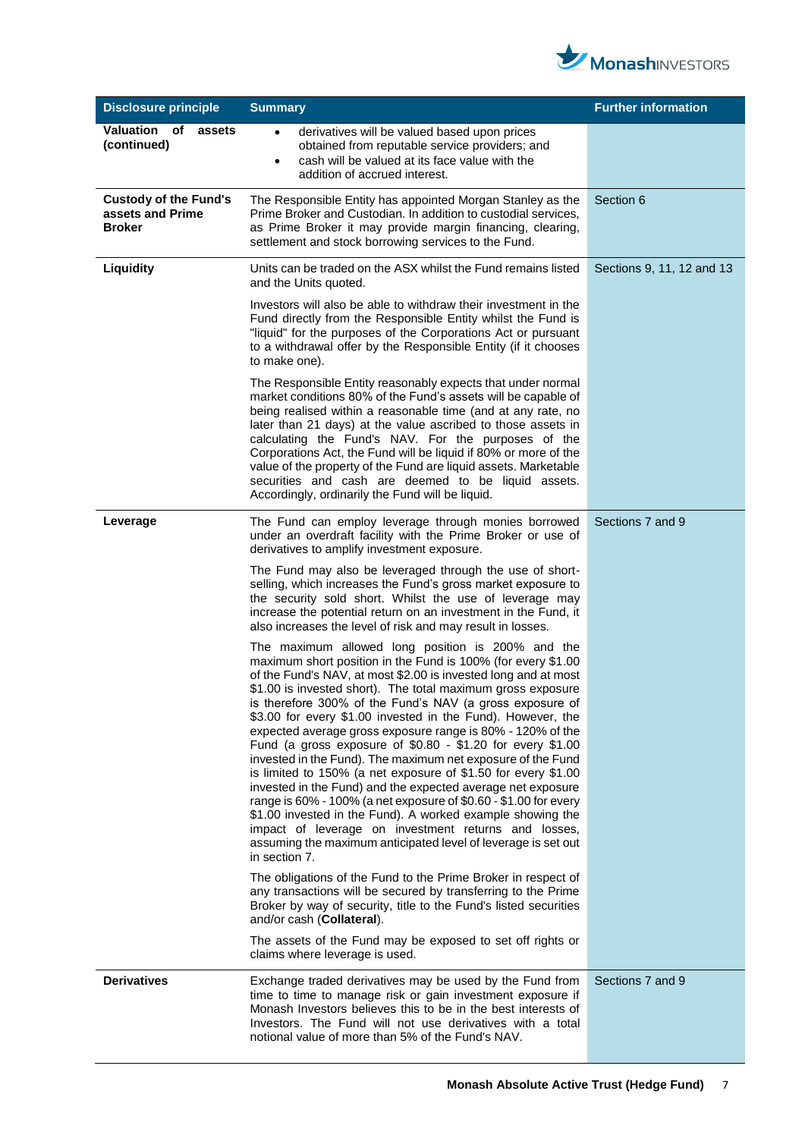

| <b>Disclosure principle</b>                                       | <b>Summary</b>                                                                                                                                                                                                                                                                                                                                                                                                                                                                                                                                                                                                                                                                                                                                                                                                                                                                                                                                                                       | <b>Further information</b> |
|-------------------------------------------------------------------|--------------------------------------------------------------------------------------------------------------------------------------------------------------------------------------------------------------------------------------------------------------------------------------------------------------------------------------------------------------------------------------------------------------------------------------------------------------------------------------------------------------------------------------------------------------------------------------------------------------------------------------------------------------------------------------------------------------------------------------------------------------------------------------------------------------------------------------------------------------------------------------------------------------------------------------------------------------------------------------|----------------------------|
| Valuation<br>оf<br>assets<br>(continued)                          | derivatives will be valued based upon prices<br>$\bullet$<br>obtained from reputable service providers; and<br>cash will be valued at its face value with the<br>$\bullet$<br>addition of accrued interest.                                                                                                                                                                                                                                                                                                                                                                                                                                                                                                                                                                                                                                                                                                                                                                          |                            |
| <b>Custody of the Fund's</b><br>assets and Prime<br><b>Broker</b> | The Responsible Entity has appointed Morgan Stanley as the<br>Prime Broker and Custodian. In addition to custodial services,<br>as Prime Broker it may provide margin financing, clearing,<br>settlement and stock borrowing services to the Fund.                                                                                                                                                                                                                                                                                                                                                                                                                                                                                                                                                                                                                                                                                                                                   | Section 6                  |
| <b>Liquidity</b>                                                  | Units can be traded on the ASX whilst the Fund remains listed<br>and the Units quoted.                                                                                                                                                                                                                                                                                                                                                                                                                                                                                                                                                                                                                                                                                                                                                                                                                                                                                               | Sections 9, 11, 12 and 13  |
|                                                                   | Investors will also be able to withdraw their investment in the<br>Fund directly from the Responsible Entity whilst the Fund is<br>"liquid" for the purposes of the Corporations Act or pursuant<br>to a withdrawal offer by the Responsible Entity (if it chooses<br>to make one).                                                                                                                                                                                                                                                                                                                                                                                                                                                                                                                                                                                                                                                                                                  |                            |
|                                                                   | The Responsible Entity reasonably expects that under normal<br>market conditions 80% of the Fund's assets will be capable of<br>being realised within a reasonable time (and at any rate, no<br>later than 21 days) at the value ascribed to those assets in<br>calculating the Fund's NAV. For the purposes of the<br>Corporations Act, the Fund will be liquid if 80% or more of the<br>value of the property of the Fund are liquid assets. Marketable<br>securities and cash are deemed to be liquid assets.<br>Accordingly, ordinarily the Fund will be liquid.                                                                                                                                                                                                                                                                                                                                                                                                                 |                            |
| Leverage                                                          | The Fund can employ leverage through monies borrowed<br>under an overdraft facility with the Prime Broker or use of<br>derivatives to amplify investment exposure.                                                                                                                                                                                                                                                                                                                                                                                                                                                                                                                                                                                                                                                                                                                                                                                                                   | Sections 7 and 9           |
|                                                                   | The Fund may also be leveraged through the use of short-<br>selling, which increases the Fund's gross market exposure to<br>the security sold short. Whilst the use of leverage may<br>increase the potential return on an investment in the Fund, it<br>also increases the level of risk and may result in losses.                                                                                                                                                                                                                                                                                                                                                                                                                                                                                                                                                                                                                                                                  |                            |
|                                                                   | The maximum allowed long position is 200% and the<br>maximum short position in the Fund is 100% (for every \$1.00<br>of the Fund's NAV, at most \$2.00 is invested long and at most<br>\$1.00 is invested short). The total maximum gross exposure<br>is therefore 300% of the Fund's NAV (a gross exposure of<br>\$3.00 for every \$1.00 invested in the Fund). However, the<br>expected average gross exposure range is 80% - 120% of the<br>Fund (a gross exposure of $$0.80 - $1.20$ for every \$1.00<br>invested in the Fund). The maximum net exposure of the Fund<br>is limited to 150% (a net exposure of \$1.50 for every \$1.00<br>invested in the Fund) and the expected average net exposure<br>range is 60% - 100% (a net exposure of \$0.60 - \$1.00 for every<br>\$1.00 invested in the Fund). A worked example showing the<br>impact of leverage on investment returns and losses,<br>assuming the maximum anticipated level of leverage is set out<br>in section 7. |                            |
|                                                                   | The obligations of the Fund to the Prime Broker in respect of<br>any transactions will be secured by transferring to the Prime<br>Broker by way of security, title to the Fund's listed securities<br>and/or cash (Collateral).                                                                                                                                                                                                                                                                                                                                                                                                                                                                                                                                                                                                                                                                                                                                                      |                            |
|                                                                   | The assets of the Fund may be exposed to set off rights or<br>claims where leverage is used.                                                                                                                                                                                                                                                                                                                                                                                                                                                                                                                                                                                                                                                                                                                                                                                                                                                                                         |                            |
| <b>Derivatives</b>                                                | Exchange traded derivatives may be used by the Fund from<br>time to time to manage risk or gain investment exposure if<br>Monash Investors believes this to be in the best interests of<br>Investors. The Fund will not use derivatives with a total<br>notional value of more than 5% of the Fund's NAV.                                                                                                                                                                                                                                                                                                                                                                                                                                                                                                                                                                                                                                                                            | Sections 7 and 9           |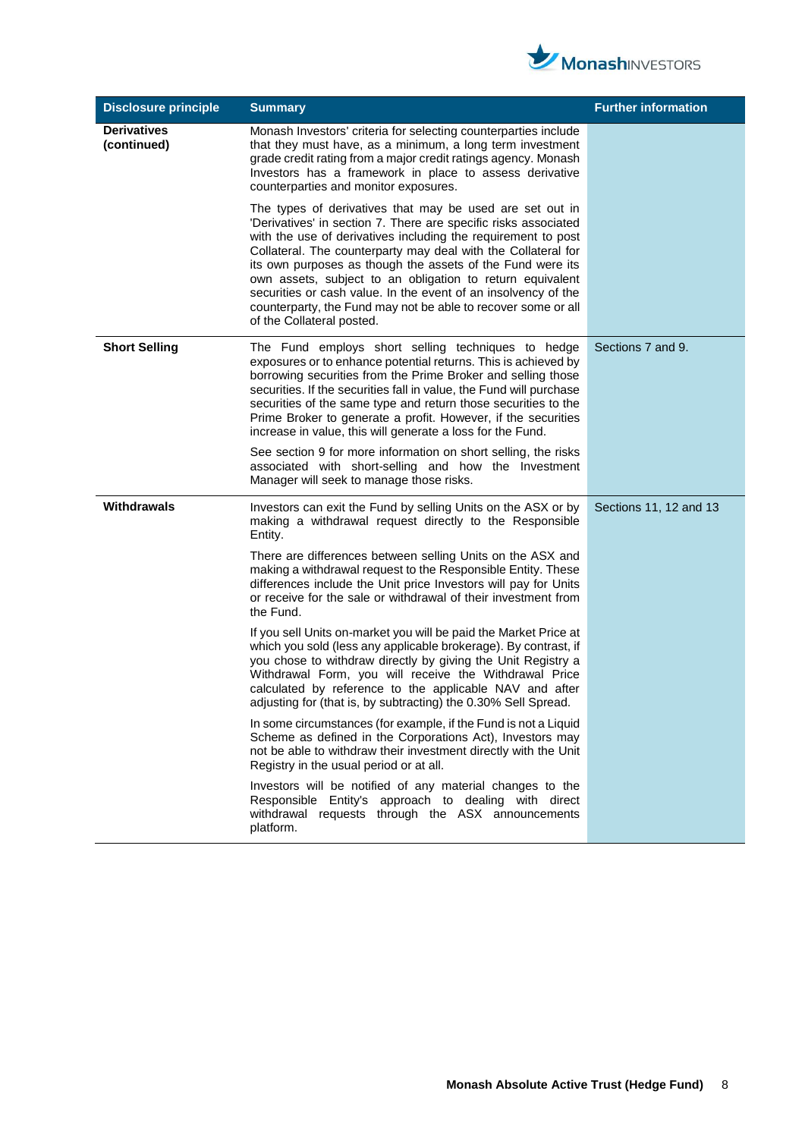

| <b>Disclosure principle</b>       | <b>Summary</b>                                                                                                                                                                                                                                                                                                                                                                                                                                                                                                                                           | <b>Further information</b> |
|-----------------------------------|----------------------------------------------------------------------------------------------------------------------------------------------------------------------------------------------------------------------------------------------------------------------------------------------------------------------------------------------------------------------------------------------------------------------------------------------------------------------------------------------------------------------------------------------------------|----------------------------|
| <b>Derivatives</b><br>(continued) | Monash Investors' criteria for selecting counterparties include<br>that they must have, as a minimum, a long term investment<br>grade credit rating from a major credit ratings agency. Monash<br>Investors has a framework in place to assess derivative<br>counterparties and monitor exposures.                                                                                                                                                                                                                                                       |                            |
|                                   | The types of derivatives that may be used are set out in<br>'Derivatives' in section 7. There are specific risks associated<br>with the use of derivatives including the requirement to post<br>Collateral. The counterparty may deal with the Collateral for<br>its own purposes as though the assets of the Fund were its<br>own assets, subject to an obligation to return equivalent<br>securities or cash value. In the event of an insolvency of the<br>counterparty, the Fund may not be able to recover some or all<br>of the Collateral posted. |                            |
| <b>Short Selling</b>              | The Fund employs short selling techniques to hedge<br>exposures or to enhance potential returns. This is achieved by<br>borrowing securities from the Prime Broker and selling those<br>securities. If the securities fall in value, the Fund will purchase<br>securities of the same type and return those securities to the<br>Prime Broker to generate a profit. However, if the securities<br>increase in value, this will generate a loss for the Fund.                                                                                             | Sections 7 and 9.          |
|                                   | See section 9 for more information on short selling, the risks<br>associated with short-selling and how the Investment<br>Manager will seek to manage those risks.                                                                                                                                                                                                                                                                                                                                                                                       |                            |
| Withdrawals                       | Investors can exit the Fund by selling Units on the ASX or by<br>making a withdrawal request directly to the Responsible<br>Entity.                                                                                                                                                                                                                                                                                                                                                                                                                      | Sections 11, 12 and 13     |
|                                   | There are differences between selling Units on the ASX and<br>making a withdrawal request to the Responsible Entity. These<br>differences include the Unit price Investors will pay for Units<br>or receive for the sale or withdrawal of their investment from<br>the Fund.                                                                                                                                                                                                                                                                             |                            |
|                                   | If you sell Units on-market you will be paid the Market Price at<br>which you sold (less any applicable brokerage). By contrast, if<br>you chose to withdraw directly by giving the Unit Registry a<br>Withdrawal Form, you will receive the Withdrawal Price<br>calculated by reference to the applicable NAV and after<br>adjusting for (that is, by subtracting) the 0.30% Sell Spread.                                                                                                                                                               |                            |
|                                   | In some circumstances (for example, if the Fund is not a Liquid<br>Scheme as defined in the Corporations Act), Investors may<br>not be able to withdraw their investment directly with the Unit<br>Registry in the usual period or at all.                                                                                                                                                                                                                                                                                                               |                            |
|                                   | Investors will be notified of any material changes to the<br>Responsible Entity's approach to dealing with direct<br>withdrawal requests through the ASX announcements<br>platform.                                                                                                                                                                                                                                                                                                                                                                      |                            |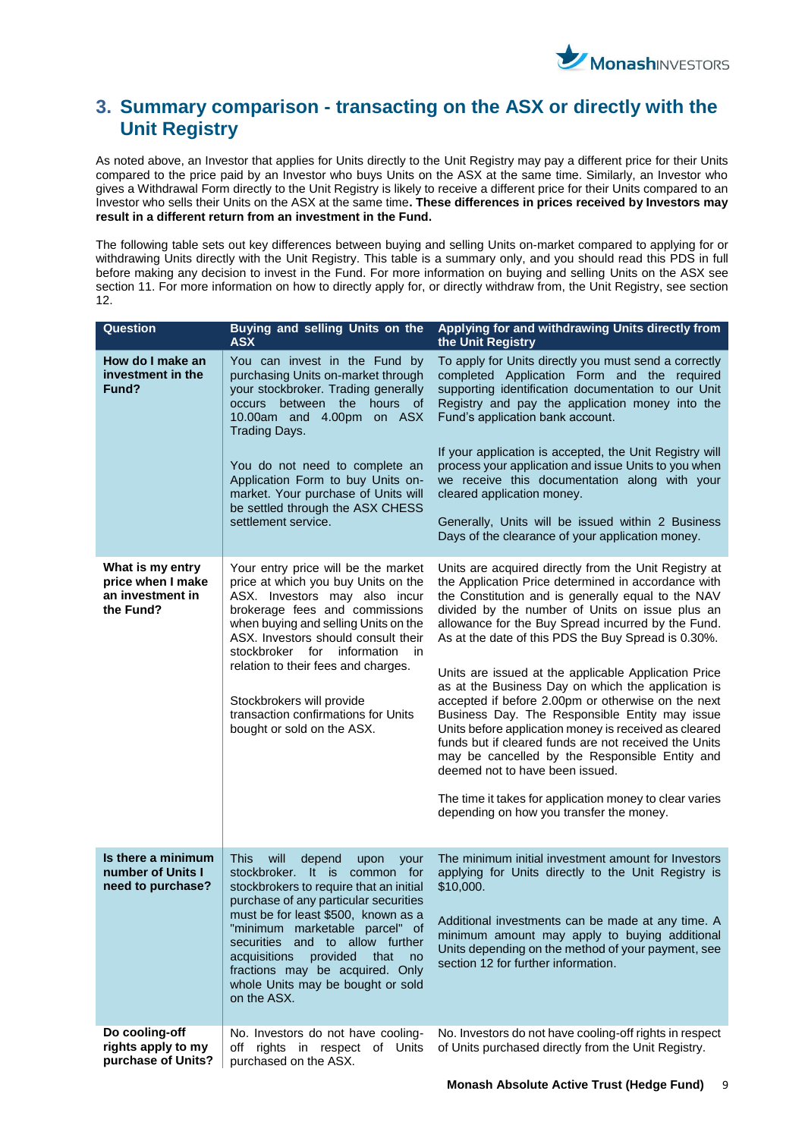

# <span id="page-8-0"></span>**3. Summary comparison - transacting on the ASX or directly with the Unit Registry**

As noted above, an Investor that applies for Units directly to the Unit Registry may pay a different price for their Units compared to the price paid by an Investor who buys Units on the ASX at the same time. Similarly, an Investor who gives a Withdrawal Form directly to the Unit Registry is likely to receive a different price for their Units compared to an Investor who sells their Units on the ASX at the same time**. These differences in prices received by Investors may result in a different return from an investment in the Fund.**

The following table sets out key differences between buying and selling Units on-market compared to applying for or withdrawing Units directly with the Unit Registry. This table is a summary only, and you should read this PDS in full before making any decision to invest in the Fund. For more information on buying and selling Units on the ASX see section 11. For more information on how to directly apply for, or directly withdraw from, the Unit Registry, see section 12.

| <b>Question</b>                                                        | Buying and selling Units on the<br><b>ASX</b>                                                                                                                                                                                                                                                                                                                                                                   | Applying for and withdrawing Units directly from<br>the Unit Registry                                                                                                                                                                                                                                                                                                                                                                                                                                                                                                                                                                                                                                                                                                                                                                                                  |
|------------------------------------------------------------------------|-----------------------------------------------------------------------------------------------------------------------------------------------------------------------------------------------------------------------------------------------------------------------------------------------------------------------------------------------------------------------------------------------------------------|------------------------------------------------------------------------------------------------------------------------------------------------------------------------------------------------------------------------------------------------------------------------------------------------------------------------------------------------------------------------------------------------------------------------------------------------------------------------------------------------------------------------------------------------------------------------------------------------------------------------------------------------------------------------------------------------------------------------------------------------------------------------------------------------------------------------------------------------------------------------|
| How do I make an<br>investment in the<br>Fund?                         | You can invest in the Fund by<br>purchasing Units on-market through<br>your stockbroker. Trading generally<br>the hours of<br>occurs<br>between<br>10.00am and 4.00pm on ASX<br>Trading Days.<br>You do not need to complete an<br>Application Form to buy Units on-<br>market. Your purchase of Units will<br>be settled through the ASX CHESS<br>settlement service.                                          | To apply for Units directly you must send a correctly<br>completed Application Form and the required<br>supporting identification documentation to our Unit<br>Registry and pay the application money into the<br>Fund's application bank account.<br>If your application is accepted, the Unit Registry will<br>process your application and issue Units to you when<br>we receive this documentation along with your<br>cleared application money.<br>Generally, Units will be issued within 2 Business<br>Days of the clearance of your application money.                                                                                                                                                                                                                                                                                                          |
| What is my entry<br>price when I make<br>an investment in<br>the Fund? | Your entry price will be the market<br>price at which you buy Units on the<br>ASX. Investors may also incur<br>brokerage fees and commissions<br>when buying and selling Units on the<br>ASX. Investors should consult their<br>stockbroker for information<br>-in<br>relation to their fees and charges.<br>Stockbrokers will provide<br>transaction confirmations for Units<br>bought or sold on the ASX.     | Units are acquired directly from the Unit Registry at<br>the Application Price determined in accordance with<br>the Constitution and is generally equal to the NAV<br>divided by the number of Units on issue plus an<br>allowance for the Buy Spread incurred by the Fund.<br>As at the date of this PDS the Buy Spread is 0.30%.<br>Units are issued at the applicable Application Price<br>as at the Business Day on which the application is<br>accepted if before 2.00pm or otherwise on the next<br>Business Day. The Responsible Entity may issue<br>Units before application money is received as cleared<br>funds but if cleared funds are not received the Units<br>may be cancelled by the Responsible Entity and<br>deemed not to have been issued.<br>The time it takes for application money to clear varies<br>depending on how you transfer the money. |
| Is there a minimum<br>number of Units I<br>need to purchase?           | <b>This</b><br>will<br>depend<br>upon<br>your<br>stockbroker. It is common for<br>stockbrokers to require that an initial<br>purchase of any particular securities<br>must be for least \$500, known as a<br>"minimum marketable parcel" of<br>securities and to allow further<br>acquisitions<br>provided<br>that<br>no<br>fractions may be acquired. Only<br>whole Units may be bought or sold<br>on the ASX. | The minimum initial investment amount for Investors<br>applying for Units directly to the Unit Registry is<br>\$10,000.<br>Additional investments can be made at any time. A<br>minimum amount may apply to buying additional<br>Units depending on the method of your payment, see<br>section 12 for further information.                                                                                                                                                                                                                                                                                                                                                                                                                                                                                                                                             |
| Do cooling-off<br>rights apply to my<br>purchase of Units?             | No. Investors do not have cooling-<br>off rights in respect of Units<br>purchased on the ASX.                                                                                                                                                                                                                                                                                                                   | No. Investors do not have cooling-off rights in respect<br>of Units purchased directly from the Unit Registry.                                                                                                                                                                                                                                                                                                                                                                                                                                                                                                                                                                                                                                                                                                                                                         |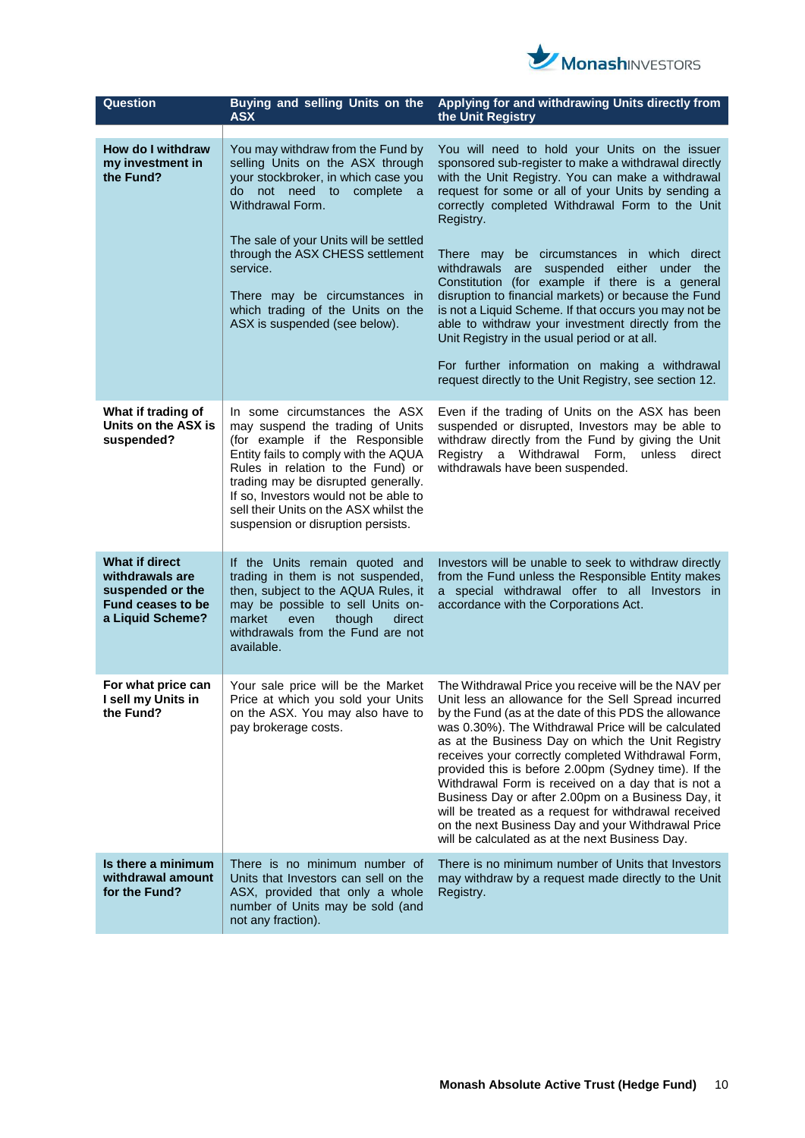

| <b>Question</b>                                                                                              | Buying and selling Units on the<br><b>ASX</b>                                                                                                                                                                                                                                                                                                                     | Applying for and withdrawing Units directly from<br>the Unit Registry                                                                                                                                                                                                                                                                                                                                                                                                                                                                                                                                                                                                                                     |
|--------------------------------------------------------------------------------------------------------------|-------------------------------------------------------------------------------------------------------------------------------------------------------------------------------------------------------------------------------------------------------------------------------------------------------------------------------------------------------------------|-----------------------------------------------------------------------------------------------------------------------------------------------------------------------------------------------------------------------------------------------------------------------------------------------------------------------------------------------------------------------------------------------------------------------------------------------------------------------------------------------------------------------------------------------------------------------------------------------------------------------------------------------------------------------------------------------------------|
|                                                                                                              |                                                                                                                                                                                                                                                                                                                                                                   |                                                                                                                                                                                                                                                                                                                                                                                                                                                                                                                                                                                                                                                                                                           |
| <b>How do I withdraw</b><br>my investment in<br>the Fund?                                                    | You may withdraw from the Fund by<br>selling Units on the ASX through<br>your stockbroker, in which case you<br>do not need to<br>complete a<br>Withdrawal Form.<br>The sale of your Units will be settled<br>through the ASX CHESS settlement<br>service.<br>There may be circumstances in<br>which trading of the Units on the<br>ASX is suspended (see below). | You will need to hold your Units on the issuer<br>sponsored sub-register to make a withdrawal directly<br>with the Unit Registry. You can make a withdrawal<br>request for some or all of your Units by sending a<br>correctly completed Withdrawal Form to the Unit<br>Registry.<br>There may be circumstances in which direct<br>withdrawals are suspended either under the<br>Constitution (for example if there is a general<br>disruption to financial markets) or because the Fund<br>is not a Liquid Scheme. If that occurs you may not be<br>able to withdraw your investment directly from the<br>Unit Registry in the usual period or at all.<br>For further information on making a withdrawal |
|                                                                                                              |                                                                                                                                                                                                                                                                                                                                                                   | request directly to the Unit Registry, see section 12.                                                                                                                                                                                                                                                                                                                                                                                                                                                                                                                                                                                                                                                    |
| What if trading of<br>Units on the ASX is<br>suspended?                                                      | In some circumstances the ASX<br>may suspend the trading of Units<br>(for example if the Responsible<br>Entity fails to comply with the AQUA<br>Rules in relation to the Fund) or<br>trading may be disrupted generally.<br>If so, Investors would not be able to<br>sell their Units on the ASX whilst the<br>suspension or disruption persists.                 | Even if the trading of Units on the ASX has been<br>suspended or disrupted, Investors may be able to<br>withdraw directly from the Fund by giving the Unit<br>Reaistry<br>a Withdrawal Form,<br>unless<br>direct<br>withdrawals have been suspended.                                                                                                                                                                                                                                                                                                                                                                                                                                                      |
| <b>What if direct</b><br>withdrawals are<br>suspended or the<br><b>Fund ceases to be</b><br>a Liquid Scheme? | If the Units remain quoted and<br>trading in them is not suspended,<br>then, subject to the AQUA Rules, it<br>may be possible to sell Units on-<br>market<br>though<br>even<br>direct<br>withdrawals from the Fund are not<br>available.                                                                                                                          | Investors will be unable to seek to withdraw directly<br>from the Fund unless the Responsible Entity makes<br>a special withdrawal offer to all Investors in<br>accordance with the Corporations Act.                                                                                                                                                                                                                                                                                                                                                                                                                                                                                                     |
| For what price can<br>I sell my Units in<br>the Fund?                                                        | Your sale price will be the Market<br>Price at which you sold your Units<br>on the ASX. You may also have to<br>pay brokerage costs.                                                                                                                                                                                                                              | The Withdrawal Price you receive will be the NAV per<br>Unit less an allowance for the Sell Spread incurred<br>by the Fund (as at the date of this PDS the allowance<br>was 0.30%). The Withdrawal Price will be calculated<br>as at the Business Day on which the Unit Registry<br>receives your correctly completed Withdrawal Form,<br>provided this is before 2.00pm (Sydney time). If the<br>Withdrawal Form is received on a day that is not a<br>Business Day or after 2.00pm on a Business Day, it<br>will be treated as a request for withdrawal received<br>on the next Business Day and your Withdrawal Price<br>will be calculated as at the next Business Day.                               |
| Is there a minimum<br>withdrawal amount<br>for the Fund?                                                     | There is no minimum number of<br>Units that Investors can sell on the<br>ASX, provided that only a whole<br>number of Units may be sold (and<br>not any fraction).                                                                                                                                                                                                | There is no minimum number of Units that Investors<br>may withdraw by a request made directly to the Unit<br>Registry.                                                                                                                                                                                                                                                                                                                                                                                                                                                                                                                                                                                    |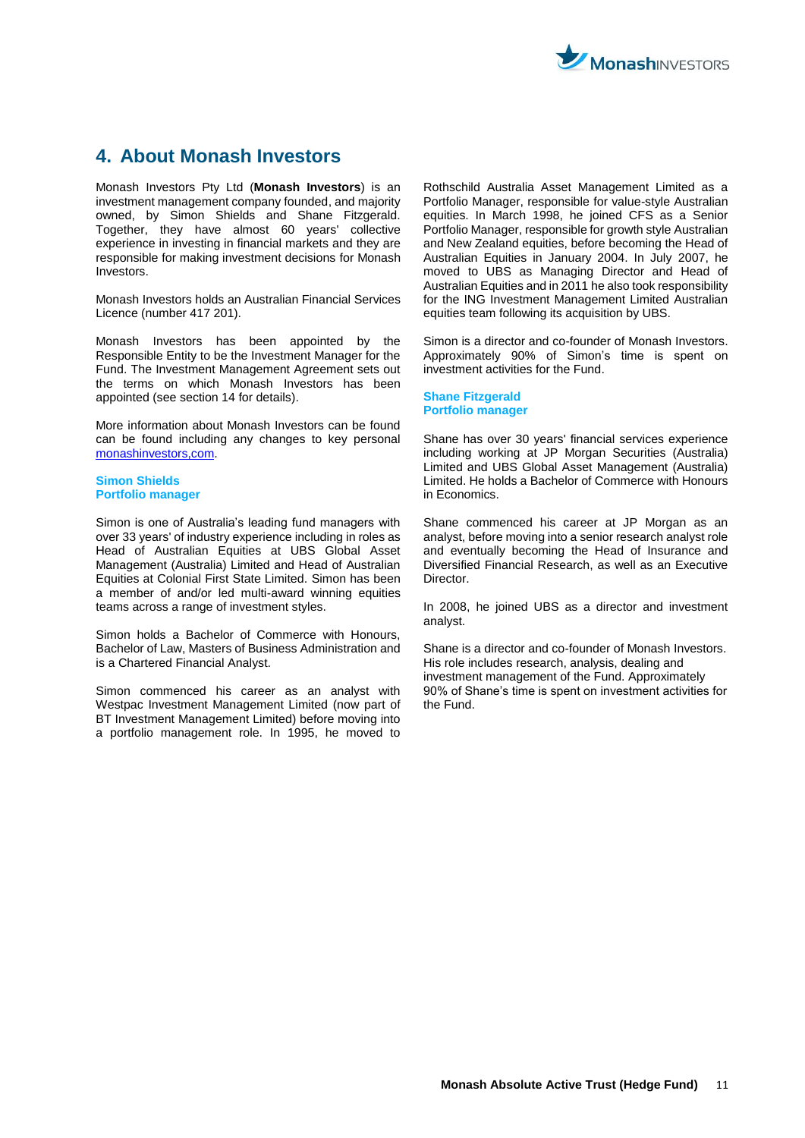

# <span id="page-10-0"></span>**4. About Monash Investors**

Monash Investors Pty Ltd (**Monash Investors**) is an investment management company founded, and majority owned, by Simon Shields and Shane Fitzgerald. Together, they have almost 60 years' collective experience in investing in financial markets and they are responsible for making investment decisions for Monash Investors.

Monash Investors holds an Australian Financial Services Licence (number 417 201).

Monash Investors has been appointed by the Responsible Entity to be the Investment Manager for the Fund. The Investment Management Agreement sets out the terms on which Monash Investors has been appointed (see section 14 for details).

More information about Monash Investors can be found can be found including any changes to key personal [monashinvestors,com.](http://www.monashinvestors.com/)

#### **Simon Shields Portfolio manager**

Simon is one of Australia's leading fund managers with over 33 years' of industry experience including in roles as Head of Australian Equities at UBS Global Asset Management (Australia) Limited and Head of Australian Equities at Colonial First State Limited. Simon has been a member of and/or led multi-award winning equities teams across a range of investment styles.

Simon holds a Bachelor of Commerce with Honours, Bachelor of Law, Masters of Business Administration and is a Chartered Financial Analyst.

Simon commenced his career as an analyst with Westpac Investment Management Limited (now part of BT Investment Management Limited) before moving into a portfolio management role. In 1995, he moved to

Rothschild Australia Asset Management Limited as a Portfolio Manager, responsible for value-style Australian equities. In March 1998, he joined CFS as a Senior Portfolio Manager, responsible for growth style Australian and New Zealand equities, before becoming the Head of Australian Equities in January 2004. In July 2007, he moved to UBS as Managing Director and Head of Australian Equities and in 2011 he also took responsibility for the ING Investment Management Limited Australian equities team following its acquisition by UBS.

Simon is a director and co-founder of Monash Investors. Approximately 90% of Simon's time is spent on investment activities for the Fund.

**Shane Fitzgerald Portfolio manager**

Shane has over 30 years' financial services experience including working at JP Morgan Securities (Australia) Limited and UBS Global Asset Management (Australia) Limited. He holds a Bachelor of Commerce with Honours in Economics.

Shane commenced his career at JP Morgan as an analyst, before moving into a senior research analyst role and eventually becoming the Head of Insurance and Diversified Financial Research, as well as an Executive Director.

In 2008, he joined UBS as a director and investment analyst.

Shane is a director and co-founder of Monash Investors. His role includes research, analysis, dealing and investment management of the Fund. Approximately 90% of Shane's time is spent on investment activities for the Fund.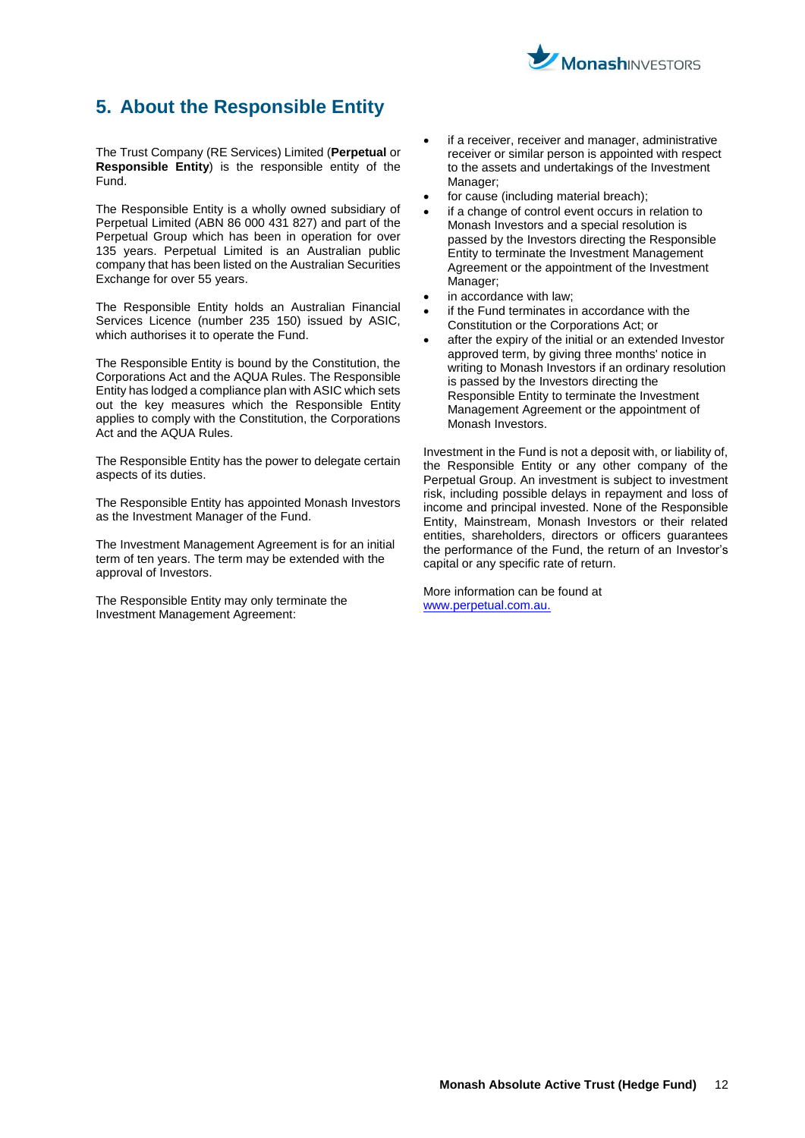

# <span id="page-11-0"></span>**5. About the Responsible Entity**

The Trust Company (RE Services) Limited (**Perpetual** or **Responsible Entity**) is the responsible entity of the Fund.

The Responsible Entity is a wholly owned subsidiary of Perpetual Limited (ABN 86 000 431 827) and part of the Perpetual Group which has been in operation for over 135 years. Perpetual Limited is an Australian public company that has been listed on the Australian Securities Exchange for over 55 years.

The Responsible Entity holds an Australian Financial Services Licence (number 235 150) issued by ASIC, which authorises it to operate the Fund.

The Responsible Entity is bound by the Constitution, the Corporations Act and the AQUA Rules. The Responsible Entity has lodged a compliance plan with ASIC which sets out the key measures which the Responsible Entity applies to comply with the Constitution, the Corporations Act and the AQUA Rules.

The Responsible Entity has the power to delegate certain aspects of its duties.

The Responsible Entity has appointed Monash Investors as the Investment Manager of the Fund.

The Investment Management Agreement is for an initial term of ten years. The term may be extended with the approval of Investors.

The Responsible Entity may only terminate the Investment Management Agreement:

- if a receiver, receiver and manager, administrative receiver or similar person is appointed with respect to the assets and undertakings of the Investment Manager;
- for cause (including material breach);
- if a change of control event occurs in relation to Monash Investors and a special resolution is passed by the Investors directing the Responsible Entity to terminate the Investment Management Agreement or the appointment of the Investment Manager;
- in accordance with law;
- if the Fund terminates in accordance with the Constitution or the Corporations Act; or
- after the expiry of the initial or an extended Investor approved term, by giving three months' notice in writing to Monash Investors if an ordinary resolution is passed by the Investors directing the Responsible Entity to terminate the Investment Management Agreement or the appointment of Monash Investors.

Investment in the Fund is not a deposit with, or liability of, the Responsible Entity or any other company of the Perpetual Group. An investment is subject to investment risk, including possible delays in repayment and loss of income and principal invested. None of the Responsible Entity, Mainstream, Monash Investors or their related entities, shareholders, directors or officers guarantees the performance of the Fund, the return of an Investor's capital or any specific rate of return.

More information can be found at [www.perpetual.com.au.](http://www.perpetual.com.au/)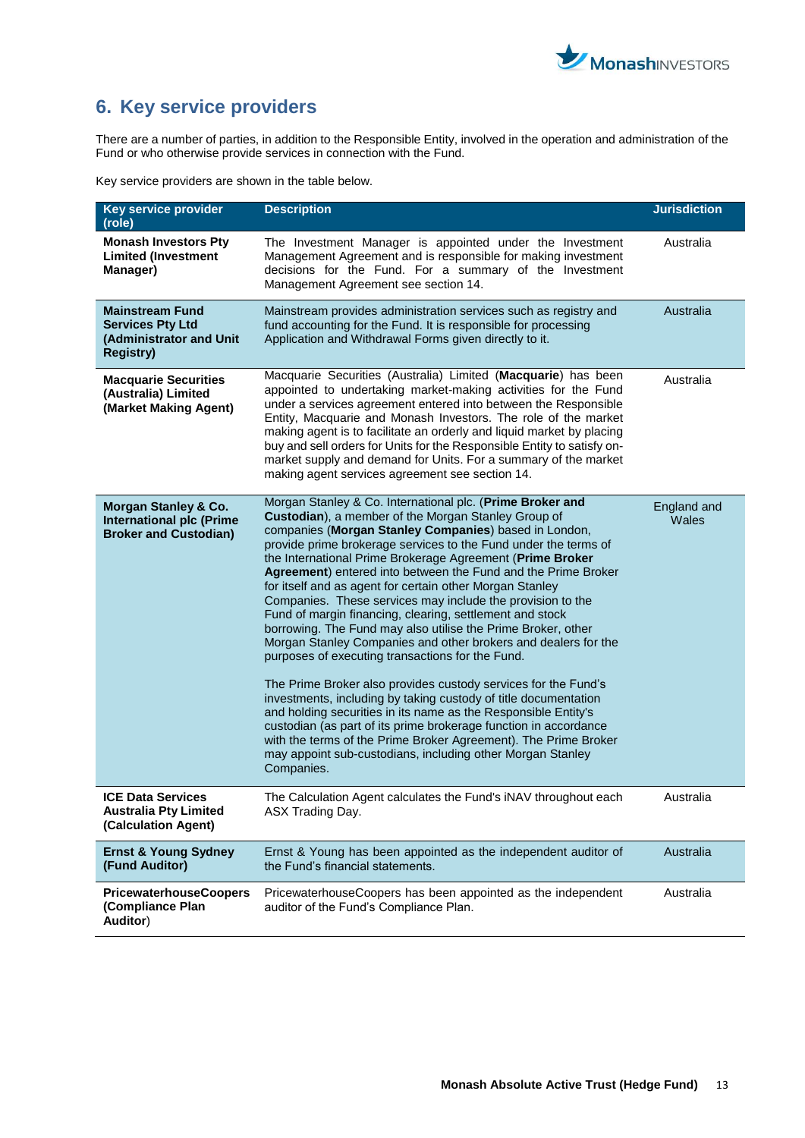

# <span id="page-12-0"></span>**6. Key service providers**

There are a number of parties, in addition to the Responsible Entity, involved in the operation and administration of the Fund or who otherwise provide services in connection with the Fund.

Key service providers are shown in the table below.

| Key service provider<br>(role)                                                                   | <b>Description</b>                                                                                                                                                                                                                                                                                                                                                                                                                                                                                                                                                                                                                                                                                                                                                                                                                                                                                                                                                                                                                                                                                                                                                               | <b>Jurisdiction</b>  |
|--------------------------------------------------------------------------------------------------|----------------------------------------------------------------------------------------------------------------------------------------------------------------------------------------------------------------------------------------------------------------------------------------------------------------------------------------------------------------------------------------------------------------------------------------------------------------------------------------------------------------------------------------------------------------------------------------------------------------------------------------------------------------------------------------------------------------------------------------------------------------------------------------------------------------------------------------------------------------------------------------------------------------------------------------------------------------------------------------------------------------------------------------------------------------------------------------------------------------------------------------------------------------------------------|----------------------|
| <b>Monash Investors Pty</b><br><b>Limited (Investment</b><br>Manager)                            | The Investment Manager is appointed under the Investment<br>Management Agreement and is responsible for making investment<br>decisions for the Fund. For a summary of the Investment<br>Management Agreement see section 14.                                                                                                                                                                                                                                                                                                                                                                                                                                                                                                                                                                                                                                                                                                                                                                                                                                                                                                                                                     | Australia            |
| <b>Mainstream Fund</b><br><b>Services Pty Ltd</b><br>(Administrator and Unit<br><b>Registry)</b> | Mainstream provides administration services such as registry and<br>fund accounting for the Fund. It is responsible for processing<br>Application and Withdrawal Forms given directly to it.                                                                                                                                                                                                                                                                                                                                                                                                                                                                                                                                                                                                                                                                                                                                                                                                                                                                                                                                                                                     | Australia            |
| <b>Macquarie Securities</b><br>(Australia) Limited<br>(Market Making Agent)                      | Macquarie Securities (Australia) Limited (Macquarie) has been<br>appointed to undertaking market-making activities for the Fund<br>under a services agreement entered into between the Responsible<br>Entity, Macquarie and Monash Investors. The role of the market<br>making agent is to facilitate an orderly and liquid market by placing<br>buy and sell orders for Units for the Responsible Entity to satisfy on-<br>market supply and demand for Units. For a summary of the market<br>making agent services agreement see section 14.                                                                                                                                                                                                                                                                                                                                                                                                                                                                                                                                                                                                                                   | Australia            |
| Morgan Stanley & Co.<br><b>International plc (Prime</b><br><b>Broker and Custodian)</b>          | Morgan Stanley & Co. International plc. (Prime Broker and<br>Custodian), a member of the Morgan Stanley Group of<br>companies (Morgan Stanley Companies) based in London,<br>provide prime brokerage services to the Fund under the terms of<br>the International Prime Brokerage Agreement (Prime Broker<br>Agreement) entered into between the Fund and the Prime Broker<br>for itself and as agent for certain other Morgan Stanley<br>Companies. These services may include the provision to the<br>Fund of margin financing, clearing, settlement and stock<br>borrowing. The Fund may also utilise the Prime Broker, other<br>Morgan Stanley Companies and other brokers and dealers for the<br>purposes of executing transactions for the Fund.<br>The Prime Broker also provides custody services for the Fund's<br>investments, including by taking custody of title documentation<br>and holding securities in its name as the Responsible Entity's<br>custodian (as part of its prime brokerage function in accordance<br>with the terms of the Prime Broker Agreement). The Prime Broker<br>may appoint sub-custodians, including other Morgan Stanley<br>Companies. | England and<br>Wales |
| <b>ICE Data Services</b><br><b>Australia Pty Limited</b><br>(Calculation Agent)                  | The Calculation Agent calculates the Fund's iNAV throughout each<br>ASX Trading Day.                                                                                                                                                                                                                                                                                                                                                                                                                                                                                                                                                                                                                                                                                                                                                                                                                                                                                                                                                                                                                                                                                             | Australia            |
| <b>Ernst &amp; Young Sydney</b><br>(Fund Auditor)                                                | Ernst & Young has been appointed as the independent auditor of<br>the Fund's financial statements.                                                                                                                                                                                                                                                                                                                                                                                                                                                                                                                                                                                                                                                                                                                                                                                                                                                                                                                                                                                                                                                                               | Australia            |
| <b>PricewaterhouseCoopers</b><br>(Compliance Plan<br>Auditor)                                    | PricewaterhouseCoopers has been appointed as the independent<br>auditor of the Fund's Compliance Plan.                                                                                                                                                                                                                                                                                                                                                                                                                                                                                                                                                                                                                                                                                                                                                                                                                                                                                                                                                                                                                                                                           | Australia            |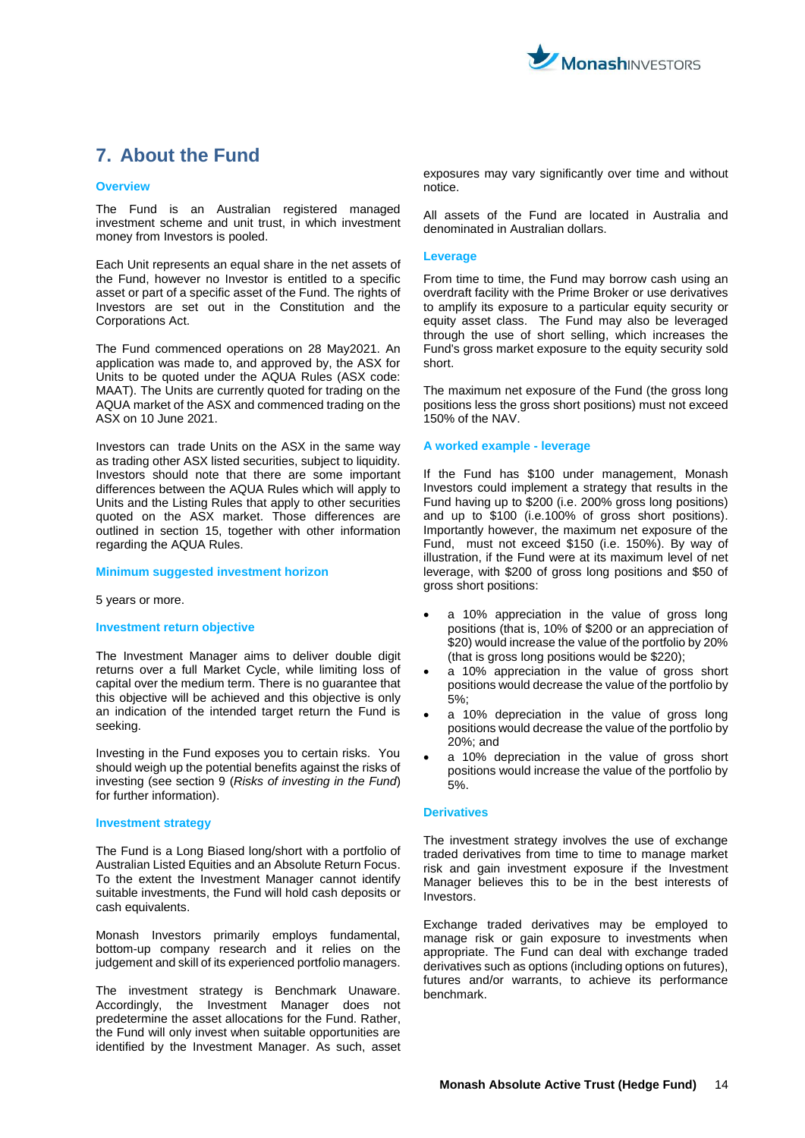

# <span id="page-13-0"></span>**7. About the Fund**

# **Overview**

The Fund is an Australian registered managed investment scheme and unit trust, in which investment money from Investors is pooled.

Each Unit represents an equal share in the net assets of the Fund, however no Investor is entitled to a specific asset or part of a specific asset of the Fund. The rights of Investors are set out in the Constitution and the Corporations Act.

The Fund commenced operations on 28 May2021. An application was made to, and approved by, the ASX for Units to be quoted under the AQUA Rules (ASX code: MAAT). The Units are currently quoted for trading on the AQUA market of the ASX and commenced trading on the ASX on 10 June 2021.

Investors can trade Units on the ASX in the same way as trading other ASX listed securities, subject to liquidity. Investors should note that there are some important differences between the AQUA Rules which will apply to Units and the Listing Rules that apply to other securities quoted on the ASX market. Those differences are outlined in section 15, together with other information regarding the AQUA Rules.

#### **Minimum suggested investment horizon**

5 years or more.

#### **Investment return objective**

The Investment Manager aims to deliver double digit returns over a full Market Cycle, while limiting loss of capital over the medium term. There is no guarantee that this objective will be achieved and this objective is only an indication of the intended target return the Fund is seeking.

Investing in the Fund exposes you to certain risks. You should weigh up the potential benefits against the risks of investing (see section 9 (*Risks of investing in the Fund*) for further information).

#### **Investment strategy**

The Fund is a Long Biased long/short with a portfolio of Australian Listed Equities and an Absolute Return Focus. To the extent the Investment Manager cannot identify suitable investments, the Fund will hold cash deposits or cash equivalents.

Monash Investors primarily employs fundamental, bottom-up company research and it relies on the judgement and skill of its experienced portfolio managers.

The investment strategy is Benchmark Unaware. Accordingly, the Investment Manager does not predetermine the asset allocations for the Fund. Rather, the Fund will only invest when suitable opportunities are identified by the Investment Manager. As such, asset exposures may vary significantly over time and without notice.

All assets of the Fund are located in Australia and denominated in Australian dollars.

#### **Leverage**

From time to time, the Fund may borrow cash using an overdraft facility with the Prime Broker or use derivatives to amplify its exposure to a particular equity security or equity asset class. The Fund may also be leveraged through the use of short selling, which increases the Fund's gross market exposure to the equity security sold short.

The maximum net exposure of the Fund (the gross long positions less the gross short positions) must not exceed 150% of the NAV.

# **A worked example - leverage**

If the Fund has \$100 under management, Monash Investors could implement a strategy that results in the Fund having up to \$200 (i.e. 200% gross long positions) and up to \$100 (i.e.100% of gross short positions). Importantly however, the maximum net exposure of the Fund, must not exceed \$150 (i.e. 150%). By way of illustration, if the Fund were at its maximum level of net leverage, with \$200 of gross long positions and \$50 of gross short positions:

- a 10% appreciation in the value of gross long positions (that is, 10% of \$200 or an appreciation of \$20) would increase the value of the portfolio by 20% (that is gross long positions would be \$220);
- a 10% appreciation in the value of gross short positions would decrease the value of the portfolio by 5%;
- a 10% depreciation in the value of gross long positions would decrease the value of the portfolio by 20%; and
- a 10% depreciation in the value of gross short positions would increase the value of the portfolio by 5%.

#### **Derivatives**

The investment strategy involves the use of exchange traded derivatives from time to time to manage market risk and gain investment exposure if the Investment Manager believes this to be in the best interests of Investors.

Exchange traded derivatives may be employed to manage risk or gain exposure to investments when appropriate. The Fund can deal with exchange traded derivatives such as options (including options on futures), futures and/or warrants, to achieve its performance benchmark.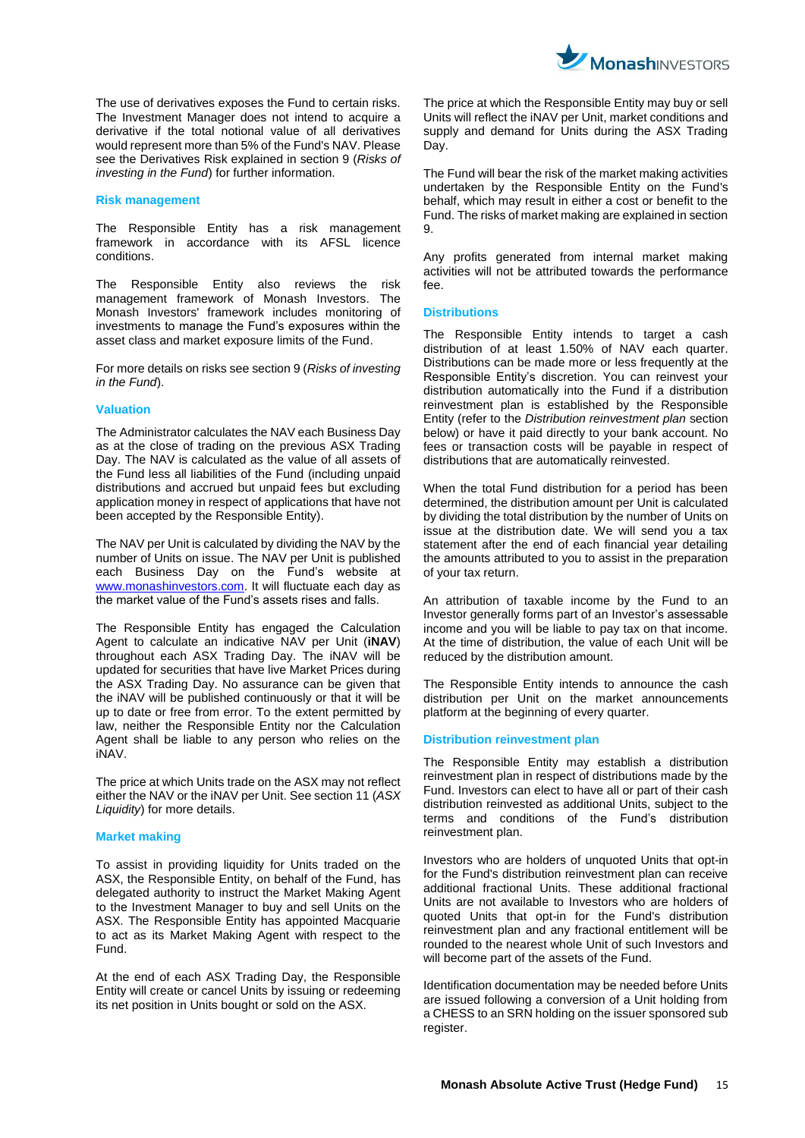

The use of derivatives exposes the Fund to certain risks. The Investment Manager does not intend to acquire a derivative if the total notional value of all derivatives would represent more than 5% of the Fund's NAV. Please see the Derivatives Risk explained in section 9 (*Risks of investing in the Fund*) for further information.

#### **Risk management**

The Responsible Entity has a risk management framework in accordance with its AFSL licence conditions.

The Responsible Entity also reviews the risk management framework of Monash Investors. The Monash Investors' framework includes monitoring of investments to manage the Fund's exposures within the asset class and market exposure limits of the Fund.

For more details on risks see section 9 (*Risks of investing in the Fund*).

#### **Valuation**

The Administrator calculates the NAV each Business Day as at the close of trading on the previous ASX Trading Day. The NAV is calculated as the value of all assets of the Fund less all liabilities of the Fund (including unpaid distributions and accrued but unpaid fees but excluding application money in respect of applications that have not been accepted by the Responsible Entity).

The NAV per Unit is calculated by dividing the NAV by the number of Units on issue. The NAV per Unit is published each Business Day on the Fund's website at [www.monashinvestors.com.](http://www.monashinvestors.com/) It will fluctuate each day as the market value of the Fund's assets rises and falls.

The Responsible Entity has engaged the Calculation Agent to calculate an indicative NAV per Unit (**iNAV**) throughout each ASX Trading Day. The iNAV will be updated for securities that have live Market Prices during the ASX Trading Day. No assurance can be given that the iNAV will be published continuously or that it will be up to date or free from error. To the extent permitted by law, neither the Responsible Entity nor the Calculation Agent shall be liable to any person who relies on the iNAV.

The price at which Units trade on the ASX may not reflect either the NAV or the iNAV per Unit. See section 11 (*ASX Liquidity*) for more details.

#### **Market making**

To assist in providing liquidity for Units traded on the ASX, the Responsible Entity, on behalf of the Fund, has delegated authority to instruct the Market Making Agent to the Investment Manager to buy and sell Units on the ASX. The Responsible Entity has appointed Macquarie to act as its Market Making Agent with respect to the Fund.

At the end of each ASX Trading Day, the Responsible Entity will create or cancel Units by issuing or redeeming its net position in Units bought or sold on the ASX.

The price at which the Responsible Entity may buy or sell Units will reflect the iNAV per Unit, market conditions and supply and demand for Units during the ASX Trading Day.

The Fund will bear the risk of the market making activities undertaken by the Responsible Entity on the Fund's behalf, which may result in either a cost or benefit to the Fund. The risks of market making are explained in section 9.

Any profits generated from internal market making activities will not be attributed towards the performance fee.

# **Distributions**

The Responsible Entity intends to target a cash distribution of at least 1.50% of NAV each quarter. Distributions can be made more or less frequently at the Responsible Entity's discretion. You can reinvest your distribution automatically into the Fund if a distribution reinvestment plan is established by the Responsible Entity (refer to the *Distribution reinvestment plan* section below) or have it paid directly to your bank account. No fees or transaction costs will be payable in respect of distributions that are automatically reinvested.

When the total Fund distribution for a period has been determined, the distribution amount per Unit is calculated by dividing the total distribution by the number of Units on issue at the distribution date. We will send you a tax statement after the end of each financial year detailing the amounts attributed to you to assist in the preparation of your tax return.

An attribution of taxable income by the Fund to an Investor generally forms part of an Investor's assessable income and you will be liable to pay tax on that income. At the time of distribution, the value of each Unit will be reduced by the distribution amount.

The Responsible Entity intends to announce the cash distribution per Unit on the market announcements platform at the beginning of every quarter.

#### **Distribution reinvestment plan**

The Responsible Entity may establish a distribution reinvestment plan in respect of distributions made by the Fund. Investors can elect to have all or part of their cash distribution reinvested as additional Units, subject to the terms and conditions of the Fund's distribution reinvestment plan.

Investors who are holders of unquoted Units that opt-in for the Fund's distribution reinvestment plan can receive additional fractional Units. These additional fractional Units are not available to Investors who are holders of quoted Units that opt-in for the Fund's distribution reinvestment plan and any fractional entitlement will be rounded to the nearest whole Unit of such Investors and will become part of the assets of the Fund.

Identification documentation may be needed before Units are issued following a conversion of a Unit holding from a CHESS to an SRN holding on the issuer sponsored sub register.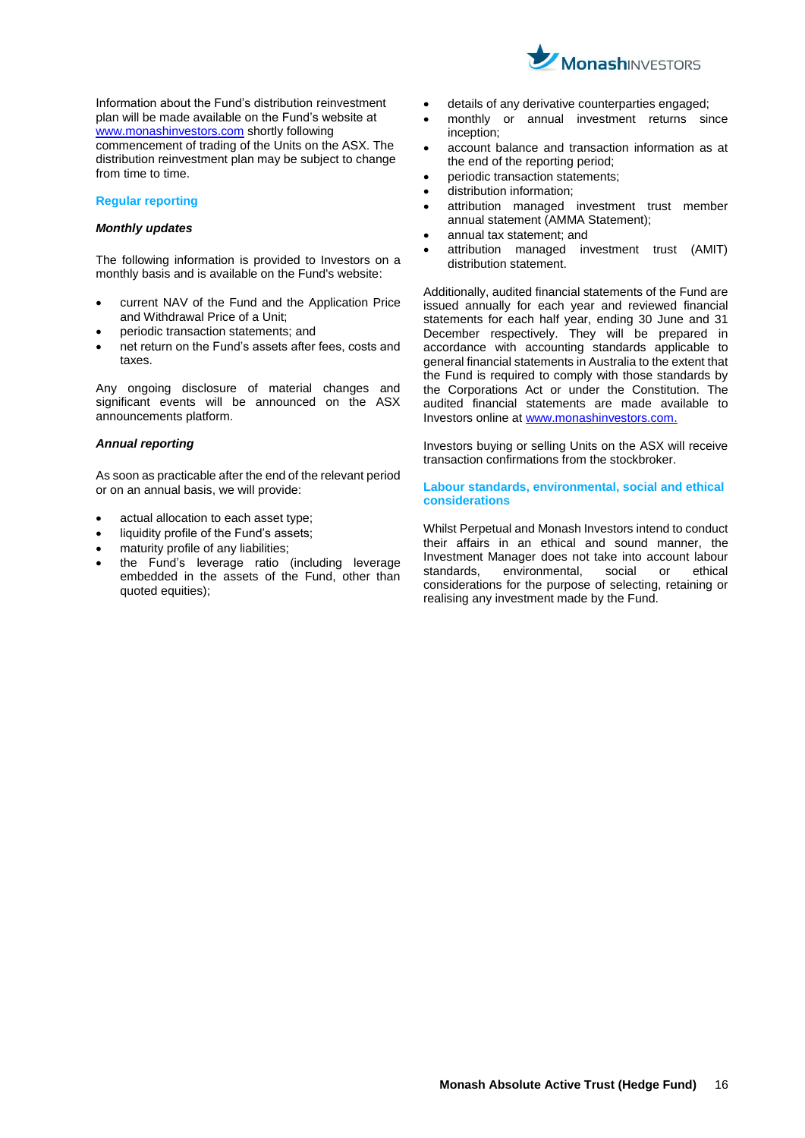Information about the Fund's distribution reinvestment plan will be made available on the Fund's website at [www.monashinvestors.com](http://www.monashinvestors.com/) shortly following commencement of trading of the Units on the ASX. The distribution reinvestment plan may be subject to change from time to time.

# **Regular reporting**

# *Monthly updates*

The following information is provided to Investors on a monthly basis and is available on the Fund's website:

- current NAV of the Fund and the Application Price and Withdrawal Price of a Unit;
- periodic transaction statements; and
- net return on the Fund's assets after fees, costs and taxes.

Any ongoing disclosure of material changes and significant events will be announced on the ASX announcements platform.

#### *Annual reporting*

As soon as practicable after the end of the relevant period or on an annual basis, we will provide:

- actual allocation to each asset type;
- liquidity profile of the Fund's assets;
- maturity profile of any liabilities;
- the Fund's leverage ratio (including leverage embedded in the assets of the Fund, other than quoted equities);



- details of any derivative counterparties engaged;
- monthly or annual investment returns since inception;
- account balance and transaction information as at the end of the reporting period;
- periodic transaction statements:
- distribution information;
- attribution managed investment trust member annual statement (AMMA Statement);
- annual tax statement; and
- attribution managed investment trust (AMIT) distribution statement.

Additionally, audited financial statements of the Fund are issued annually for each year and reviewed financial statements for each half year, ending 30 June and 31 December respectively. They will be prepared in accordance with accounting standards applicable to general financial statements in Australia to the extent that the Fund is required to comply with those standards by the Corporations Act or under the Constitution. The audited financial statements are made available to Investors online at [www.monashinvestors.com.](http://www.monashinvestors.com/)

Investors buying or selling Units on the ASX will receive transaction confirmations from the stockbroker.

#### **Labour standards, environmental, social and ethical considerations**

Whilst Perpetual and Monash Investors intend to conduct their affairs in an ethical and sound manner, the Investment Manager does not take into account labour<br>standards, environmental, social or ethical environmental, social or ethical considerations for the purpose of selecting, retaining or realising any investment made by the Fund.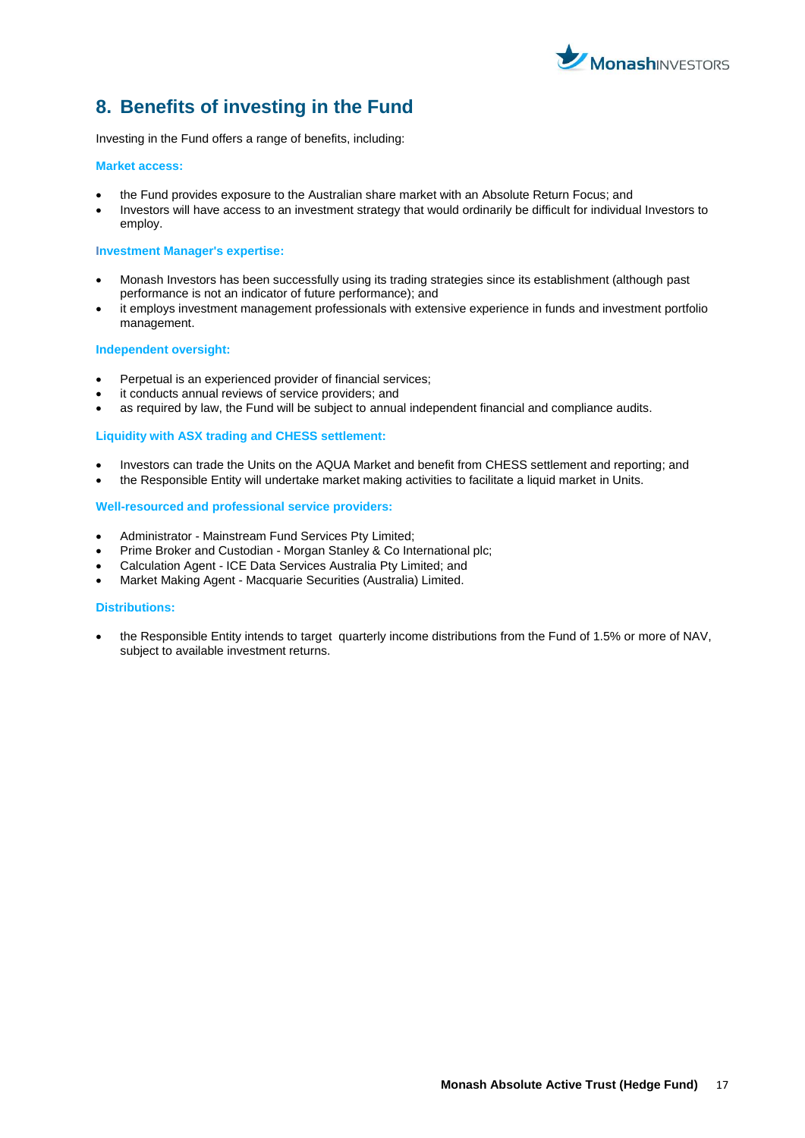

# <span id="page-16-0"></span>**8. Benefits of investing in the Fund**

Investing in the Fund offers a range of benefits, including:

# **Market access:**

- the Fund provides exposure to the Australian share market with an Absolute Return Focus; and
- Investors will have access to an investment strategy that would ordinarily be difficult for individual Investors to employ.

#### **Investment Manager's expertise:**

- Monash Investors has been successfully using its trading strategies since its establishment (although past performance is not an indicator of future performance); and
- it employs investment management professionals with extensive experience in funds and investment portfolio management.

# **Independent oversight:**

- Perpetual is an experienced provider of financial services;
- it conducts annual reviews of service providers; and
- as required by law, the Fund will be subject to annual independent financial and compliance audits.

# **Liquidity with ASX trading and CHESS settlement:**

- Investors can trade the Units on the AQUA Market and benefit from CHESS settlement and reporting; and
- the Responsible Entity will undertake market making activities to facilitate a liquid market in Units.

### **Well-resourced and professional service providers:**

- Administrator Mainstream Fund Services Pty Limited;
- Prime Broker and Custodian Morgan Stanley & Co International plc;
- Calculation Agent ICE Data Services Australia Pty Limited; and
- Market Making Agent Macquarie Securities (Australia) Limited.

#### **Distributions:**

 the Responsible Entity intends to target quarterly income distributions from the Fund of 1.5% or more of NAV, subject to available investment returns.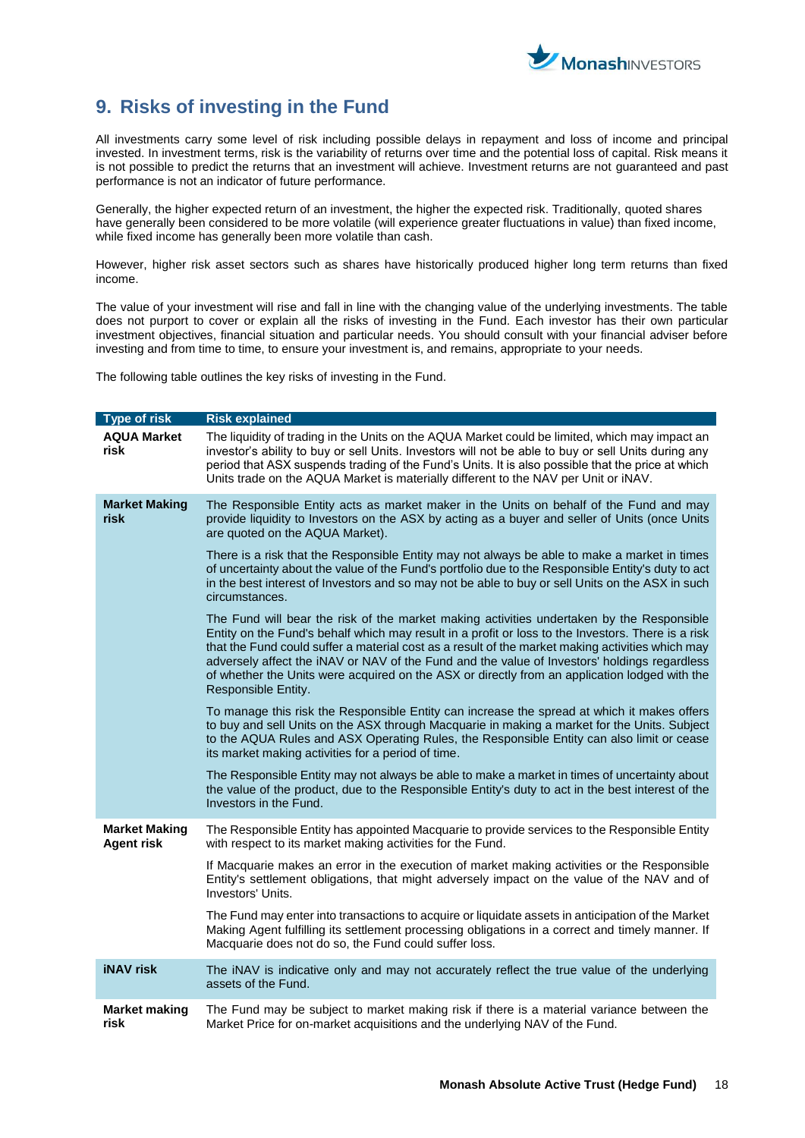

# <span id="page-17-0"></span>**9. Risks of investing in the Fund**

All investments carry some level of risk including possible delays in repayment and loss of income and principal invested. In investment terms, risk is the variability of returns over time and the potential loss of capital. Risk means it is not possible to predict the returns that an investment will achieve. Investment returns are not guaranteed and past performance is not an indicator of future performance.

Generally, the higher expected return of an investment, the higher the expected risk. Traditionally, quoted shares have generally been considered to be more volatile (will experience greater fluctuations in value) than fixed income, while fixed income has generally been more volatile than cash.

However, higher risk asset sectors such as shares have historically produced higher long term returns than fixed income.

The value of your investment will rise and fall in line with the changing value of the underlying investments. The table does not purport to cover or explain all the risks of investing in the Fund. Each investor has their own particular investment objectives, financial situation and particular needs. You should consult with your financial adviser before investing and from time to time, to ensure your investment is, and remains, appropriate to your needs.

The following table outlines the key risks of investing in the Fund.

| <b>Type of risk</b>                       | <b>Risk explained</b>                                                                                                                                                                                                                                                                                                                                                                                                                                                                                                       |
|-------------------------------------------|-----------------------------------------------------------------------------------------------------------------------------------------------------------------------------------------------------------------------------------------------------------------------------------------------------------------------------------------------------------------------------------------------------------------------------------------------------------------------------------------------------------------------------|
| <b>AQUA Market</b><br>risk                | The liquidity of trading in the Units on the AQUA Market could be limited, which may impact an<br>investor's ability to buy or sell Units. Investors will not be able to buy or sell Units during any<br>period that ASX suspends trading of the Fund's Units. It is also possible that the price at which<br>Units trade on the AQUA Market is materially different to the NAV per Unit or iNAV.                                                                                                                           |
| <b>Market Making</b><br>risk              | The Responsible Entity acts as market maker in the Units on behalf of the Fund and may<br>provide liquidity to Investors on the ASX by acting as a buyer and seller of Units (once Units<br>are quoted on the AQUA Market).                                                                                                                                                                                                                                                                                                 |
|                                           | There is a risk that the Responsible Entity may not always be able to make a market in times<br>of uncertainty about the value of the Fund's portfolio due to the Responsible Entity's duty to act<br>in the best interest of Investors and so may not be able to buy or sell Units on the ASX in such<br>circumstances.                                                                                                                                                                                                    |
|                                           | The Fund will bear the risk of the market making activities undertaken by the Responsible<br>Entity on the Fund's behalf which may result in a profit or loss to the Investors. There is a risk<br>that the Fund could suffer a material cost as a result of the market making activities which may<br>adversely affect the iNAV or NAV of the Fund and the value of Investors' holdings regardless<br>of whether the Units were acquired on the ASX or directly from an application lodged with the<br>Responsible Entity. |
|                                           | To manage this risk the Responsible Entity can increase the spread at which it makes offers<br>to buy and sell Units on the ASX through Macquarie in making a market for the Units. Subject<br>to the AQUA Rules and ASX Operating Rules, the Responsible Entity can also limit or cease<br>its market making activities for a period of time.                                                                                                                                                                              |
|                                           | The Responsible Entity may not always be able to make a market in times of uncertainty about<br>the value of the product, due to the Responsible Entity's duty to act in the best interest of the<br>Investors in the Fund.                                                                                                                                                                                                                                                                                                 |
| <b>Market Making</b><br><b>Agent risk</b> | The Responsible Entity has appointed Macquarie to provide services to the Responsible Entity<br>with respect to its market making activities for the Fund.                                                                                                                                                                                                                                                                                                                                                                  |
|                                           | If Macquarie makes an error in the execution of market making activities or the Responsible<br>Entity's settlement obligations, that might adversely impact on the value of the NAV and of<br>Investors' Units.                                                                                                                                                                                                                                                                                                             |
|                                           | The Fund may enter into transactions to acquire or liquidate assets in anticipation of the Market<br>Making Agent fulfilling its settlement processing obligations in a correct and timely manner. If<br>Macquarie does not do so, the Fund could suffer loss.                                                                                                                                                                                                                                                              |
| <b>iNAV</b> risk                          | The iNAV is indicative only and may not accurately reflect the true value of the underlying<br>assets of the Fund.                                                                                                                                                                                                                                                                                                                                                                                                          |
| <b>Market making</b><br>risk              | The Fund may be subject to market making risk if there is a material variance between the<br>Market Price for on-market acquisitions and the underlying NAV of the Fund.                                                                                                                                                                                                                                                                                                                                                    |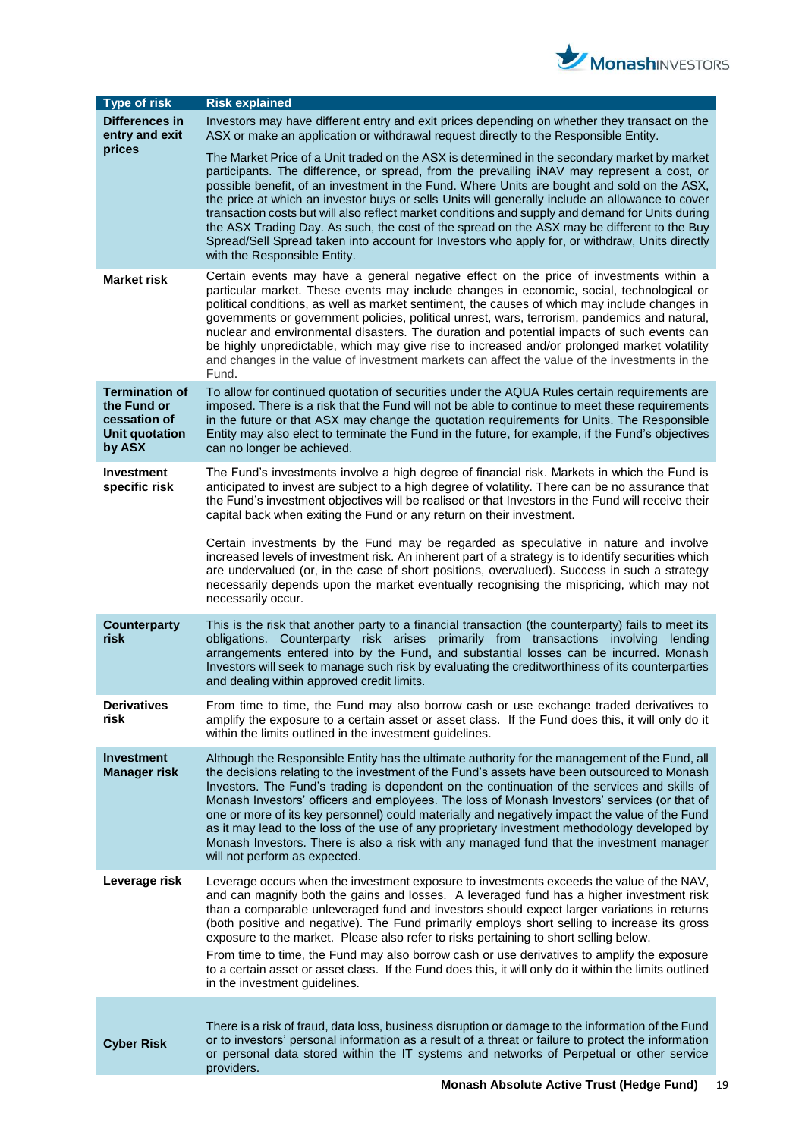

| <b>Type of risk</b>                                                                     | <b>Risk explained</b>                                                                                                                                                                                                                                                                                                                                                                                                                                                                                                                                                                                                                                                                                                             |
|-----------------------------------------------------------------------------------------|-----------------------------------------------------------------------------------------------------------------------------------------------------------------------------------------------------------------------------------------------------------------------------------------------------------------------------------------------------------------------------------------------------------------------------------------------------------------------------------------------------------------------------------------------------------------------------------------------------------------------------------------------------------------------------------------------------------------------------------|
| Differences in<br>entry and exit                                                        | Investors may have different entry and exit prices depending on whether they transact on the<br>ASX or make an application or withdrawal request directly to the Responsible Entity.                                                                                                                                                                                                                                                                                                                                                                                                                                                                                                                                              |
| prices                                                                                  | The Market Price of a Unit traded on the ASX is determined in the secondary market by market<br>participants. The difference, or spread, from the prevailing iNAV may represent a cost, or<br>possible benefit, of an investment in the Fund. Where Units are bought and sold on the ASX,<br>the price at which an investor buys or sells Units will generally include an allowance to cover<br>transaction costs but will also reflect market conditions and supply and demand for Units during<br>the ASX Trading Day. As such, the cost of the spread on the ASX may be different to the Buy<br>Spread/Sell Spread taken into account for Investors who apply for, or withdraw, Units directly<br>with the Responsible Entity. |
| <b>Market risk</b>                                                                      | Certain events may have a general negative effect on the price of investments within a<br>particular market. These events may include changes in economic, social, technological or<br>political conditions, as well as market sentiment, the causes of which may include changes in<br>governments or government policies, political unrest, wars, terrorism, pandemics and natural,<br>nuclear and environmental disasters. The duration and potential impacts of such events can<br>be highly unpredictable, which may give rise to increased and/or prolonged market volatility<br>and changes in the value of investment markets can affect the value of the investments in the<br>Fund.                                     |
| <b>Termination of</b><br>the Fund or<br>cessation of<br><b>Unit quotation</b><br>by ASX | To allow for continued quotation of securities under the AQUA Rules certain requirements are<br>imposed. There is a risk that the Fund will not be able to continue to meet these requirements<br>in the future or that ASX may change the quotation requirements for Units. The Responsible<br>Entity may also elect to terminate the Fund in the future, for example, if the Fund's objectives<br>can no longer be achieved.                                                                                                                                                                                                                                                                                                    |
| Investment<br>specific risk                                                             | The Fund's investments involve a high degree of financial risk. Markets in which the Fund is<br>anticipated to invest are subject to a high degree of volatility. There can be no assurance that<br>the Fund's investment objectives will be realised or that Investors in the Fund will receive their<br>capital back when exiting the Fund or any return on their investment.                                                                                                                                                                                                                                                                                                                                                   |
|                                                                                         | Certain investments by the Fund may be regarded as speculative in nature and involve<br>increased levels of investment risk. An inherent part of a strategy is to identify securities which<br>are undervalued (or, in the case of short positions, overvalued). Success in such a strategy<br>necessarily depends upon the market eventually recognising the mispricing, which may not<br>necessarily occur.                                                                                                                                                                                                                                                                                                                     |
| <b>Counterparty</b><br>risk                                                             | This is the risk that another party to a financial transaction (the counterparty) fails to meet its<br>obligations. Counterparty risk arises primarily from transactions involving lending<br>arrangements entered into by the Fund, and substantial losses can be incurred. Monash<br>Investors will seek to manage such risk by evaluating the creditworthiness of its counterparties<br>and dealing within approved credit limits.                                                                                                                                                                                                                                                                                             |
| Derivatives<br>risk                                                                     | From time to time, the Fund may also borrow cash or use exchange traded derivatives to<br>amplify the exposure to a certain asset or asset class. If the Fund does this, it will only do it<br>within the limits outlined in the investment guidelines.                                                                                                                                                                                                                                                                                                                                                                                                                                                                           |
| <b>Investment</b><br><b>Manager risk</b>                                                | Although the Responsible Entity has the ultimate authority for the management of the Fund, all<br>the decisions relating to the investment of the Fund's assets have been outsourced to Monash<br>Investors. The Fund's trading is dependent on the continuation of the services and skills of<br>Monash Investors' officers and employees. The loss of Monash Investors' services (or that of<br>one or more of its key personnel) could materially and negatively impact the value of the Fund<br>as it may lead to the loss of the use of any proprietary investment methodology developed by<br>Monash Investors. There is also a risk with any managed fund that the investment manager<br>will not perform as expected.     |
| Leverage risk                                                                           | Leverage occurs when the investment exposure to investments exceeds the value of the NAV,<br>and can magnify both the gains and losses. A leveraged fund has a higher investment risk<br>than a comparable unleveraged fund and investors should expect larger variations in returns<br>(both positive and negative). The Fund primarily employs short selling to increase its gross<br>exposure to the market. Please also refer to risks pertaining to short selling below.<br>From time to time, the Fund may also borrow cash or use derivatives to amplify the exposure<br>to a certain asset or asset class. If the Fund does this, it will only do it within the limits outlined<br>in the investment guidelines.          |
| <b>Cyber Risk</b>                                                                       | There is a risk of fraud, data loss, business disruption or damage to the information of the Fund<br>or to investors' personal information as a result of a threat or failure to protect the information<br>or personal data stored within the IT systems and networks of Perpetual or other service<br>providers.                                                                                                                                                                                                                                                                                                                                                                                                                |
|                                                                                         | Monach Absolute Active Trust (Hedge Fund)                                                                                                                                                                                                                                                                                                                                                                                                                                                                                                                                                                                                                                                                                         |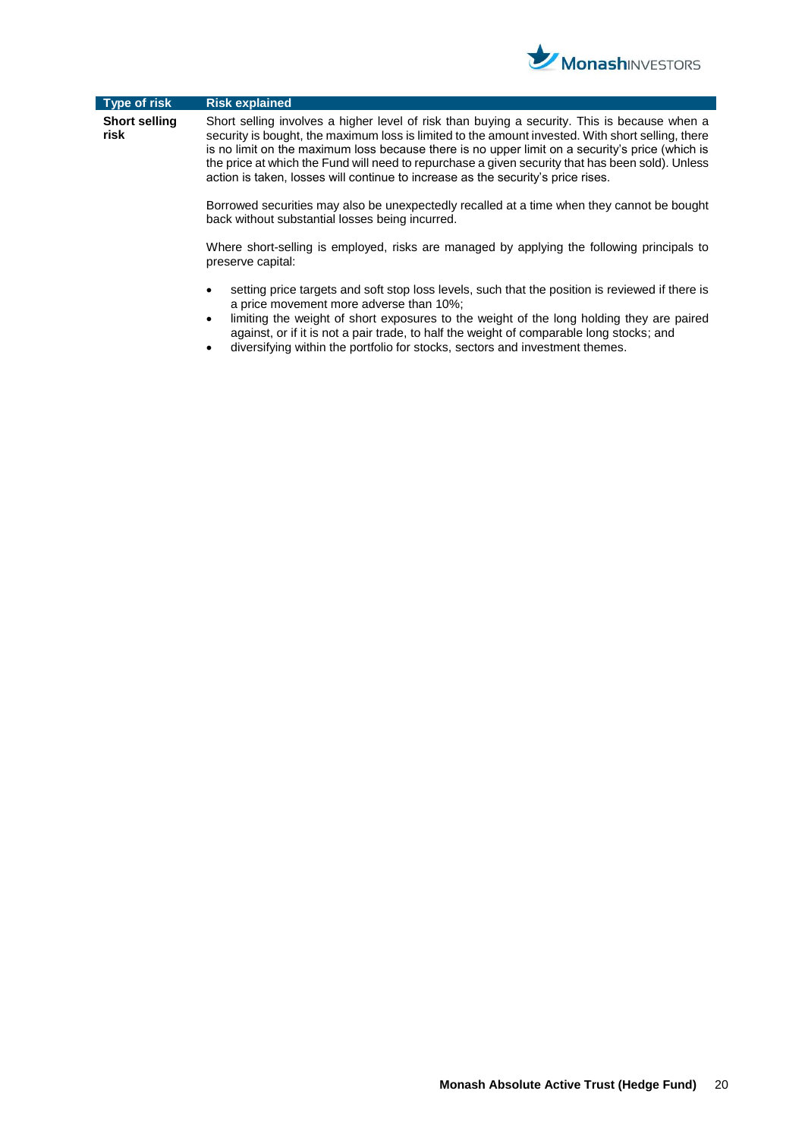

| Type of risk                 | <b>Risk explained</b>                                                                                                                                                                                                                                                                                                                                                                                                                                                                        |
|------------------------------|----------------------------------------------------------------------------------------------------------------------------------------------------------------------------------------------------------------------------------------------------------------------------------------------------------------------------------------------------------------------------------------------------------------------------------------------------------------------------------------------|
| <b>Short selling</b><br>risk | Short selling involves a higher level of risk than buying a security. This is because when a<br>security is bought, the maximum loss is limited to the amount invested. With short selling, there<br>is no limit on the maximum loss because there is no upper limit on a security's price (which is<br>the price at which the Fund will need to repurchase a given security that has been sold). Unless<br>action is taken, losses will continue to increase as the security's price rises. |
|                              | Borrowed securities may also be unexpectedly recalled at a time when they cannot be bought<br>back without substantial losses being incurred.                                                                                                                                                                                                                                                                                                                                                |
|                              | Where short-selling is employed, risks are managed by applying the following principals to<br>preserve capital:                                                                                                                                                                                                                                                                                                                                                                              |
|                              | setting price targets and soft stop loss levels, such that the position is reviewed if there is<br>$\bullet$<br>a price movement more adverse than 10%;                                                                                                                                                                                                                                                                                                                                      |

- limiting the weight of short exposures to the weight of the long holding they are paired against, or if it is not a pair trade, to half the weight of comparable long stocks; and
- diversifying within the portfolio for stocks, sectors and investment themes.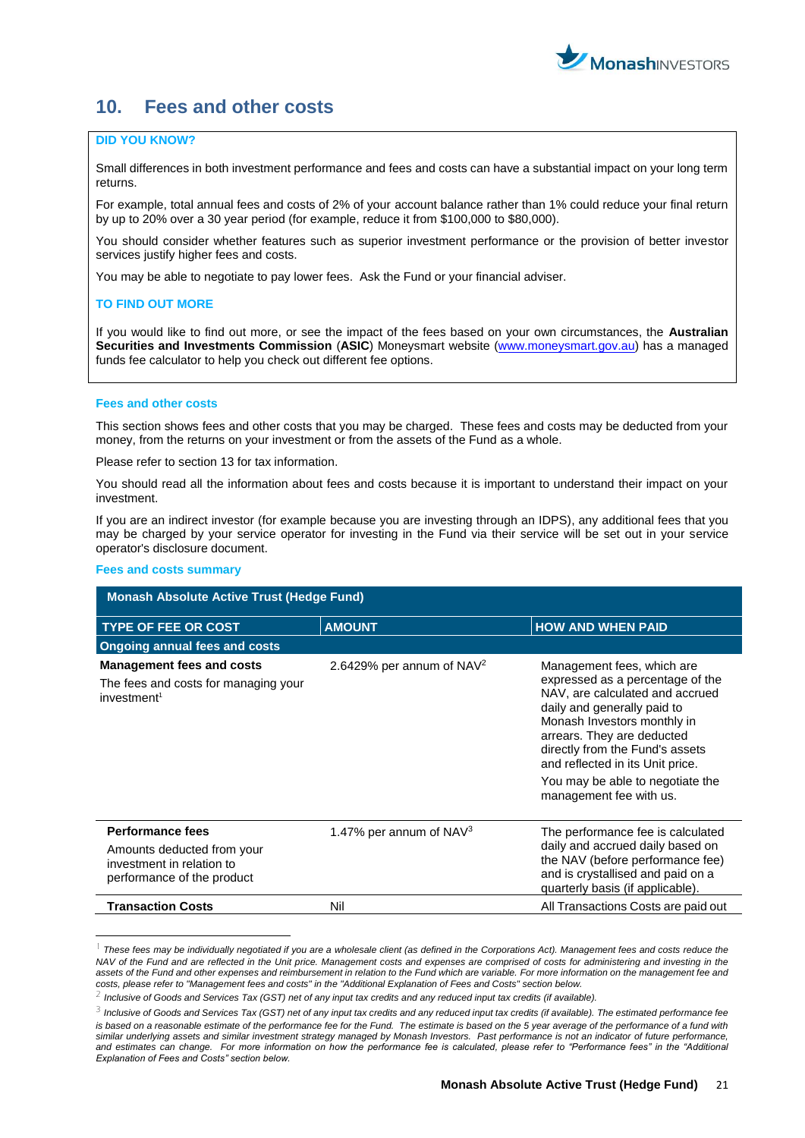

# <span id="page-20-0"></span>**10. Fees and other costs**

# **DID YOU KNOW?**

Small differences in both investment performance and fees and costs can have a substantial impact on your long term returns.

For example, total annual fees and costs of 2% of your account balance rather than 1% could reduce your final return by up to 20% over a 30 year period (for example, reduce it from \$100,000 to \$80,000).

You should consider whether features such as superior investment performance or the provision of better investor services justify higher fees and costs.

You may be able to negotiate to pay lower fees. Ask the Fund or your financial adviser.

# **TO FIND OUT MORE**

If you would like to find out more, or see the impact of the fees based on your own circumstances, the **Australian Securities and Investments Commission** (**ASIC**) Moneysmart website [\(www.moneysmart.gov.au\)](http://www.moneysmart.gov.au/) has a managed funds fee calculator to help you check out different fee options.

#### **Fees and other costs**

This section shows fees and other costs that you may be charged. These fees and costs may be deducted from your money, from the returns on your investment or from the assets of the Fund as a whole.

Please refer to section 13 for tax information.

You should read all the information about fees and costs because it is important to understand their impact on your investment.

If you are an indirect investor (for example because you are investing through an IDPS), any additional fees that you may be charged by your service operator for investing in the Fund via their service will be set out in your service operator's disclosure document.

#### **Fees and costs summary**

 $\overline{a}$ 

| <b>Monash Absolute Active Trust (Hedge Fund)</b>                                                                 |                                     |                                                                                                                                                                                                                                                                                                                                     |
|------------------------------------------------------------------------------------------------------------------|-------------------------------------|-------------------------------------------------------------------------------------------------------------------------------------------------------------------------------------------------------------------------------------------------------------------------------------------------------------------------------------|
| <b>TYPE OF FEE OR COST</b>                                                                                       | <b>AMOUNT</b>                       | <b>HOW AND WHEN PAID</b>                                                                                                                                                                                                                                                                                                            |
| <b>Ongoing annual fees and costs</b>                                                                             |                                     |                                                                                                                                                                                                                                                                                                                                     |
| <b>Management fees and costs</b><br>The fees and costs for managing your<br>investment <sup>1</sup>              | 2.6429% per annum of $NAV2$         | Management fees, which are<br>expressed as a percentage of the<br>NAV, are calculated and accrued<br>daily and generally paid to<br>Monash Investors monthly in<br>arrears. They are deducted<br>directly from the Fund's assets<br>and reflected in its Unit price.<br>You may be able to negotiate the<br>management fee with us. |
| <b>Performance fees</b><br>Amounts deducted from your<br>investment in relation to<br>performance of the product | 1.47% per annum of NAV <sup>3</sup> | The performance fee is calculated<br>daily and accrued daily based on<br>the NAV (before performance fee)<br>and is crystallised and paid on a<br>quarterly basis (if applicable).                                                                                                                                                  |
| <b>Transaction Costs</b>                                                                                         | Nil                                 | All Transactions Costs are paid out                                                                                                                                                                                                                                                                                                 |

<sup>1</sup> *These fees may be individually negotiated if you are a wholesale client (as defined in the Corporations Act). Management fees and costs reduce the NAV of the Fund and are reflected in the Unit price. Management costs and expenses are comprised of costs for administering and investing in the assets of the Fund and other expenses and reimbursement in relation to the Fund which are variable. For more information on the management fee and costs, please refer to "Management fees and costs" in the "Additional Explanation of Fees and Costs" section below.*

2 *Inclusive of Goods and Services Tax (GST) net of any input tax credits and any reduced input tax credits (if available).*

<sup>&</sup>lt;sup>3</sup> Inclusive of Goods and Services Tax (GST) net of any input tax credits and any reduced input tax credits (if available). The estimated performance fee is based on a reasonable estimate of the performance fee for the Fund. The estimate is based on the 5 year average of the performance of a fund with *similar underlying assets and similar investment strategy managed by Monash Investors. Past performance is not an indicator of future performance, and estimates can change. For more information on how the performance fee is calculated, please refer to "Performance fees" in the "Additional Explanation of Fees and Costs" section below.*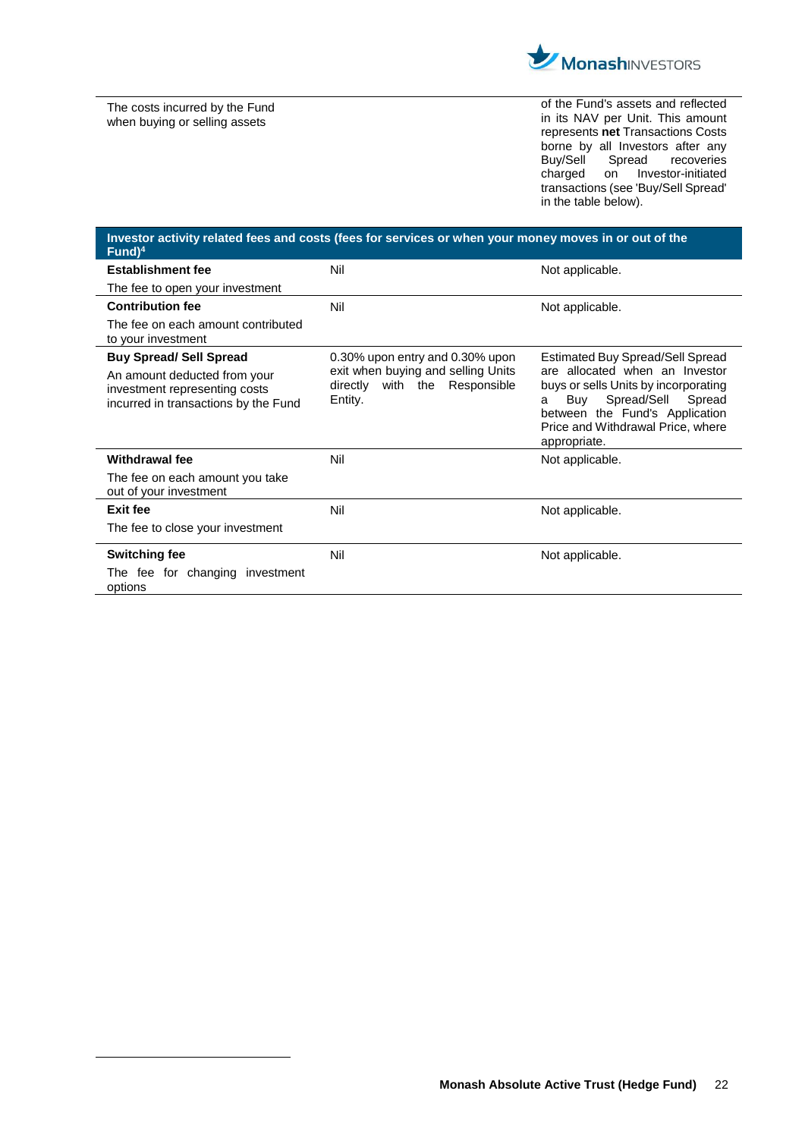

The costs incurred by the Fund when buying or selling assets

 $\overline{a}$ 

of the Fund's assets and reflected in its NAV per Unit. This amount represents **net** Transactions Costs borne by all Investors after any Buy/Sell Spread recoveries charged on Investor-initiated transactions (see 'Buy/Sell Spread' in the table below).

| Investor activity related fees and costs (fees for services or when your money moves in or out of the<br>$Fund)^4$ |                                                                                |                                                                                                                                                                                              |
|--------------------------------------------------------------------------------------------------------------------|--------------------------------------------------------------------------------|----------------------------------------------------------------------------------------------------------------------------------------------------------------------------------------------|
| <b>Establishment fee</b>                                                                                           | Nil                                                                            | Not applicable.                                                                                                                                                                              |
| The fee to open your investment                                                                                    |                                                                                |                                                                                                                                                                                              |
| <b>Contribution fee</b>                                                                                            | Nil                                                                            | Not applicable.                                                                                                                                                                              |
| The fee on each amount contributed<br>to your investment                                                           |                                                                                |                                                                                                                                                                                              |
| <b>Buy Spread/ Sell Spread</b>                                                                                     | 0.30% upon entry and 0.30% upon                                                | <b>Estimated Buy Spread/Sell Spread</b>                                                                                                                                                      |
| An amount deducted from your<br>investment representing costs<br>incurred in transactions by the Fund              | exit when buying and selling Units<br>directly with the Responsible<br>Entity. | are allocated when an Investor<br>buys or sells Units by incorporating<br>Buy Spread/Sell Spread<br>a<br>between the Fund's Application<br>Price and Withdrawal Price, where<br>appropriate. |
| <b>Withdrawal fee</b>                                                                                              | Nil                                                                            | Not applicable.                                                                                                                                                                              |
| The fee on each amount you take<br>out of your investment                                                          |                                                                                |                                                                                                                                                                                              |
| Exit fee                                                                                                           | Nil                                                                            | Not applicable.                                                                                                                                                                              |
| The fee to close your investment                                                                                   |                                                                                |                                                                                                                                                                                              |
| <b>Switching fee</b><br>The fee for changing investment<br>options                                                 | Nil                                                                            | Not applicable.                                                                                                                                                                              |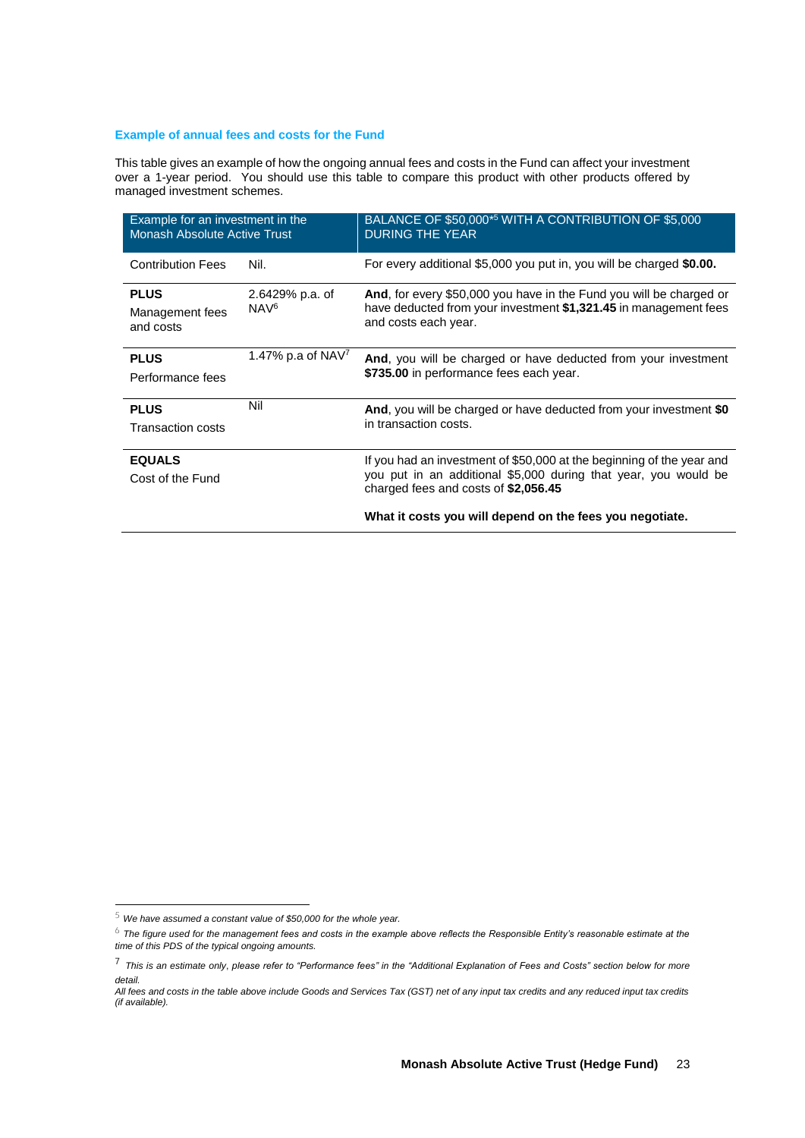# **Example of annual fees and costs for the Fund**

This table gives an example of how the ongoing annual fees and costs in the Fund can affect your investment over a 1-year period. You should use this table to compare this product with other products offered by managed investment schemes.

| Example for an investment in the<br><b>Monash Absolute Active Trust</b> |                                     | BALANCE OF \$50,000 <sup>*5</sup> WITH A CONTRIBUTION OF \$5,000<br><b>DURING THE YEAR</b>                                                                                       |
|-------------------------------------------------------------------------|-------------------------------------|----------------------------------------------------------------------------------------------------------------------------------------------------------------------------------|
| <b>Contribution Fees</b>                                                | Nil.                                | For every additional \$5,000 you put in, you will be charged \$0.00.                                                                                                             |
| <b>PLUS</b><br>Management fees<br>and costs                             | 2.6429% p.a. of<br>NAV <sup>6</sup> | And, for every \$50,000 you have in the Fund you will be charged or<br>have deducted from your investment \$1,321.45 in management fees<br>and costs each year.                  |
| <b>PLUS</b><br>Performance fees                                         | 1.47% p.a of NAV <sup>7</sup>       | And, you will be charged or have deducted from your investment<br>\$735.00 in performance fees each year.                                                                        |
| <b>PLUS</b><br>Transaction costs                                        | Nil                                 | And, you will be charged or have deducted from your investment \$0<br>in transaction costs.                                                                                      |
| <b>EQUALS</b><br>Cost of the Fund                                       |                                     | If you had an investment of \$50,000 at the beginning of the year and<br>you put in an additional \$5,000 during that year, you would be<br>charged fees and costs of \$2,056.45 |
|                                                                         |                                     | What it costs you will depend on the fees you negotiate.                                                                                                                         |

1

<sup>5</sup> *We have assumed a constant value of \$50,000 for the whole year.*

<sup>6</sup> *The figure used for the management fees and costs in the example above reflects the Responsible Entity's reasonable estimate at the time of this PDS of the typical ongoing amounts.* 

<sup>7</sup> *This is an estimate only*, *please refer to "Performance fees" in the "Additional Explanation of Fees and Costs" section below for more detail.*

*All fees and costs in the table above include Goods and Services Tax (GST) net of any input tax credits and any reduced input tax credits (if available).*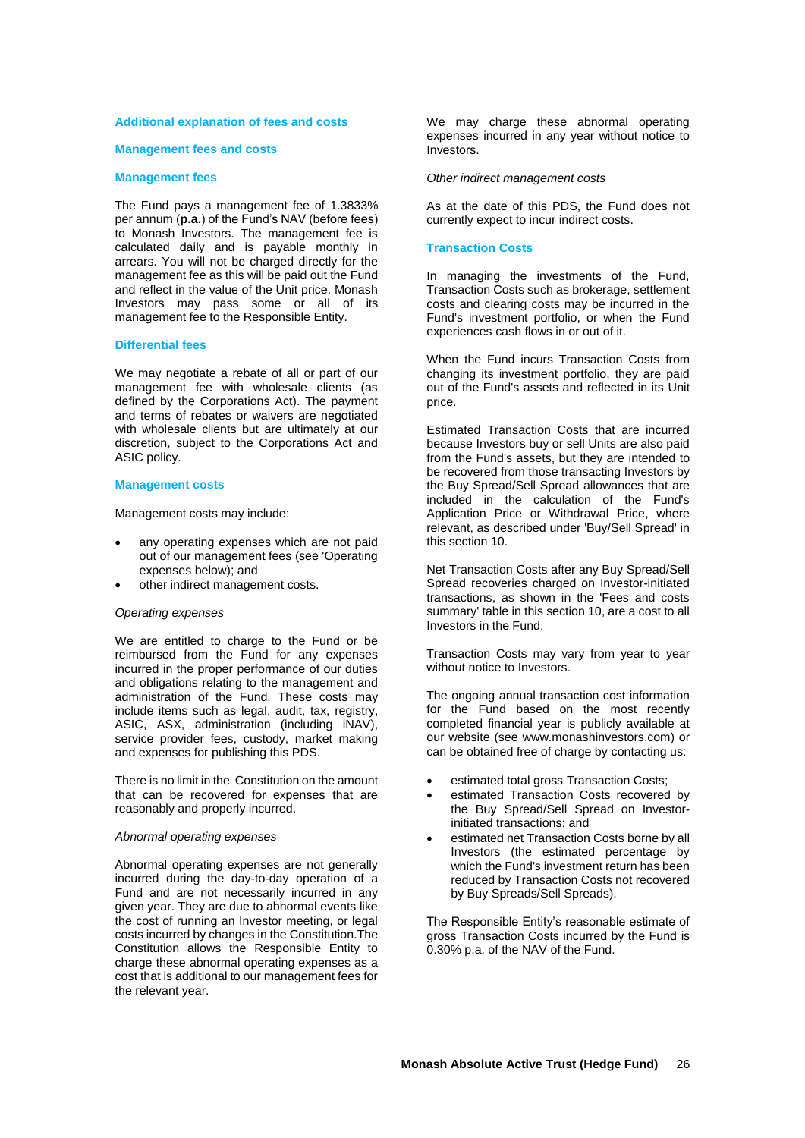#### **Additional explanation of fees and costs**

#### **Management fees and costs**

#### **Management fees**

The Fund pays a management fee of 1.3833% per annum (**p.a.**) of the Fund's NAV (before fees) to Monash Investors. The management fee is calculated daily and is payable monthly in arrears. You will not be charged directly for the management fee as this will be paid out the Fund and reflect in the value of the Unit price. Monash Investors may pass some or all of its management fee to the Responsible Entity.

#### **Differential fees**

We may negotiate a rebate of all or part of our management fee with wholesale clients (as defined by the Corporations Act). The payment and terms of rebates or waivers are negotiated with wholesale clients but are ultimately at our discretion, subject to the Corporations Act and ASIC policy.

#### **Management costs**

Management costs may include:

- any operating expenses which are not paid out of our management fees (see 'Operating expenses below); and
- other indirect management costs.

#### *Operating expenses*

We are entitled to charge to the Fund or be reimbursed from the Fund for any expenses incurred in the proper performance of our duties and obligations relating to the management and administration of the Fund. These costs may include items such as legal, audit, tax, registry, ASIC, ASX, administration (including iNAV), service provider fees, custody, market making and expenses for publishing this PDS.

There is no limit in the Constitution on the amount that can be recovered for expenses that are reasonably and properly incurred.

#### *Abnormal operating expenses*

Abnormal operating expenses are not generally incurred during the day-to-day operation of a Fund and are not necessarily incurred in any given year. They are due to abnormal events like the cost of running an Investor meeting, or legal costs incurred by changes in the Constitution.The Constitution allows the Responsible Entity to charge these abnormal operating expenses as a cost that is additional to our management fees for the relevant year.

We may charge these abnormal operating expenses incurred in any year without notice to Investors.

#### *Other indirect management costs*

As at the date of this PDS, the Fund does not currently expect to incur indirect costs.

# **Transaction Costs**

In managing the investments of the Fund, Transaction Costs such as brokerage, settlement costs and clearing costs may be incurred in the Fund's investment portfolio, or when the Fund experiences cash flows in or out of it.

When the Fund incurs Transaction Costs from changing its investment portfolio, they are paid out of the Fund's assets and reflected in its Unit price.

Estimated Transaction Costs that are incurred because Investors buy or sell Units are also paid from the Fund's assets, but they are intended to be recovered from those transacting Investors by the Buy Spread/Sell Spread allowances that are included in the calculation of the Fund's Application Price or Withdrawal Price, where relevant, as described under 'Buy/Sell Spread' in this section 10.

Net Transaction Costs after any Buy Spread/Sell Spread recoveries charged on Investor-initiated transactions, as shown in the 'Fees and costs summary' table in this section 10, are a cost to all Investors in the Fund.

Transaction Costs may vary from year to year without notice to Investors.

The ongoing annual transaction cost information for the Fund based on the most recently completed financial year is publicly available at our website (see www.monashinvestors.com) or can be obtained free of charge by contacting us:

- estimated total gross Transaction Costs;
- estimated Transaction Costs recovered by the Buy Spread/Sell Spread on Investorinitiated transactions; and
- estimated net Transaction Costs borne by all Investors (the estimated percentage by which the Fund's investment return has been reduced by Transaction Costs not recovered by Buy Spreads/Sell Spreads).

The Responsible Entity's reasonable estimate of gross Transaction Costs incurred by the Fund is 0.30% p.a. of the NAV of the Fund.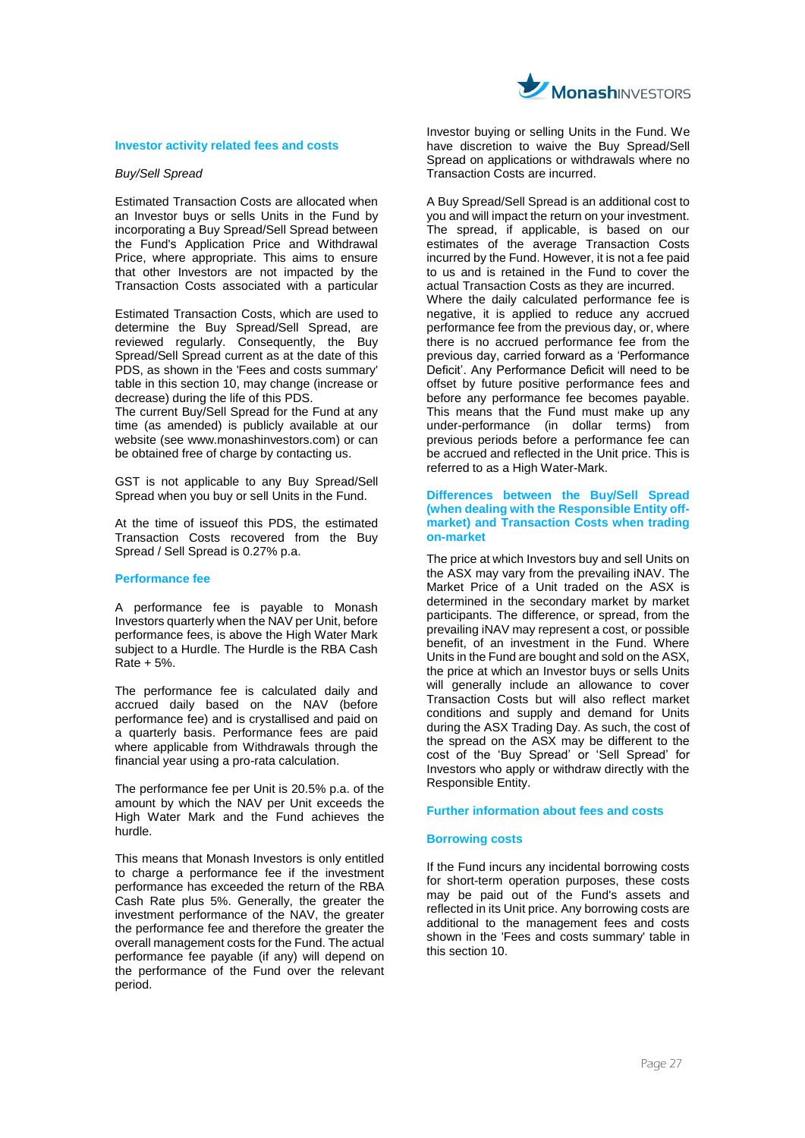

### **Investor activity related fees and costs**

#### *Buy/Sell Spread*

Estimated Transaction Costs are allocated when an Investor buys or sells Units in the Fund by incorporating a Buy Spread/Sell Spread between the Fund's Application Price and Withdrawal Price, where appropriate. This aims to ensure that other Investors are not impacted by the Transaction Costs associated with a particular

Estimated Transaction Costs, which are used to determine the Buy Spread/Sell Spread, are reviewed regularly. Consequently, the Buy Spread/Sell Spread current as at the date of this PDS, as shown in the 'Fees and costs summary' table in this section 10, may change (increase or decrease) during the life of this PDS.

The current Buy/Sell Spread for the Fund at any time (as amended) is publicly available at our website (see www.monashinvestors.com) or can be obtained free of charge by contacting us.

GST is not applicable to any Buy Spread/Sell Spread when you buy or sell Units in the Fund.

At the time of issueof this PDS, the estimated Transaction Costs recovered from the Buy Spread / Sell Spread is 0.27% p.a.

#### **Performance fee**

A performance fee is payable to Monash Investors quarterly when the NAV per Unit, before performance fees, is above the High Water Mark subject to a Hurdle. The Hurdle is the RBA Cash Rate + 5%.

The performance fee is calculated daily and accrued daily based on the NAV (before performance fee) and is crystallised and paid on a quarterly basis. Performance fees are paid where applicable from Withdrawals through the financial year using a pro-rata calculation.

The performance fee per Unit is 20.5% p.a. of the amount by which the NAV per Unit exceeds the High Water Mark and the Fund achieves the hurdle.

This means that Monash Investors is only entitled to charge a performance fee if the investment performance has exceeded the return of the RBA Cash Rate plus 5%. Generally, the greater the investment performance of the NAV, the greater the performance fee and therefore the greater the overall management costs for the Fund. The actual performance fee payable (if any) will depend on the performance of the Fund over the relevant period.

Investor buying or selling Units in the Fund. We have discretion to waive the Buy Spread/Sell Spread on applications or withdrawals where no Transaction Costs are incurred.

A Buy Spread/Sell Spread is an additional cost to you and will impact the return on your investment. The spread, if applicable, is based on our estimates of the average Transaction Costs incurred by the Fund. However, it is not a fee paid to us and is retained in the Fund to cover the actual Transaction Costs as they are incurred. Where the daily calculated performance fee is negative, it is applied to reduce any accrued performance fee from the previous day, or, where there is no accrued performance fee from the previous day, carried forward as a 'Performance Deficit'. Any Performance Deficit will need to be offset by future positive performance fees and before any performance fee becomes payable. This means that the Fund must make up any under-performance (in dollar terms) from previous periods before a performance fee can be accrued and reflected in the Unit price. This is referred to as a High Water-Mark.

### **Differences between the Buy/Sell Spread (when dealing with the Responsible Entity offmarket) and Transaction Costs when trading on-market**

The price at which Investors buy and sell Units on the ASX may vary from the prevailing iNAV. The Market Price of a Unit traded on the ASX is determined in the secondary market by market participants. The difference, or spread, from the prevailing iNAV may represent a cost, or possible benefit, of an investment in the Fund. Where Units in the Fund are bought and sold on the ASX, the price at which an Investor buys or sells Units will generally include an allowance to cover Transaction Costs but will also reflect market conditions and supply and demand for Units during the ASX Trading Day. As such, the cost of the spread on the ASX may be different to the cost of the 'Buy Spread' or 'Sell Spread' for Investors who apply or withdraw directly with the Responsible Entity.

#### **Further information about fees and costs**

#### **Borrowing costs**

If the Fund incurs any incidental borrowing costs for short-term operation purposes, these costs may be paid out of the Fund's assets and reflected in its Unit price. Any borrowing costs are additional to the management fees and costs shown in the 'Fees and costs summary' table in this section 10.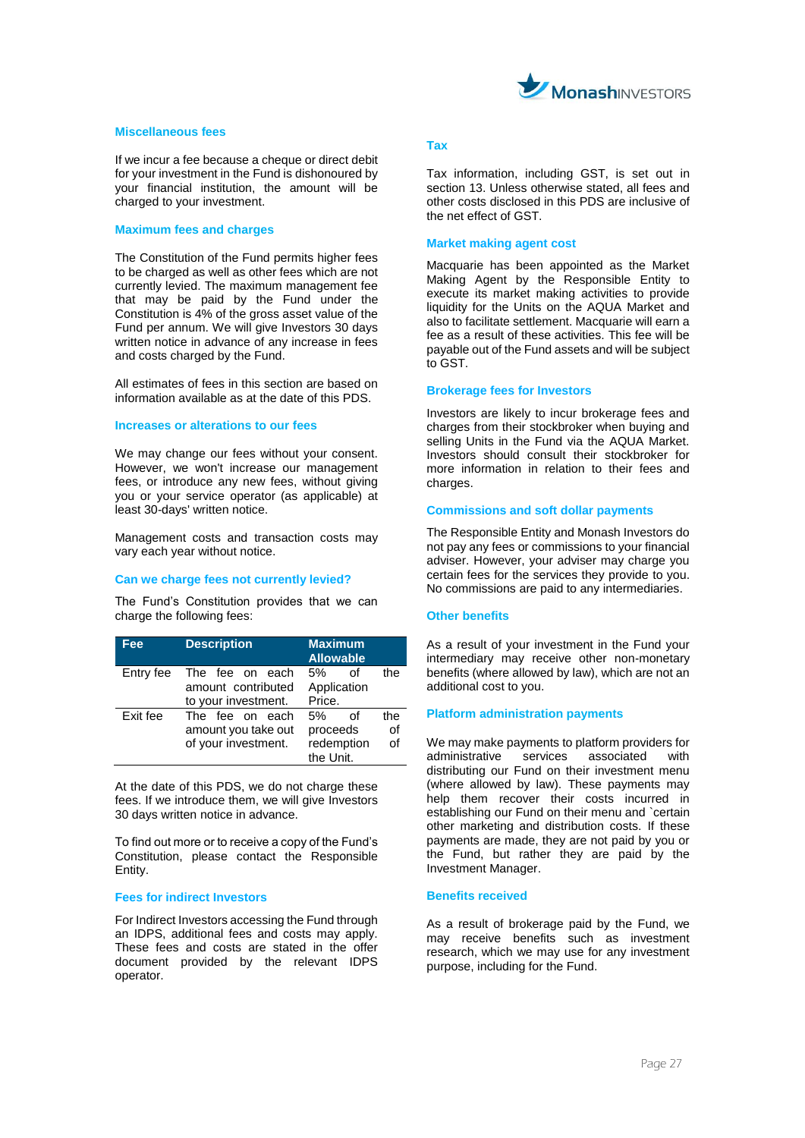

#### **Miscellaneous fees**

If we incur a fee because a cheque or direct debit for your investment in the Fund is dishonoured by your financial institution, the amount will be charged to your investment.

#### **Maximum fees and charges**

The Constitution of the Fund permits higher fees to be charged as well as other fees which are not currently levied. The maximum management fee that may be paid by the Fund under the Constitution is 4% of the gross asset value of the Fund per annum. We will give Investors 30 days written notice in advance of any increase in fees and costs charged by the Fund.

All estimates of fees in this section are based on information available as at the date of this PDS.

### **Increases or alterations to our fees**

We may change our fees without your consent. However, we won't increase our management fees, or introduce any new fees, without giving you or your service operator (as applicable) at least 30-days' written notice.

Management costs and transaction costs may vary each year without notice.

#### **Can we charge fees not currently levied?**

The Fund's Constitution provides that we can charge the following fees:

| Fee       | <b>Description</b>  | <b>Maximum</b><br><b>Allowable</b> |          |
|-----------|---------------------|------------------------------------|----------|
| Entry fee | The fee on each     | 5%<br>Ωf                           | the      |
|           | amount contributed  | Application                        |          |
|           | to your investment. | Price.                             |          |
| Exit fee  | The fee on each     | 5%                                 | the      |
|           | amount you take out | proceeds                           | of       |
|           | of your investment. | redemption                         | $\Omega$ |
|           |                     | the Unit.                          |          |

At the date of this PDS, we do not charge these fees. If we introduce them, we will give Investors 30 days written notice in advance.

To find out more or to receive a copy of the Fund's Constitution, please contact the Responsible Entity.

# **Fees for indirect Investors**

For Indirect Investors accessing the Fund through an IDPS, additional fees and costs may apply. These fees and costs are stated in the offer document provided by the relevant IDPS operator.

# **Tax**

Tax information, including GST, is set out in section 13. Unless otherwise stated, all fees and other costs disclosed in this PDS are inclusive of the net effect of GST.

# **Market making agent cost**

Macquarie has been appointed as the Market Making Agent by the Responsible Entity to execute its market making activities to provide liquidity for the Units on the AQUA Market and also to facilitate settlement. Macquarie will earn a fee as a result of these activities. This fee will be payable out of the Fund assets and will be subject to GST.

#### **Brokerage fees for Investors**

Investors are likely to incur brokerage fees and charges from their stockbroker when buying and selling Units in the Fund via the AQUA Market. Investors should consult their stockbroker for more information in relation to their fees and charges.

### **Commissions and soft dollar payments**

The Responsible Entity and Monash Investors do not pay any fees or commissions to your financial adviser. However, your adviser may charge you certain fees for the services they provide to you. No commissions are paid to any intermediaries.

# **Other benefits**

As a result of your investment in the Fund your intermediary may receive other non-monetary benefits (where allowed by law), which are not an additional cost to you.

#### **Platform administration payments**

We may make payments to platform providers for administrative services associated with distributing our Fund on their investment menu (where allowed by law). These payments may help them recover their costs incurred in establishing our Fund on their menu and `certain other marketing and distribution costs. If these payments are made, they are not paid by you or the Fund, but rather they are paid by the Investment Manager.

# **Benefits received**

As a result of brokerage paid by the Fund, we may receive benefits such as investment research, which we may use for any investment purpose, including for the Fund.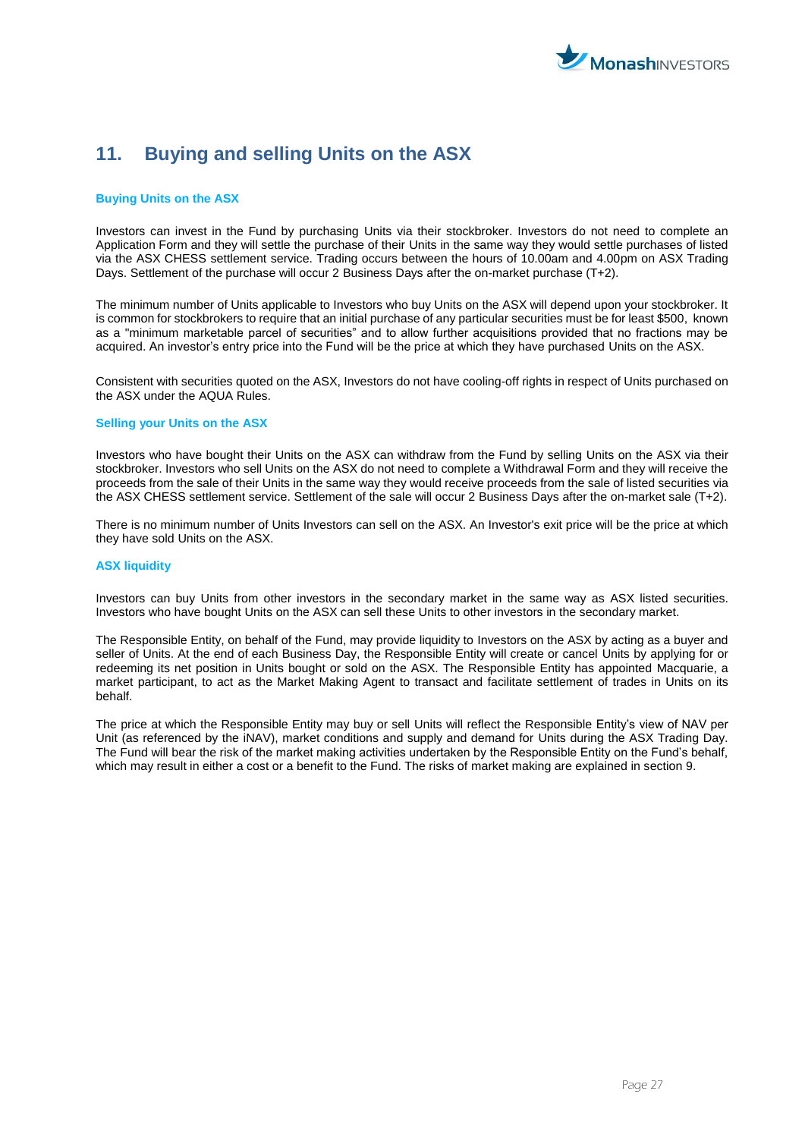

# <span id="page-26-0"></span>**11. Buying and selling Units on the ASX**

# **Buying Units on the ASX**

Investors can invest in the Fund by purchasing Units via their stockbroker. Investors do not need to complete an Application Form and they will settle the purchase of their Units in the same way they would settle purchases of listed via the ASX CHESS settlement service. Trading occurs between the hours of 10.00am and 4.00pm on ASX Trading Days. Settlement of the purchase will occur 2 Business Days after the on-market purchase (T+2).

The minimum number of Units applicable to Investors who buy Units on the ASX will depend upon your stockbroker. It is common for stockbrokers to require that an initial purchase of any particular securities must be for least \$500, known as a "minimum marketable parcel of securities" and to allow further acquisitions provided that no fractions may be acquired. An investor's entry price into the Fund will be the price at which they have purchased Units on the ASX.

Consistent with securities quoted on the ASX, Investors do not have cooling-off rights in respect of Units purchased on the ASX under the AQUA Rules.

#### **Selling your Units on the ASX**

Investors who have bought their Units on the ASX can withdraw from the Fund by selling Units on the ASX via their stockbroker. Investors who sell Units on the ASX do not need to complete a Withdrawal Form and they will receive the proceeds from the sale of their Units in the same way they would receive proceeds from the sale of listed securities via the ASX CHESS settlement service. Settlement of the sale will occur 2 Business Days after the on-market sale (T+2).

There is no minimum number of Units Investors can sell on the ASX. An Investor's exit price will be the price at which they have sold Units on the ASX.

#### **ASX liquidity**

Investors can buy Units from other investors in the secondary market in the same way as ASX listed securities. Investors who have bought Units on the ASX can sell these Units to other investors in the secondary market.

The Responsible Entity, on behalf of the Fund, may provide liquidity to Investors on the ASX by acting as a buyer and seller of Units. At the end of each Business Day, the Responsible Entity will create or cancel Units by applying for or redeeming its net position in Units bought or sold on the ASX. The Responsible Entity has appointed Macquarie, a market participant, to act as the Market Making Agent to transact and facilitate settlement of trades in Units on its behalf.

The price at which the Responsible Entity may buy or sell Units will reflect the Responsible Entity's view of NAV per Unit (as referenced by the iNAV), market conditions and supply and demand for Units during the ASX Trading Day. The Fund will bear the risk of the market making activities undertaken by the Responsible Entity on the Fund's behalf, which may result in either a cost or a benefit to the Fund. The risks of market making are explained in section 9.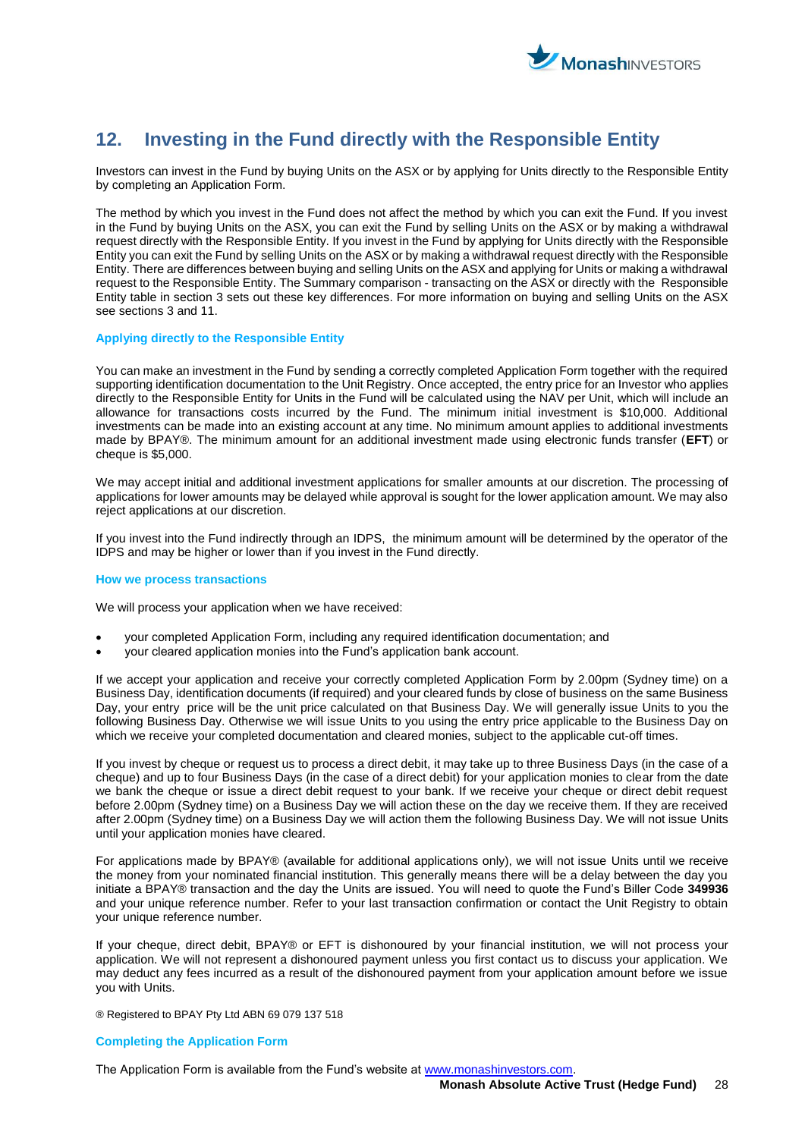

# <span id="page-27-0"></span>**12. Investing in the Fund directly with the Responsible Entity**

Investors can invest in the Fund by buying Units on the ASX or by applying for Units directly to the Responsible Entity by completing an Application Form.

The method by which you invest in the Fund does not affect the method by which you can exit the Fund. If you invest in the Fund by buying Units on the ASX, you can exit the Fund by selling Units on the ASX or by making a withdrawal request directly with the Responsible Entity. If you invest in the Fund by applying for Units directly with the Responsible Entity you can exit the Fund by selling Units on the ASX or by making a withdrawal request directly with the Responsible Entity. There are differences between buying and selling Units on the ASX and applying for Units or making a withdrawal request to the Responsible Entity. The Summary comparison - transacting on the ASX or directly with the Responsible Entity table in section 3 sets out these key differences. For more information on buying and selling Units on the ASX see sections 3 and 11.

#### **Applying directly to the Responsible Entity**

You can make an investment in the Fund by sending a correctly completed Application Form together with the required supporting identification documentation to the Unit Registry. Once accepted, the entry price for an Investor who applies directly to the Responsible Entity for Units in the Fund will be calculated using the NAV per Unit, which will include an allowance for transactions costs incurred by the Fund. The minimum initial investment is \$10,000. Additional investments can be made into an existing account at any time. No minimum amount applies to additional investments made by BPAY®. The minimum amount for an additional investment made using electronic funds transfer (**EFT**) or cheque is \$5,000.

We may accept initial and additional investment applications for smaller amounts at our discretion. The processing of applications for lower amounts may be delayed while approval is sought for the lower application amount. We may also reject applications at our discretion.

If you invest into the Fund indirectly through an IDPS, the minimum amount will be determined by the operator of the IDPS and may be higher or lower than if you invest in the Fund directly.

#### **How we process transactions**

We will process your application when we have received:

- your completed Application Form, including any required identification documentation; and
- your cleared application monies into the Fund's application bank account.

If we accept your application and receive your correctly completed Application Form by 2.00pm (Sydney time) on a Business Day, identification documents (if required) and your cleared funds by close of business on the same Business Day, your entry price will be the unit price calculated on that Business Day. We will generally issue Units to you the following Business Day. Otherwise we will issue Units to you using the entry price applicable to the Business Day on which we receive your completed documentation and cleared monies, subject to the applicable cut-off times.

If you invest by cheque or request us to process a direct debit, it may take up to three Business Days (in the case of a cheque) and up to four Business Days (in the case of a direct debit) for your application monies to clear from the date we bank the cheque or issue a direct debit request to your bank. If we receive your cheque or direct debit request before 2.00pm (Sydney time) on a Business Day we will action these on the day we receive them. If they are received after 2.00pm (Sydney time) on a Business Day we will action them the following Business Day. We will not issue Units until your application monies have cleared.

For applications made by BPAY® (available for additional applications only), we will not issue Units until we receive the money from your nominated financial institution. This generally means there will be a delay between the day you initiate a BPAY® transaction and the day the Units are issued. You will need to quote the Fund's Biller Code **349936** and your unique reference number. Refer to your last transaction confirmation or contact the Unit Registry to obtain your unique reference number.

If your cheque, direct debit, BPAY® or EFT is dishonoured by your financial institution, we will not process your application. We will not represent a dishonoured payment unless you first contact us to discuss your application. We may deduct any fees incurred as a result of the dishonoured payment from your application amount before we issue you with Units.

® Registered to BPAY Pty Ltd ABN 69 079 137 518

# **Completing the Application Form**

The Application Form is available from the Fund's website at [www.monashinvestors.com.](http://www.monashinvestors.com/)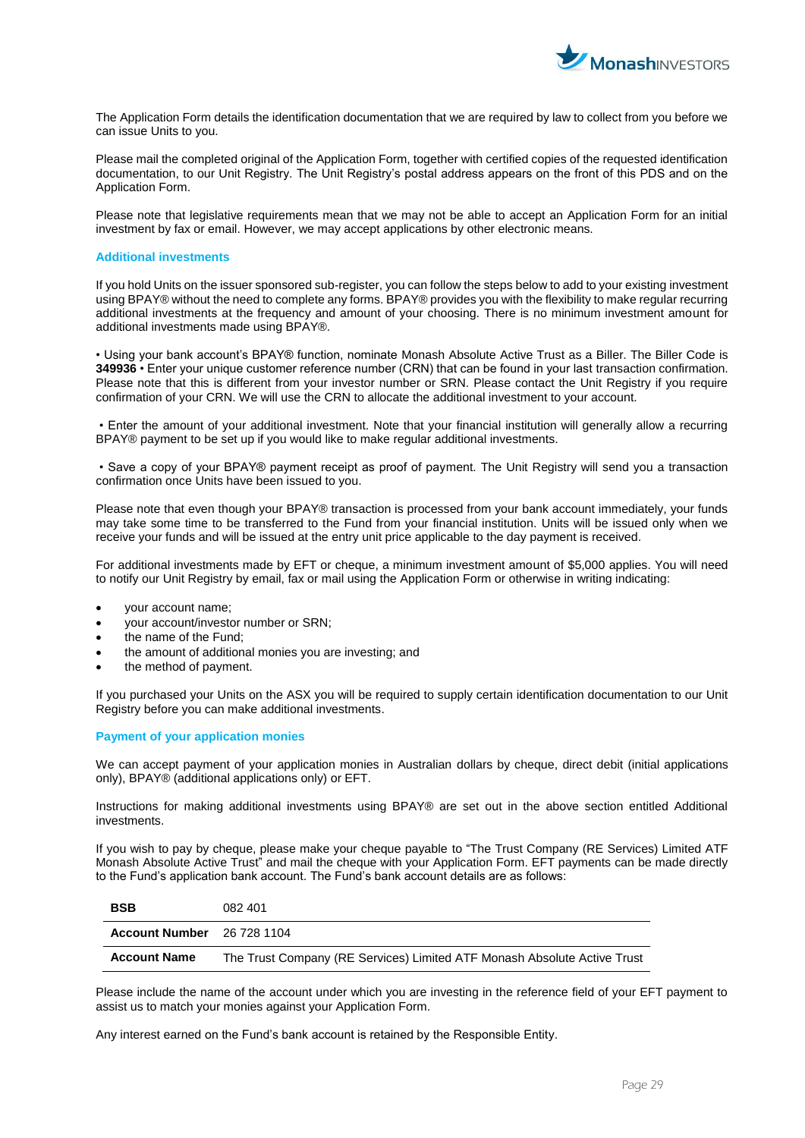

The Application Form details the identification documentation that we are required by law to collect from you before we can issue Units to you.

Please mail the completed original of the Application Form, together with certified copies of the requested identification documentation, to our Unit Registry. The Unit Registry's postal address appears on the front of this PDS and on the Application Form.

Please note that legislative requirements mean that we may not be able to accept an Application Form for an initial investment by fax or email. However, we may accept applications by other electronic means.

#### **Additional investments**

If you hold Units on the issuer sponsored sub-register, you can follow the steps below to add to your existing investment using BPAY® without the need to complete any forms. BPAY® provides you with the flexibility to make regular recurring additional investments at the frequency and amount of your choosing. There is no minimum investment amount for additional investments made using BPAY®.

• Using your bank account's BPAY® function, nominate Monash Absolute Active Trust as a Biller. The Biller Code is **349936** • Enter your unique customer reference number (CRN) that can be found in your last transaction confirmation. Please note that this is different from your investor number or SRN. Please contact the Unit Registry if you require confirmation of your CRN. We will use the CRN to allocate the additional investment to your account.

• Enter the amount of your additional investment. Note that your financial institution will generally allow a recurring BPAY® payment to be set up if you would like to make regular additional investments.

• Save a copy of your BPAY® payment receipt as proof of payment. The Unit Registry will send you a transaction confirmation once Units have been issued to you.

Please note that even though your BPAY® transaction is processed from your bank account immediately, your funds may take some time to be transferred to the Fund from your financial institution. Units will be issued only when we receive your funds and will be issued at the entry unit price applicable to the day payment is received.

For additional investments made by EFT or cheque, a minimum investment amount of \$5,000 applies. You will need to notify our Unit Registry by email, fax or mail using the Application Form or otherwise in writing indicating:

- your account name;
- your account/investor number or SRN;
- the name of the Fund:
- the amount of additional monies you are investing; and
- the method of payment.

If you purchased your Units on the ASX you will be required to supply certain identification documentation to our Unit Registry before you can make additional investments.

# **Payment of your application monies**

We can accept payment of your application monies in Australian dollars by cheque, direct debit (initial applications only), BPAY® (additional applications only) or EFT.

Instructions for making additional investments using BPAY® are set out in the above section entitled Additional investments.

If you wish to pay by cheque, please make your cheque payable to "The Trust Company (RE Services) Limited ATF Monash Absolute Active Trust" and mail the cheque with your Application Form. EFT payments can be made directly to the Fund's application bank account. The Fund's bank account details are as follows:

| <b>BSB</b>                 | 082 401                                                                  |
|----------------------------|--------------------------------------------------------------------------|
| Account Number 26 728 1104 |                                                                          |
| <b>Account Name</b>        | The Trust Company (RE Services) Limited ATF Monash Absolute Active Trust |

Please include the name of the account under which you are investing in the reference field of your EFT payment to assist us to match your monies against your Application Form.

Any interest earned on the Fund's bank account is retained by the Responsible Entity.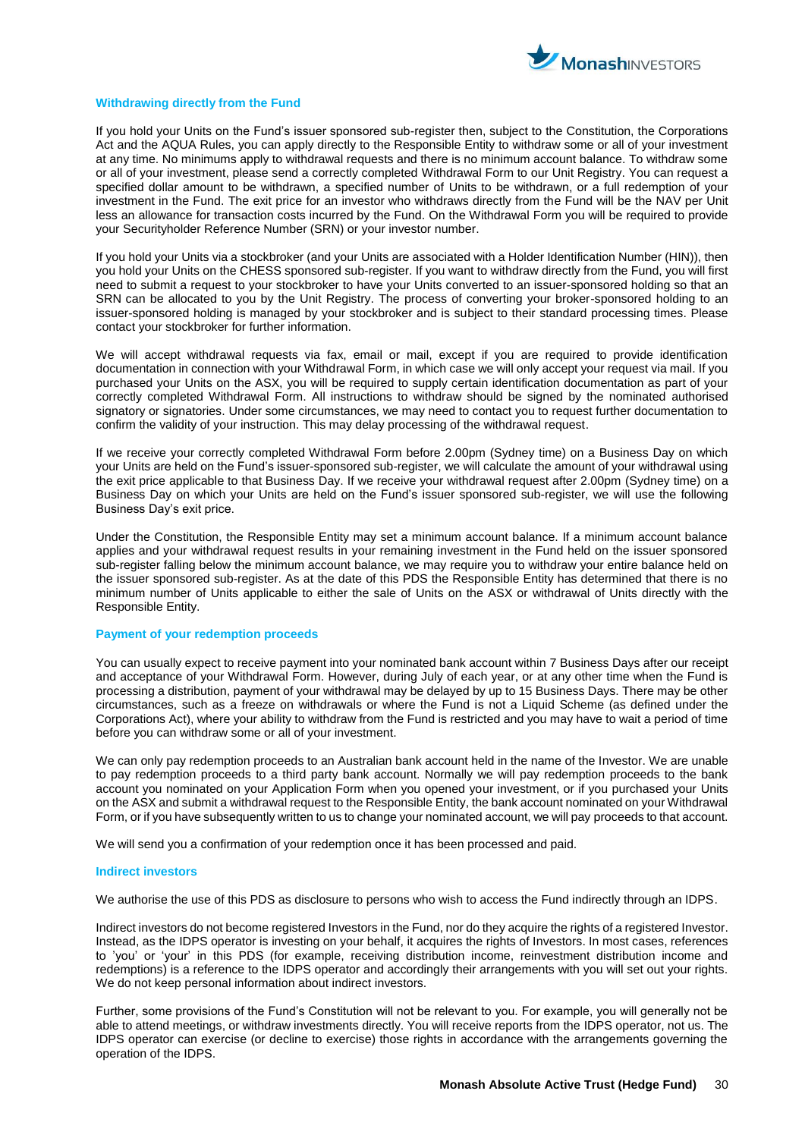

### **Withdrawing directly from the Fund**

If you hold your Units on the Fund's issuer sponsored sub-register then, subject to the Constitution, the Corporations Act and the AQUA Rules, you can apply directly to the Responsible Entity to withdraw some or all of your investment at any time. No minimums apply to withdrawal requests and there is no minimum account balance. To withdraw some or all of your investment, please send a correctly completed Withdrawal Form to our Unit Registry. You can request a specified dollar amount to be withdrawn, a specified number of Units to be withdrawn, or a full redemption of your investment in the Fund. The exit price for an investor who withdraws directly from the Fund will be the NAV per Unit less an allowance for transaction costs incurred by the Fund. On the Withdrawal Form you will be required to provide your Securityholder Reference Number (SRN) or your investor number.

If you hold your Units via a stockbroker (and your Units are associated with a Holder Identification Number (HIN)), then you hold your Units on the CHESS sponsored sub-register. If you want to withdraw directly from the Fund, you will first need to submit a request to your stockbroker to have your Units converted to an issuer-sponsored holding so that an SRN can be allocated to you by the Unit Registry. The process of converting your broker-sponsored holding to an issuer-sponsored holding is managed by your stockbroker and is subject to their standard processing times. Please contact your stockbroker for further information.

We will accept withdrawal requests via fax, email or mail, except if you are required to provide identification documentation in connection with your Withdrawal Form, in which case we will only accept your request via mail. If you purchased your Units on the ASX, you will be required to supply certain identification documentation as part of your correctly completed Withdrawal Form. All instructions to withdraw should be signed by the nominated authorised signatory or signatories. Under some circumstances, we may need to contact you to request further documentation to confirm the validity of your instruction. This may delay processing of the withdrawal request.

If we receive your correctly completed Withdrawal Form before 2.00pm (Sydney time) on a Business Day on which your Units are held on the Fund's issuer-sponsored sub-register, we will calculate the amount of your withdrawal using the exit price applicable to that Business Day. If we receive your withdrawal request after 2.00pm (Sydney time) on a Business Day on which your Units are held on the Fund's issuer sponsored sub-register, we will use the following Business Day's exit price.

Under the Constitution, the Responsible Entity may set a minimum account balance. If a minimum account balance applies and your withdrawal request results in your remaining investment in the Fund held on the issuer sponsored sub-register falling below the minimum account balance, we may require you to withdraw your entire balance held on the issuer sponsored sub-register. As at the date of this PDS the Responsible Entity has determined that there is no minimum number of Units applicable to either the sale of Units on the ASX or withdrawal of Units directly with the Responsible Entity.

#### **Payment of your redemption proceeds**

You can usually expect to receive payment into your nominated bank account within 7 Business Days after our receipt and acceptance of your Withdrawal Form. However, during July of each year, or at any other time when the Fund is processing a distribution, payment of your withdrawal may be delayed by up to 15 Business Days. There may be other circumstances, such as a freeze on withdrawals or where the Fund is not a Liquid Scheme (as defined under the Corporations Act), where your ability to withdraw from the Fund is restricted and you may have to wait a period of time before you can withdraw some or all of your investment.

We can only pay redemption proceeds to an Australian bank account held in the name of the Investor. We are unable to pay redemption proceeds to a third party bank account. Normally we will pay redemption proceeds to the bank account you nominated on your Application Form when you opened your investment, or if you purchased your Units on the ASX and submit a withdrawal request to the Responsible Entity, the bank account nominated on your Withdrawal Form, or if you have subsequently written to us to change your nominated account, we will pay proceeds to that account.

We will send you a confirmation of your redemption once it has been processed and paid.

#### **Indirect investors**

We authorise the use of this PDS as disclosure to persons who wish to access the Fund indirectly through an IDPS.

Indirect investors do not become registered Investors in the Fund, nor do they acquire the rights of a registered Investor. Instead, as the IDPS operator is investing on your behalf, it acquires the rights of Investors. In most cases, references to 'you' or 'your' in this PDS (for example, receiving distribution income, reinvestment distribution income and redemptions) is a reference to the IDPS operator and accordingly their arrangements with you will set out your rights. We do not keep personal information about indirect investors.

Further, some provisions of the Fund's Constitution will not be relevant to you. For example, you will generally not be able to attend meetings, or withdraw investments directly. You will receive reports from the IDPS operator, not us. The IDPS operator can exercise (or decline to exercise) those rights in accordance with the arrangements governing the operation of the IDPS.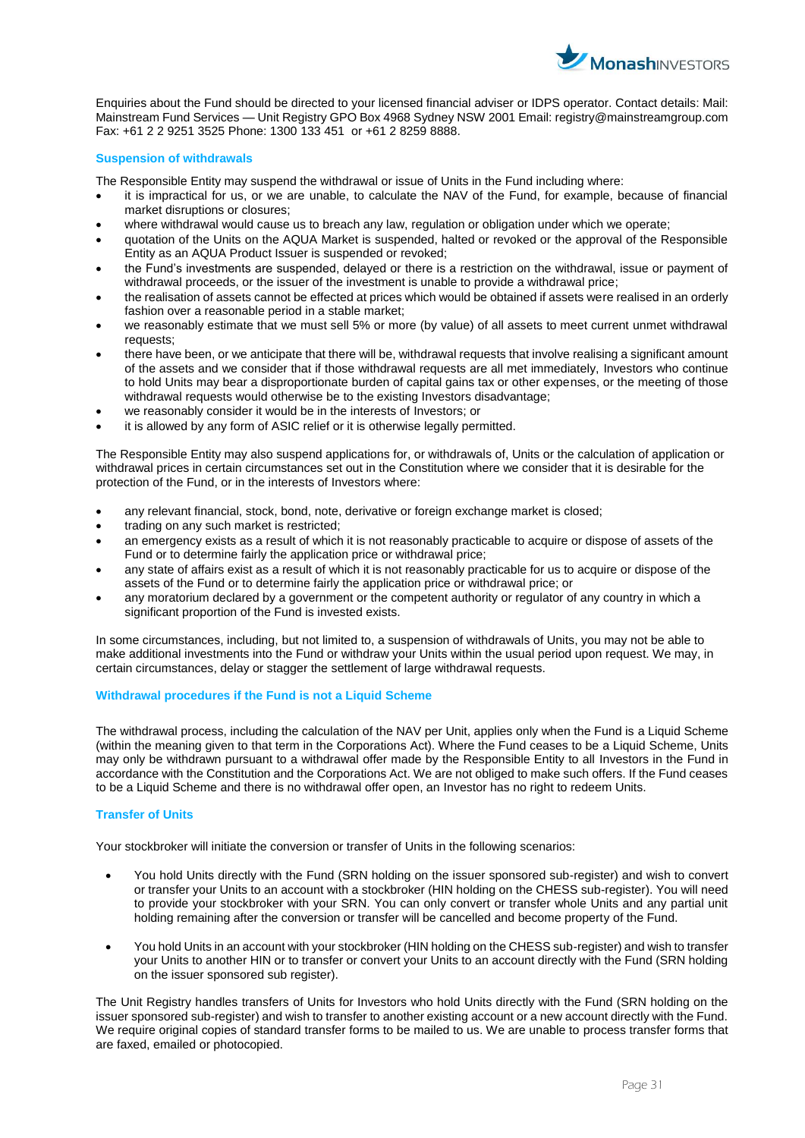

Enquiries about the Fund should be directed to your licensed financial adviser or IDPS operator. Contact details: Mail: Mainstream Fund Services — Unit Registry GPO Box 4968 Sydney NSW 2001 Email: registry@mainstreamgroup.com Fax: +61 2 2 9251 3525 Phone: 1300 133 451 or +61 2 8259 8888.

### **Suspension of withdrawals**

The Responsible Entity may suspend the withdrawal or issue of Units in the Fund including where:

- it is impractical for us, or we are unable, to calculate the NAV of the Fund, for example, because of financial market disruptions or closures;
- where withdrawal would cause us to breach any law, regulation or obligation under which we operate;
- quotation of the Units on the AQUA Market is suspended, halted or revoked or the approval of the Responsible Entity as an AQUA Product Issuer is suspended or revoked;
- the Fund's investments are suspended, delayed or there is a restriction on the withdrawal, issue or payment of withdrawal proceeds, or the issuer of the investment is unable to provide a withdrawal price;
- the realisation of assets cannot be effected at prices which would be obtained if assets were realised in an orderly fashion over a reasonable period in a stable market;
- we reasonably estimate that we must sell 5% or more (by value) of all assets to meet current unmet withdrawal requests;
- there have been, or we anticipate that there will be, withdrawal requests that involve realising a significant amount of the assets and we consider that if those withdrawal requests are all met immediately, Investors who continue to hold Units may bear a disproportionate burden of capital gains tax or other expenses, or the meeting of those withdrawal requests would otherwise be to the existing Investors disadvantage;
- we reasonably consider it would be in the interests of Investors; or
- it is allowed by any form of ASIC relief or it is otherwise legally permitted.

The Responsible Entity may also suspend applications for, or withdrawals of, Units or the calculation of application or withdrawal prices in certain circumstances set out in the Constitution where we consider that it is desirable for the protection of the Fund, or in the interests of Investors where:

- any relevant financial, stock, bond, note, derivative or foreign exchange market is closed;
- trading on any such market is restricted;
- an emergency exists as a result of which it is not reasonably practicable to acquire or dispose of assets of the Fund or to determine fairly the application price or withdrawal price;
- any state of affairs exist as a result of which it is not reasonably practicable for us to acquire or dispose of the assets of the Fund or to determine fairly the application price or withdrawal price; or
- any moratorium declared by a government or the competent authority or regulator of any country in which a significant proportion of the Fund is invested exists.

In some circumstances, including, but not limited to, a suspension of withdrawals of Units, you may not be able to make additional investments into the Fund or withdraw your Units within the usual period upon request. We may, in certain circumstances, delay or stagger the settlement of large withdrawal requests.

#### **Withdrawal procedures if the Fund is not a Liquid Scheme**

The withdrawal process, including the calculation of the NAV per Unit, applies only when the Fund is a Liquid Scheme (within the meaning given to that term in the Corporations Act). Where the Fund ceases to be a Liquid Scheme, Units may only be withdrawn pursuant to a withdrawal offer made by the Responsible Entity to all Investors in the Fund in accordance with the Constitution and the Corporations Act. We are not obliged to make such offers. If the Fund ceases to be a Liquid Scheme and there is no withdrawal offer open, an Investor has no right to redeem Units.

# **Transfer of Units**

Your stockbroker will initiate the conversion or transfer of Units in the following scenarios:

- You hold Units directly with the Fund (SRN holding on the issuer sponsored sub-register) and wish to convert or transfer your Units to an account with a stockbroker (HIN holding on the CHESS sub-register). You will need to provide your stockbroker with your SRN. You can only convert or transfer whole Units and any partial unit holding remaining after the conversion or transfer will be cancelled and become property of the Fund.
- You hold Units in an account with your stockbroker (HIN holding on the CHESS sub-register) and wish to transfer your Units to another HIN or to transfer or convert your Units to an account directly with the Fund (SRN holding on the issuer sponsored sub register).

The Unit Registry handles transfers of Units for Investors who hold Units directly with the Fund (SRN holding on the issuer sponsored sub-register) and wish to transfer to another existing account or a new account directly with the Fund. We require original copies of standard transfer forms to be mailed to us. We are unable to process transfer forms that are faxed, emailed or photocopied.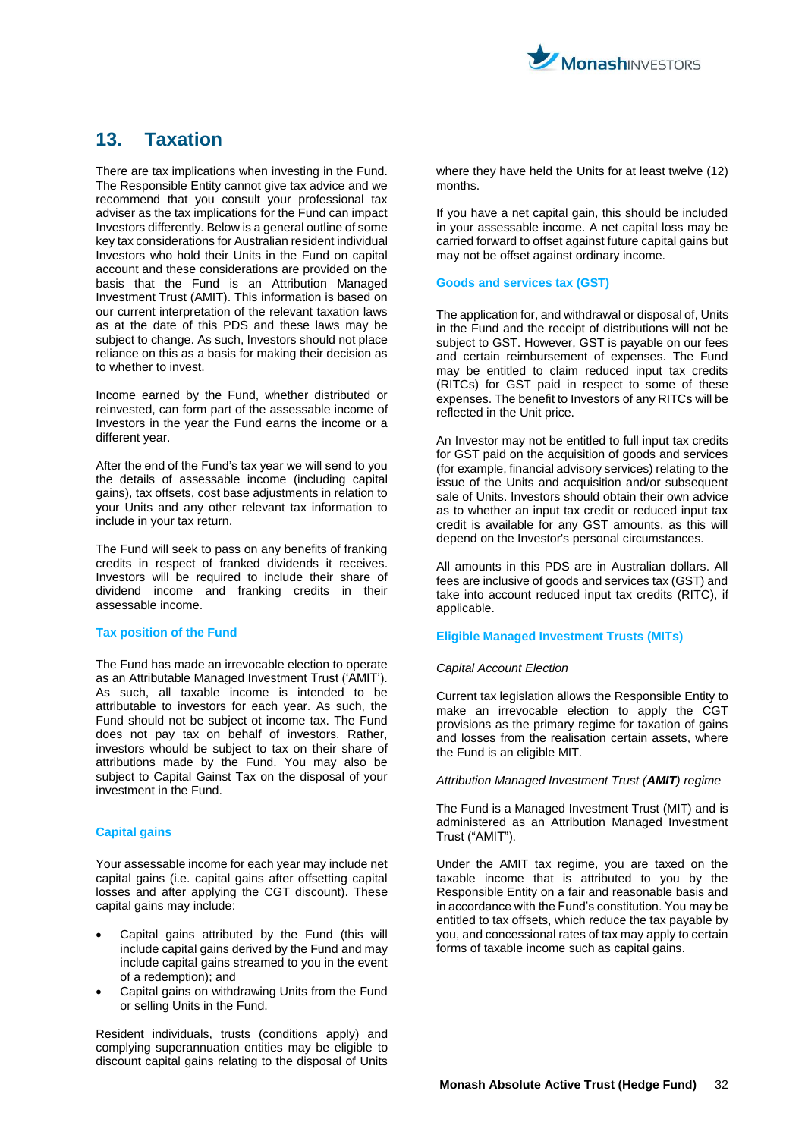

# <span id="page-31-0"></span>**13. Taxation**

There are tax implications when investing in the Fund. The Responsible Entity cannot give tax advice and we recommend that you consult your professional tax adviser as the tax implications for the Fund can impact Investors differently. Below is a general outline of some key tax considerations for Australian resident individual Investors who hold their Units in the Fund on capital account and these considerations are provided on the basis that the Fund is an Attribution Managed Investment Trust (AMIT). This information is based on our current interpretation of the relevant taxation laws as at the date of this PDS and these laws may be subject to change. As such, Investors should not place reliance on this as a basis for making their decision as to whether to invest.

Income earned by the Fund, whether distributed or reinvested, can form part of the assessable income of Investors in the year the Fund earns the income or a different year.

After the end of the Fund's tax year we will send to you the details of assessable income (including capital gains), tax offsets, cost base adjustments in relation to your Units and any other relevant tax information to include in your tax return.

The Fund will seek to pass on any benefits of franking credits in respect of franked dividends it receives. Investors will be required to include their share of dividend income and franking credits in their assessable income.

# **Tax position of the Fund**

The Fund has made an irrevocable election to operate as an Attributable Managed Investment Trust ('AMIT'). As such, all taxable income is intended to be attributable to investors for each year. As such, the Fund should not be subject ot income tax. The Fund does not pay tax on behalf of investors. Rather, investors whould be subject to tax on their share of attributions made by the Fund. You may also be subject to Capital Gainst Tax on the disposal of your investment in the Fund.

# **Capital gains**

Your assessable income for each year may include net capital gains (i.e. capital gains after offsetting capital losses and after applying the CGT discount). These capital gains may include:

- Capital gains attributed by the Fund (this will include capital gains derived by the Fund and may include capital gains streamed to you in the event of a redemption); and
- Capital gains on withdrawing Units from the Fund or selling Units in the Fund.

Resident individuals, trusts (conditions apply) and complying superannuation entities may be eligible to discount capital gains relating to the disposal of Units where they have held the Units for at least twelve (12) months.

If you have a net capital gain, this should be included in your assessable income. A net capital loss may be carried forward to offset against future capital gains but may not be offset against ordinary income.

# **Goods and services tax (GST)**

The application for, and withdrawal or disposal of, Units in the Fund and the receipt of distributions will not be subject to GST. However, GST is payable on our fees and certain reimbursement of expenses. The Fund may be entitled to claim reduced input tax credits (RITCs) for GST paid in respect to some of these expenses. The benefit to Investors of any RITCs will be reflected in the Unit price.

An Investor may not be entitled to full input tax credits for GST paid on the acquisition of goods and services (for example, financial advisory services) relating to the issue of the Units and acquisition and/or subsequent sale of Units. Investors should obtain their own advice as to whether an input tax credit or reduced input tax credit is available for any GST amounts, as this will depend on the Investor's personal circumstances.

All amounts in this PDS are in Australian dollars. All fees are inclusive of goods and services tax (GST) and take into account reduced input tax credits (RITC), if applicable.

# **Eligible Managed Investment Trusts (MITs)**

# *Capital Account Election*

Current tax legislation allows the Responsible Entity to make an irrevocable election to apply the CGT provisions as the primary regime for taxation of gains and losses from the realisation certain assets, where the Fund is an eligible MIT.

# *Attribution Managed Investment Trust (AMIT) regime*

The Fund is a Managed Investment Trust (MIT) and is administered as an Attribution Managed Investment Trust ("AMIT").

Under the AMIT tax regime, you are taxed on the taxable income that is attributed to you by the Responsible Entity on a fair and reasonable basis and in accordance with the Fund's constitution. You may be entitled to tax offsets, which reduce the tax payable by you, and concessional rates of tax may apply to certain forms of taxable income such as capital gains.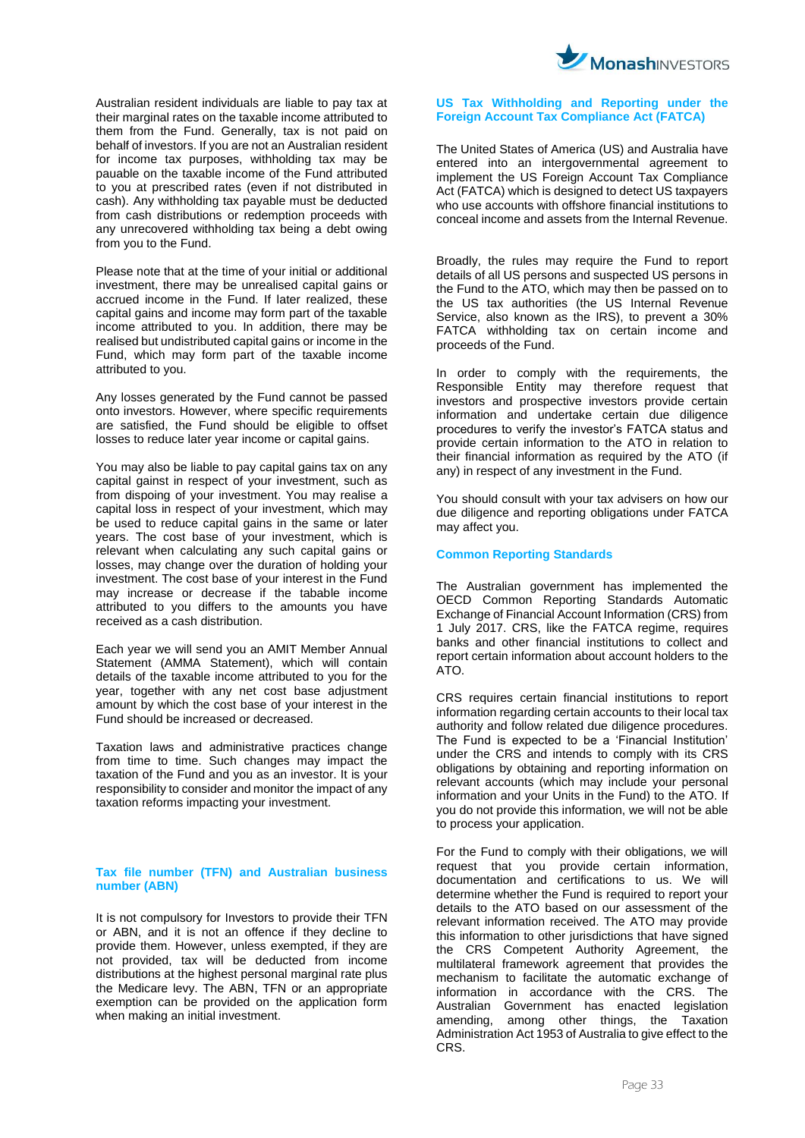Australian resident individuals are liable to pay tax at their marginal rates on the taxable income attributed to them from the Fund. Generally, tax is not paid on behalf of investors. If you are not an Australian resident for income tax purposes, withholding tax may be pauable on the taxable income of the Fund attributed to you at prescribed rates (even if not distributed in cash). Any withholding tax payable must be deducted from cash distributions or redemption proceeds with any unrecovered withholding tax being a debt owing from you to the Fund.

Please note that at the time of your initial or additional investment, there may be unrealised capital gains or accrued income in the Fund. If later realized, these capital gains and income may form part of the taxable income attributed to you. In addition, there may be realised but undistributed capital gains or income in the Fund, which may form part of the taxable income attributed to you.

Any losses generated by the Fund cannot be passed onto investors. However, where specific requirements are satisfied, the Fund should be eligible to offset losses to reduce later year income or capital gains.

You may also be liable to pay capital gains tax on any capital gainst in respect of your investment, such as from dispoing of your investment. You may realise a capital loss in respect of your investment, which may be used to reduce capital gains in the same or later years. The cost base of your investment, which is relevant when calculating any such capital gains or losses, may change over the duration of holding your investment. The cost base of your interest in the Fund may increase or decrease if the tabable income attributed to you differs to the amounts you have received as a cash distribution.

Each year we will send you an AMIT Member Annual Statement (AMMA Statement), which will contain details of the taxable income attributed to you for the year, together with any net cost base adjustment amount by which the cost base of your interest in the Fund should be increased or decreased.

Taxation laws and administrative practices change from time to time. Such changes may impact the taxation of the Fund and you as an investor. It is your responsibility to consider and monitor the impact of any taxation reforms impacting your investment.

#### **Tax file number (TFN) and Australian business number (ABN)**

It is not compulsory for Investors to provide their TFN or ABN, and it is not an offence if they decline to provide them. However, unless exempted, if they are not provided, tax will be deducted from income distributions at the highest personal marginal rate plus the Medicare levy. The ABN, TFN or an appropriate exemption can be provided on the application form when making an initial investment.

# **US Tax Withholding and Reporting under the Foreign Account Tax Compliance Act (FATCA)**

The United States of America (US) and Australia have entered into an intergovernmental agreement to implement the US Foreign Account Tax Compliance Act (FATCA) which is designed to detect US taxpayers who use accounts with offshore financial institutions to conceal income and assets from the Internal Revenue.

Broadly, the rules may require the Fund to report details of all US persons and suspected US persons in the Fund to the ATO, which may then be passed on to the US tax authorities (the US Internal Revenue Service, also known as the IRS), to prevent a 30% FATCA withholding tax on certain income and proceeds of the Fund.

In order to comply with the requirements, the Responsible Entity may therefore request that investors and prospective investors provide certain information and undertake certain due diligence procedures to verify the investor's FATCA status and provide certain information to the ATO in relation to their financial information as required by the ATO (if any) in respect of any investment in the Fund.

You should consult with your tax advisers on how our due diligence and reporting obligations under FATCA may affect you.

# **Common Reporting Standards**

The Australian government has implemented the OECD Common Reporting Standards Automatic Exchange of Financial Account Information (CRS) from 1 July 2017. CRS, like the FATCA regime, requires banks and other financial institutions to collect and report certain information about account holders to the ATO.

CRS requires certain financial institutions to report information regarding certain accounts to their local tax authority and follow related due diligence procedures. The Fund is expected to be a 'Financial Institution' under the CRS and intends to comply with its CRS obligations by obtaining and reporting information on relevant accounts (which may include your personal information and your Units in the Fund) to the ATO. If you do not provide this information, we will not be able to process your application.

For the Fund to comply with their obligations, we will request that you provide certain information, documentation and certifications to us. We will determine whether the Fund is required to report your details to the ATO based on our assessment of the relevant information received. The ATO may provide this information to other jurisdictions that have signed the CRS Competent Authority Agreement, the multilateral framework agreement that provides the mechanism to facilitate the automatic exchange of information in accordance with the CRS. The Australian Government has enacted legislation amending, among other things, the Taxation Administration Act 1953 of Australia to give effect to the CRS.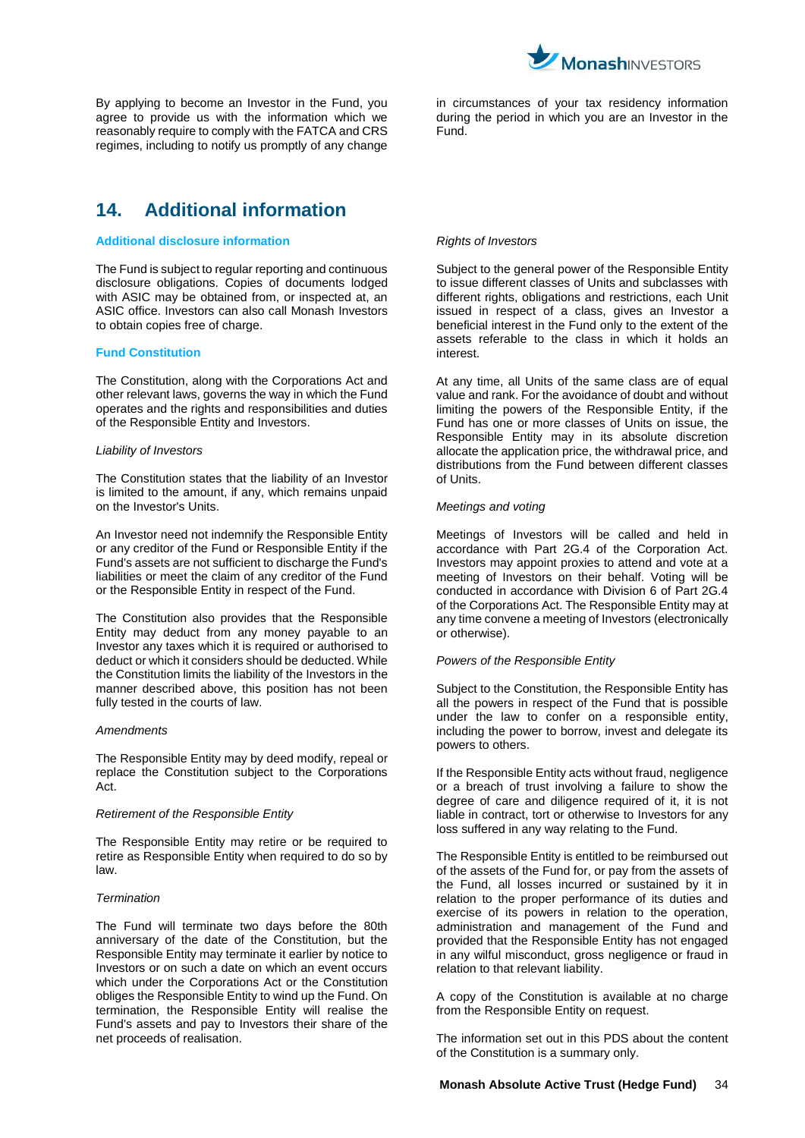

By applying to become an Investor in the Fund, you agree to provide us with the information which we reasonably require to comply with the FATCA and CRS regimes, including to notify us promptly of any change

# <span id="page-33-1"></span><span id="page-33-0"></span>**14. Additional information**

### **Additional disclosure information**

The Fund is subject to regular reporting and continuous disclosure obligations. Copies of documents lodged with ASIC may be obtained from, or inspected at, an ASIC office. Investors can also call Monash Investors to obtain copies free of charge.

#### **Fund Constitution**

The Constitution, along with the Corporations Act and other relevant laws, governs the way in which the Fund operates and the rights and responsibilities and duties of the Responsible Entity and Investors.

#### *Liability of Investors*

The Constitution states that the liability of an Investor is limited to the amount, if any, which remains unpaid on the Investor's Units.

An Investor need not indemnify the Responsible Entity or any creditor of the Fund or Responsible Entity if the Fund's assets are not sufficient to discharge the Fund's liabilities or meet the claim of any creditor of the Fund or the Responsible Entity in respect of the Fund.

The Constitution also provides that the Responsible Entity may deduct from any money payable to an Investor any taxes which it is required or authorised to deduct or which it considers should be deducted. While the Constitution limits the liability of the Investors in the manner described above, this position has not been fully tested in the courts of law.

#### *Amendments*

The Responsible Entity may by deed modify, repeal or replace the Constitution subject to the Corporations Act.

#### *Retirement of the Responsible Entity*

The Responsible Entity may retire or be required to retire as Responsible Entity when required to do so by law.

#### *Termination*

The Fund will terminate two days before the 80th anniversary of the date of the Constitution, but the Responsible Entity may terminate it earlier by notice to Investors or on such a date on which an event occurs which under the Corporations Act or the Constitution obliges the Responsible Entity to wind up the Fund. On termination, the Responsible Entity will realise the Fund's assets and pay to Investors their share of the net proceeds of realisation.

in circumstances of your tax residency information during the period in which you are an Investor in the Fund.

# *Rights of Investors*

Subject to the general power of the Responsible Entity to issue different classes of Units and subclasses with different rights, obligations and restrictions, each Unit issued in respect of a class, gives an Investor a beneficial interest in the Fund only to the extent of the assets referable to the class in which it holds an interest.

At any time, all Units of the same class are of equal value and rank. For the avoidance of doubt and without limiting the powers of the Responsible Entity, if the Fund has one or more classes of Units on issue, the Responsible Entity may in its absolute discretion allocate the application price, the withdrawal price, and distributions from the Fund between different classes of Units.

#### *Meetings and voting*

Meetings of Investors will be called and held in accordance with Part 2G.4 of the Corporation Act. Investors may appoint proxies to attend and vote at a meeting of Investors on their behalf. Voting will be conducted in accordance with Division 6 of Part 2G.4 of the Corporations Act. The Responsible Entity may at any time convene a meeting of Investors (electronically or otherwise).

# *Powers of the Responsible Entity*

Subject to the Constitution, the Responsible Entity has all the powers in respect of the Fund that is possible under the law to confer on a responsible entity, including the power to borrow, invest and delegate its powers to others.

If the Responsible Entity acts without fraud, negligence or a breach of trust involving a failure to show the degree of care and diligence required of it, it is not liable in contract, tort or otherwise to Investors for any loss suffered in any way relating to the Fund.

The Responsible Entity is entitled to be reimbursed out of the assets of the Fund for, or pay from the assets of the Fund, all losses incurred or sustained by it in relation to the proper performance of its duties and exercise of its powers in relation to the operation, administration and management of the Fund and provided that the Responsible Entity has not engaged in any wilful misconduct, gross negligence or fraud in relation to that relevant liability.

A copy of the Constitution is available at no charge from the Responsible Entity on request.

The information set out in this PDS about the content of the Constitution is a summary only.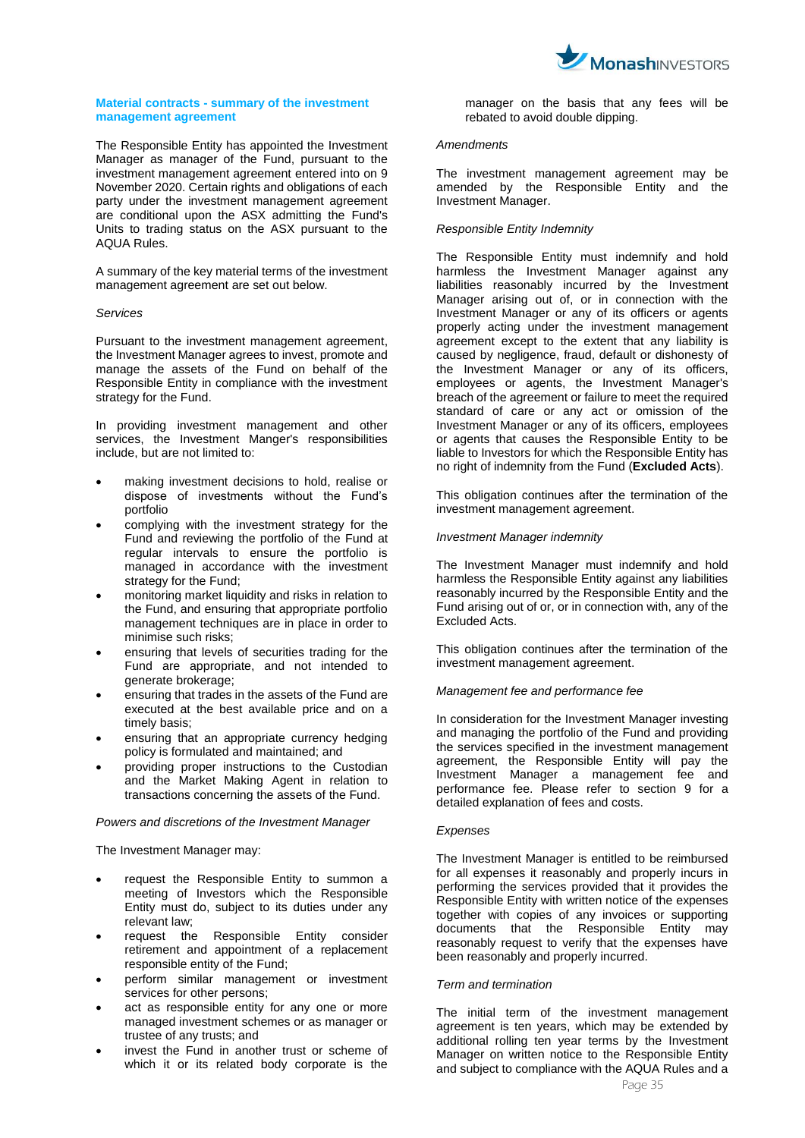

#### **Material contracts - summary of the investment management agreement**

The Responsible Entity has appointed the Investment Manager as manager of the Fund, pursuant to the investment management agreement entered into on 9 November 2020. Certain rights and obligations of each party under the investment management agreement are conditional upon the ASX admitting the Fund's Units to trading status on the ASX pursuant to the AQUA Rules.

A summary of the key material terms of the investment management agreement are set out below.

### *Services*

Pursuant to the investment management agreement, the Investment Manager agrees to invest, promote and manage the assets of the Fund on behalf of the Responsible Entity in compliance with the investment strategy for the Fund.

In providing investment management and other services, the Investment Manger's responsibilities include, but are not limited to:

- making investment decisions to hold, realise or dispose of investments without the Fund's portfolio
- complying with the investment strategy for the Fund and reviewing the portfolio of the Fund at regular intervals to ensure the portfolio is managed in accordance with the investment strategy for the Fund;
- monitoring market liquidity and risks in relation to the Fund, and ensuring that appropriate portfolio management techniques are in place in order to minimise such risks;
- ensuring that levels of securities trading for the Fund are appropriate, and not intended to generate brokerage;
- ensuring that trades in the assets of the Fund are executed at the best available price and on a timely basis;
- ensuring that an appropriate currency hedging policy is formulated and maintained; and
- providing proper instructions to the Custodian and the Market Making Agent in relation to transactions concerning the assets of the Fund.

#### *Powers and discretions of the Investment Manager*

The Investment Manager may:

- request the Responsible Entity to summon a meeting of Investors which the Responsible Entity must do, subject to its duties under any relevant law;
- request the Responsible Entity consider retirement and appointment of a replacement responsible entity of the Fund;
- perform similar management or investment services for other persons;
- act as responsible entity for any one or more managed investment schemes or as manager or trustee of any trusts; and
- invest the Fund in another trust or scheme of which it or its related body corporate is the

manager on the basis that any fees will be rebated to avoid double dipping.

### *Amendments*

The investment management agreement may be amended by the Responsible Entity and the Investment Manager.

# *Responsible Entity Indemnity*

The Responsible Entity must indemnify and hold harmless the Investment Manager against any liabilities reasonably incurred by the Investment Manager arising out of, or in connection with the Investment Manager or any of its officers or agents properly acting under the investment management agreement except to the extent that any liability is caused by negligence, fraud, default or dishonesty of the Investment Manager or any of its officers, employees or agents, the Investment Manager's breach of the agreement or failure to meet the required standard of care or any act or omission of the Investment Manager or any of its officers, employees or agents that causes the Responsible Entity to be liable to Investors for which the Responsible Entity has no right of indemnity from the Fund (**Excluded Acts**).

This obligation continues after the termination of the investment management agreement.

# *Investment Manager indemnity*

The Investment Manager must indemnify and hold harmless the Responsible Entity against any liabilities reasonably incurred by the Responsible Entity and the Fund arising out of or, or in connection with, any of the Excluded Acts.

This obligation continues after the termination of the investment management agreement.

# *Management fee and performance fee*

In consideration for the Investment Manager investing and managing the portfolio of the Fund and providing the services specified in the investment management agreement, the Responsible Entity will pay the Investment Manager a management fee and performance fee. Please refer to section 9 for a detailed explanation of fees and costs.

# *Expenses*

The Investment Manager is entitled to be reimbursed for all expenses it reasonably and properly incurs in performing the services provided that it provides the Responsible Entity with written notice of the expenses together with copies of any invoices or supporting documents that the Responsible Entity may reasonably request to verify that the expenses have been reasonably and properly incurred.

# *Term and termination*

The initial term of the investment management agreement is ten years, which may be extended by additional rolling ten year terms by the Investment Manager on written notice to the Responsible Entity and subject to compliance with the AQUA Rules and a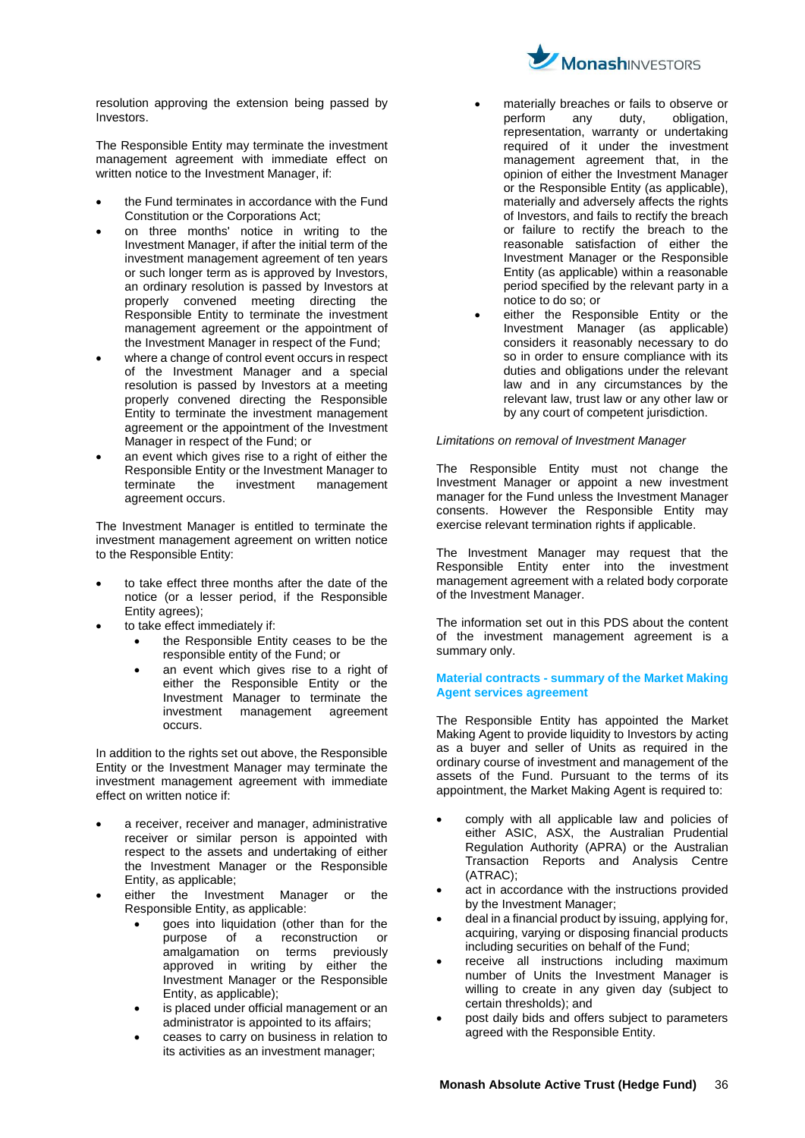

resolution approving the extension being passed by Investors.

The Responsible Entity may terminate the investment management agreement with immediate effect on written notice to the Investment Manager, if:

- the Fund terminates in accordance with the Fund Constitution or the Corporations Act;
- on three months' notice in writing to the Investment Manager, if after the initial term of the investment management agreement of ten years or such longer term as is approved by Investors, an ordinary resolution is passed by Investors at properly convened meeting directing the Responsible Entity to terminate the investment management agreement or the appointment of the Investment Manager in respect of the Fund;
- where a change of control event occurs in respect of the Investment Manager and a special resolution is passed by Investors at a meeting properly convened directing the Responsible Entity to terminate the investment management agreement or the appointment of the Investment Manager in respect of the Fund; or
- an event which gives rise to a right of either the Responsible Entity or the Investment Manager to terminate the investment management agreement occurs.

The Investment Manager is entitled to terminate the investment management agreement on written notice to the Responsible Entity:

- to take effect three months after the date of the notice (or a lesser period, if the Responsible Entity agrees);
- to take effect immediately if:
	- the Responsible Entity ceases to be the responsible entity of the Fund; or
	- an event which gives rise to a right of either the Responsible Entity or the Investment Manager to terminate the investment management agreement occurs.

In addition to the rights set out above, the Responsible Entity or the Investment Manager may terminate the investment management agreement with immediate effect on written notice if:

- a receiver, receiver and manager, administrative receiver or similar person is appointed with respect to the assets and undertaking of either the Investment Manager or the Responsible Entity, as applicable;
- either the Investment Manager or the Responsible Entity, as applicable:
	- goes into liquidation (other than for the purpose of a reconstruction or amalgamation on terms previously approved in writing by either the Investment Manager or the Responsible Entity, as applicable);
	- is placed under official management or an administrator is appointed to its affairs;
	- ceases to carry on business in relation to its activities as an investment manager;
- materially breaches or fails to observe or<br>perform any duty, obligation, perform any duty, obligation, representation, warranty or undertaking required of it under the investment management agreement that, in the opinion of either the Investment Manager or the Responsible Entity (as applicable), materially and adversely affects the rights of Investors, and fails to rectify the breach or failure to rectify the breach to the reasonable satisfaction of either the Investment Manager or the Responsible Entity (as applicable) within a reasonable period specified by the relevant party in a notice to do so; or
- either the Responsible Entity or the Investment Manager (as applicable) considers it reasonably necessary to do so in order to ensure compliance with its duties and obligations under the relevant law and in any circumstances by the relevant law, trust law or any other law or by any court of competent jurisdiction.

# *Limitations on removal of Investment Manager*

The Responsible Entity must not change the Investment Manager or appoint a new investment manager for the Fund unless the Investment Manager consents. However the Responsible Entity may exercise relevant termination rights if applicable.

The Investment Manager may request that the Responsible Entity enter into the investment management agreement with a related body corporate of the Investment Manager.

The information set out in this PDS about the content of the investment management agreement is a summary only.

#### **Material contracts - summary of the Market Making Agent services agreement**

The Responsible Entity has appointed the Market Making Agent to provide liquidity to Investors by acting as a buyer and seller of Units as required in the ordinary course of investment and management of the assets of the Fund. Pursuant to the terms of its appointment, the Market Making Agent is required to:

- comply with all applicable law and policies of either ASIC, ASX, the Australian Prudential Regulation Authority (APRA) or the Australian Transaction Reports and Analysis Centre (ATRAC);
- act in accordance with the instructions provided by the Investment Manager;
- deal in a financial product by issuing, applying for, acquiring, varying or disposing financial products including securities on behalf of the Fund;
- receive all instructions including maximum number of Units the Investment Manager is willing to create in any given day (subject to certain thresholds); and
- post daily bids and offers subject to parameters agreed with the Responsible Entity.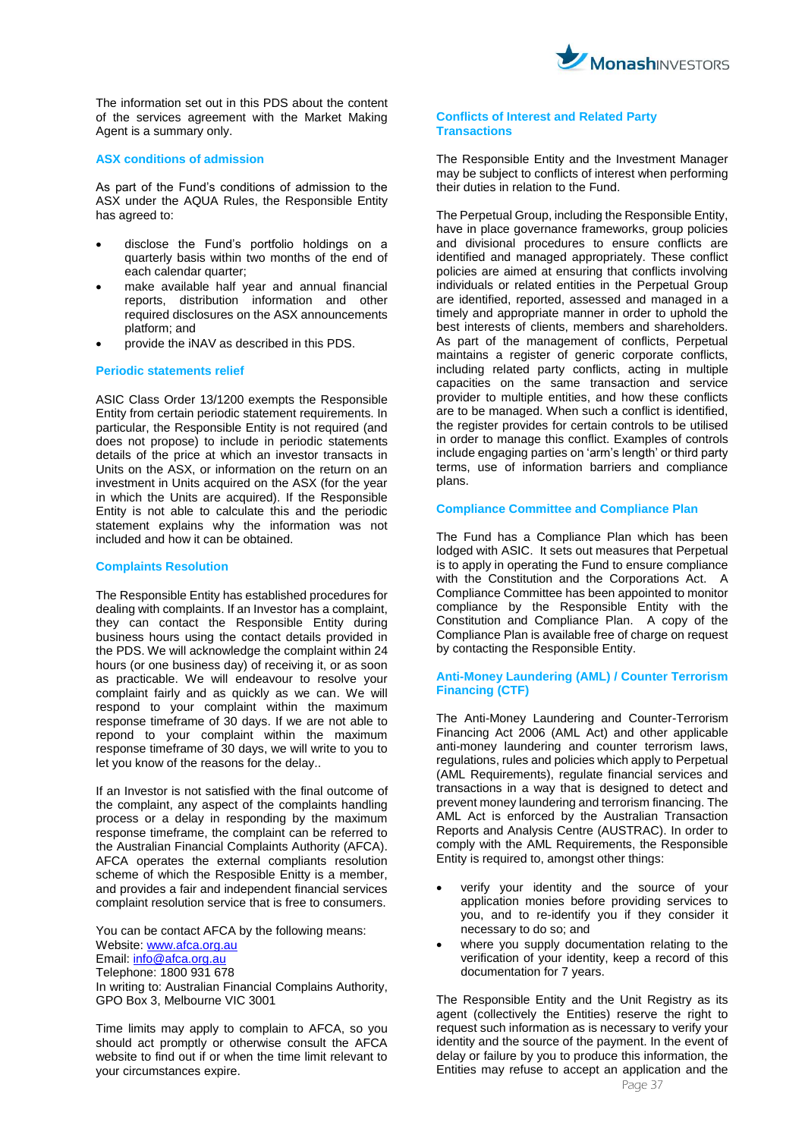

The information set out in this PDS about the content of the services agreement with the Market Making Agent is a summary only.

### **ASX conditions of admission**

As part of the Fund's conditions of admission to the ASX under the AQUA Rules, the Responsible Entity has agreed to:

- disclose the Fund's portfolio holdings on a quarterly basis within two months of the end of each calendar quarter;
- make available half year and annual financial reports, distribution information and other required disclosures on the ASX announcements platform; and
- provide the iNAV as described in this PDS.

#### **Periodic statements relief**

ASIC Class Order 13/1200 exempts the Responsible Entity from certain periodic statement requirements. In particular, the Responsible Entity is not required (and does not propose) to include in periodic statements details of the price at which an investor transacts in Units on the ASX, or information on the return on an investment in Units acquired on the ASX (for the year in which the Units are acquired). If the Responsible Entity is not able to calculate this and the periodic statement explains why the information was not included and how it can be obtained.

# **Complaints Resolution**

The Responsible Entity has established procedures for dealing with complaints. If an Investor has a complaint, they can contact the Responsible Entity during business hours using the contact details provided in the PDS. We will acknowledge the complaint within 24 hours (or one business day) of receiving it, or as soon as practicable. We will endeavour to resolve your complaint fairly and as quickly as we can. We will respond to your complaint within the maximum response timeframe of 30 days. If we are not able to repond to your complaint within the maximum response timeframe of 30 days, we will write to you to let you know of the reasons for the delay..

If an Investor is not satisfied with the final outcome of the complaint, any aspect of the complaints handling process or a delay in responding by the maximum response timeframe, the complaint can be referred to the Australian Financial Complaints Authority (AFCA). AFCA operates the external compliants resolution scheme of which the Resposible Enitty is a member, and provides a fair and independent financial services complaint resolution service that is free to consumers.

You can be contact AFCA by the following means:

Website[: www.afca.org.au](http://www.afca.org.au/)

Email: [info@afca.org.au](mailto:info@afca.org.au)

Telephone: 1800 931 678 In writing to: Australian Financial Complains Authority, GPO Box 3, Melbourne VIC 3001

Time limits may apply to complain to AFCA, so you should act promptly or otherwise consult the AFCA website to find out if or when the time limit relevant to your circumstances expire.

#### **Conflicts of Interest and Related Party Transactions**

The Responsible Entity and the Investment Manager may be subject to conflicts of interest when performing their duties in relation to the Fund.

The Perpetual Group, including the Responsible Entity, have in place governance frameworks, group policies and divisional procedures to ensure conflicts are identified and managed appropriately. These conflict policies are aimed at ensuring that conflicts involving individuals or related entities in the Perpetual Group are identified, reported, assessed and managed in a timely and appropriate manner in order to uphold the best interests of clients, members and shareholders. As part of the management of conflicts, Perpetual maintains a register of generic corporate conflicts, including related party conflicts, acting in multiple capacities on the same transaction and service provider to multiple entities, and how these conflicts are to be managed. When such a conflict is identified, the register provides for certain controls to be utilised in order to manage this conflict. Examples of controls include engaging parties on 'arm's length' or third party terms, use of information barriers and compliance plans.

# **Compliance Committee and Compliance Plan**

The Fund has a Compliance Plan which has been lodged with ASIC. It sets out measures that Perpetual is to apply in operating the Fund to ensure compliance with the Constitution and the Corporations Act. A Compliance Committee has been appointed to monitor compliance by the Responsible Entity with the Constitution and Compliance Plan. A copy of the Compliance Plan is available free of charge on request by contacting the Responsible Entity.

# **Anti-Money Laundering (AML) / Counter Terrorism Financing (CTF)**

The Anti-Money Laundering and Counter-Terrorism Financing Act 2006 (AML Act) and other applicable anti-money laundering and counter terrorism laws, regulations, rules and policies which apply to Perpetual (AML Requirements), regulate financial services and transactions in a way that is designed to detect and prevent money laundering and terrorism financing. The AML Act is enforced by the Australian Transaction Reports and Analysis Centre (AUSTRAC). In order to comply with the AML Requirements, the Responsible Entity is required to, amongst other things:

- verify your identity and the source of your application monies before providing services to you, and to re-identify you if they consider it necessary to do so; and
- where you supply documentation relating to the verification of your identity, keep a record of this documentation for 7 years.

The Responsible Entity and the Unit Registry as its agent (collectively the Entities) reserve the right to request such information as is necessary to verify your identity and the source of the payment. In the event of delay or failure by you to produce this information, the Entities may refuse to accept an application and the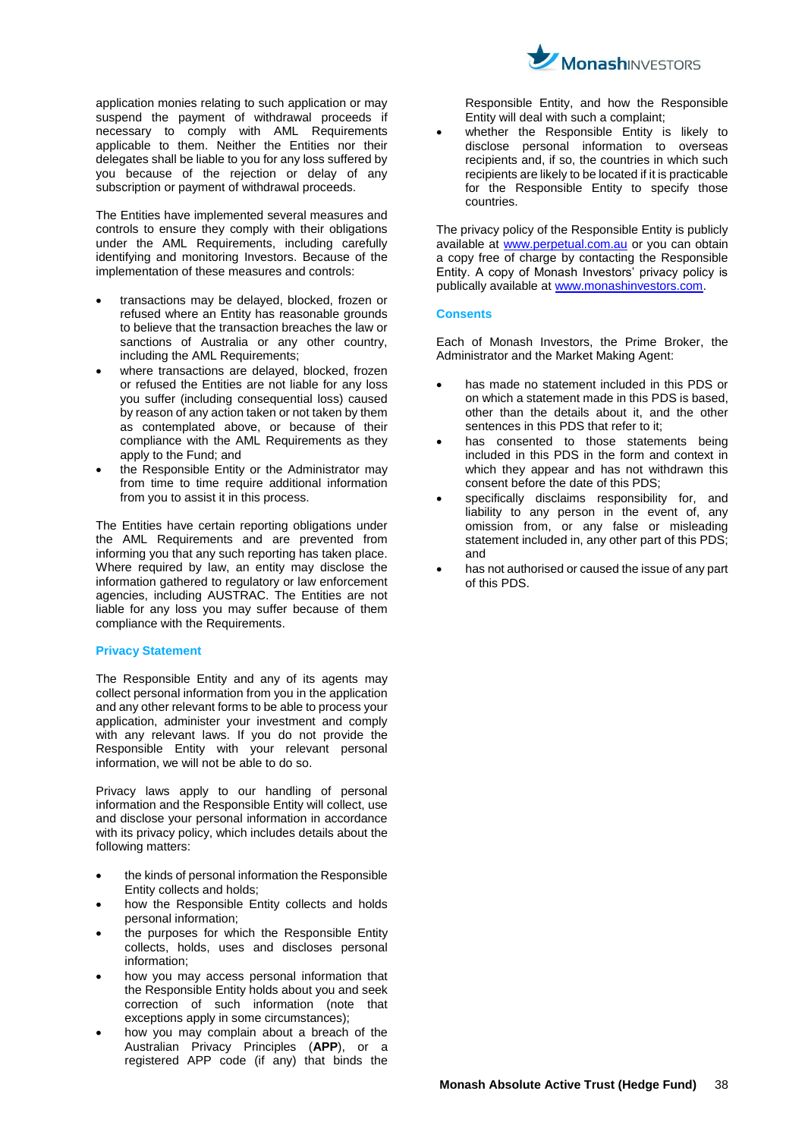application monies relating to such application or may suspend the payment of withdrawal proceeds if necessary to comply with AML Requirements applicable to them. Neither the Entities nor their delegates shall be liable to you for any loss suffered by you because of the rejection or delay of any subscription or payment of withdrawal proceeds.

The Entities have implemented several measures and controls to ensure they comply with their obligations under the AML Requirements, including carefully identifying and monitoring Investors. Because of the implementation of these measures and controls:

- transactions may be delayed, blocked, frozen or refused where an Entity has reasonable grounds to believe that the transaction breaches the law or sanctions of Australia or any other country, including the AML Requirements;
- where transactions are delayed, blocked, frozen or refused the Entities are not liable for any loss you suffer (including consequential loss) caused by reason of any action taken or not taken by them as contemplated above, or because of their compliance with the AML Requirements as they apply to the Fund; and
- the Responsible Entity or the Administrator may from time to time require additional information from you to assist it in this process.

The Entities have certain reporting obligations under the AML Requirements and are prevented from informing you that any such reporting has taken place. Where required by law, an entity may disclose the information gathered to regulatory or law enforcement agencies, including AUSTRAC. The Entities are not liable for any loss you may suffer because of them compliance with the Requirements.

#### **Privacy Statement**

The Responsible Entity and any of its agents may collect personal information from you in the application and any other relevant forms to be able to process your application, administer your investment and comply with any relevant laws. If you do not provide the Responsible Entity with your relevant personal information, we will not be able to do so.

Privacy laws apply to our handling of personal information and the Responsible Entity will collect, use and disclose your personal information in accordance with its privacy policy, which includes details about the following matters:

- the kinds of personal information the Responsible Entity collects and holds;
- how the Responsible Entity collects and holds personal information;
- the purposes for which the Responsible Entity collects, holds, uses and discloses personal information;
- how you may access personal information that the Responsible Entity holds about you and seek correction of such information (note that exceptions apply in some circumstances);
- how you may complain about a breach of the Australian Privacy Principles (**APP**), or a registered APP code (if any) that binds the



Responsible Entity, and how the Responsible Entity will deal with such a complaint;

 whether the Responsible Entity is likely to disclose personal information to overseas recipients and, if so, the countries in which such recipients are likely to be located if it is practicable for the Responsible Entity to specify those countries.

The privacy policy of the Responsible Entity is publicly available at [www.perpetual.com.au](http://www.perpetual.com.au/) or you can obtain a copy free of charge by contacting the Responsible Entity. A copy of Monash Investors' privacy policy is publically available at [www.monashinvestors.com.](http://www.monashinvestors.com/)

# **Consents**

Each of Monash Investors, the Prime Broker, the Administrator and the Market Making Agent:

- has made no statement included in this PDS or on which a statement made in this PDS is based, other than the details about it, and the other sentences in this PDS that refer to it;
- has consented to those statements being included in this PDS in the form and context in which they appear and has not withdrawn this consent before the date of this PDS;
- specifically disclaims responsibility for, and liability to any person in the event of, any omission from, or any false or misleading statement included in, any other part of this PDS; and
- has not authorised or caused the issue of any part of this PDS.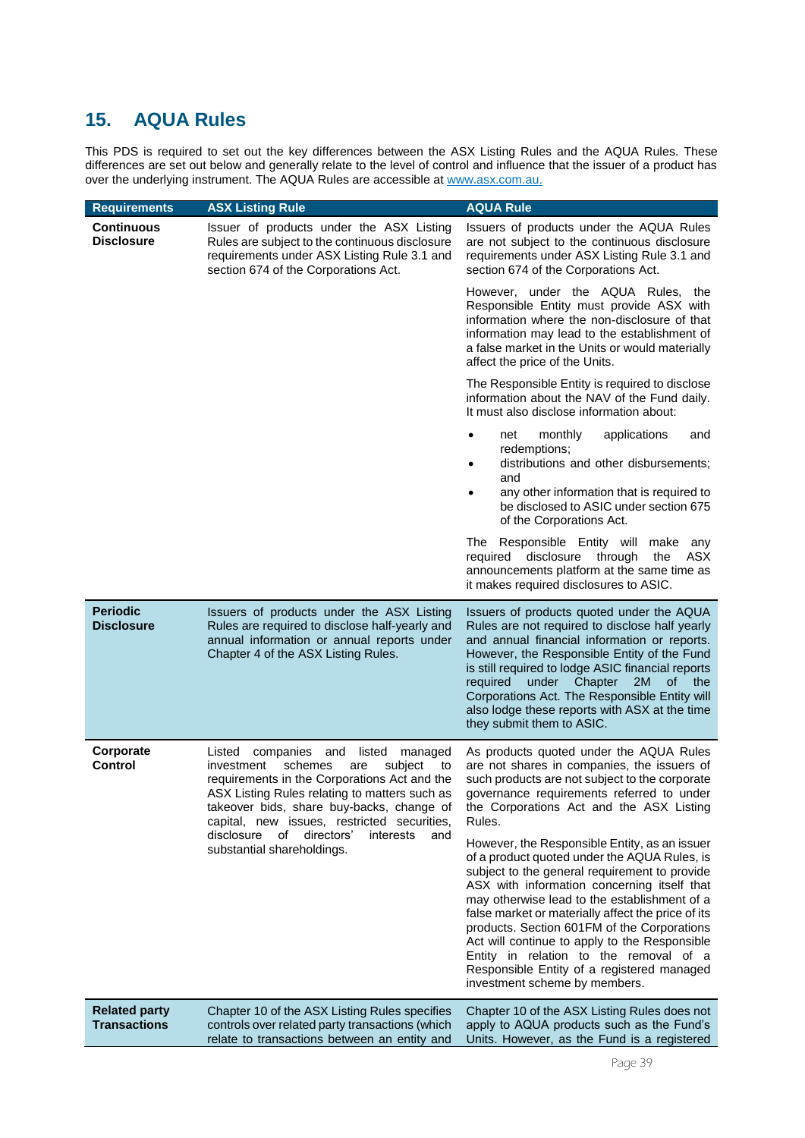# <span id="page-38-0"></span>**15. AQUA Rules**

This PDS is required to set out the key differences between the ASX Listing Rules and the AQUA Rules. These differences are set out below and generally relate to the level of control and influence that the issuer of a product has over the underlying instrument. The AQUA Rules are accessible at www.asx.com.au.

| <b>Requirements</b>                         | <b>ASX Listing Rule</b>                                                                                                                                                                                                                                                                       | <b>AQUA Rule</b>                                                                                                                                                                                                                                                                                                                                                                                                                                                                                                             |
|---------------------------------------------|-----------------------------------------------------------------------------------------------------------------------------------------------------------------------------------------------------------------------------------------------------------------------------------------------|------------------------------------------------------------------------------------------------------------------------------------------------------------------------------------------------------------------------------------------------------------------------------------------------------------------------------------------------------------------------------------------------------------------------------------------------------------------------------------------------------------------------------|
| <b>Continuous</b><br><b>Disclosure</b>      | Issuer of products under the ASX Listing<br>Rules are subject to the continuous disclosure<br>requirements under ASX Listing Rule 3.1 and<br>section 674 of the Corporations Act.                                                                                                             | Issuers of products under the AQUA Rules<br>are not subject to the continuous disclosure<br>requirements under ASX Listing Rule 3.1 and<br>section 674 of the Corporations Act.                                                                                                                                                                                                                                                                                                                                              |
|                                             |                                                                                                                                                                                                                                                                                               | However, under the AQUA Rules,<br>the<br>Responsible Entity must provide ASX with<br>information where the non-disclosure of that<br>information may lead to the establishment of<br>a false market in the Units or would materially<br>affect the price of the Units.                                                                                                                                                                                                                                                       |
|                                             |                                                                                                                                                                                                                                                                                               | The Responsible Entity is required to disclose<br>information about the NAV of the Fund daily.<br>It must also disclose information about:                                                                                                                                                                                                                                                                                                                                                                                   |
|                                             |                                                                                                                                                                                                                                                                                               | monthly<br>applications<br>and<br>net<br>redemptions;<br>distributions and other disbursements;<br>and<br>any other information that is required to<br>be disclosed to ASIC under section 675                                                                                                                                                                                                                                                                                                                                |
|                                             |                                                                                                                                                                                                                                                                                               | of the Corporations Act.<br>The<br>Responsible Entity will<br>make<br>any<br>ASX<br>disclosure<br>through<br>the<br>required<br>announcements platform at the same time as<br>it makes required disclosures to ASIC.                                                                                                                                                                                                                                                                                                         |
| <b>Periodic</b><br><b>Disclosure</b>        | Issuers of products under the ASX Listing<br>Rules are required to disclose half-yearly and<br>annual information or annual reports under<br>Chapter 4 of the ASX Listing Rules.                                                                                                              | Issuers of products quoted under the AQUA<br>Rules are not required to disclose half yearly<br>and annual financial information or reports.<br>However, the Responsible Entity of the Fund<br>is still required to lodge ASIC financial reports<br>required<br>under<br>Chapter<br>2M<br>0f<br>the<br>Corporations Act. The Responsible Entity will<br>also lodge these reports with ASX at the time<br>they submit them to ASIC.                                                                                            |
| Corporate<br>Control                        | Listed<br>listed<br>companies<br>and<br>managed<br>investment<br>schemes<br>are<br>subject<br>to<br>requirements in the Corporations Act and the<br>ASX Listing Rules relating to matters such as<br>takeover bids, share buy-backs, change of<br>capital, new issues, restricted securities, | As products quoted under the AQUA Rules<br>are not shares in companies, the issuers of<br>such products are not subject to the corporate<br>governance requirements referred to under<br>the Corporations Act and the ASX Listing<br>Rules.                                                                                                                                                                                                                                                                                  |
|                                             | directors'<br>disclosure<br>of<br>interests<br>and<br>substantial shareholdings.                                                                                                                                                                                                              | However, the Responsible Entity, as an issuer<br>of a product quoted under the AQUA Rules, is<br>subject to the general requirement to provide<br>ASX with information concerning itself that<br>may otherwise lead to the establishment of a<br>false market or materially affect the price of its<br>products. Section 601FM of the Corporations<br>Act will continue to apply to the Responsible<br>Entity in relation to the removal of a<br>Responsible Entity of a registered managed<br>investment scheme by members. |
| <b>Related party</b><br><b>Transactions</b> | Chapter 10 of the ASX Listing Rules specifies<br>controls over related party transactions (which<br>relate to transactions between an entity and                                                                                                                                              | Chapter 10 of the ASX Listing Rules does not<br>apply to AQUA products such as the Fund's<br>Units. However, as the Fund is a registered                                                                                                                                                                                                                                                                                                                                                                                     |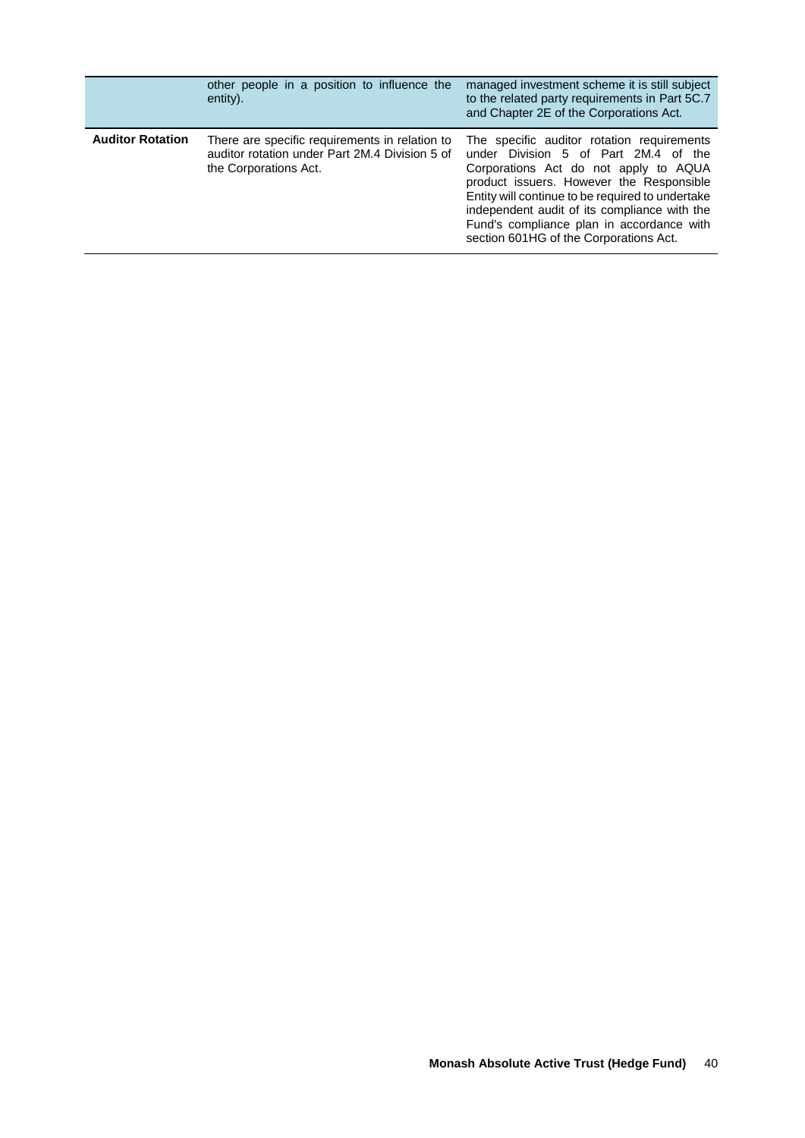<span id="page-39-0"></span>

|                         | other people in a position to influence the<br>entity).                                                                   | managed investment scheme it is still subject<br>to the related party requirements in Part 5C.7<br>and Chapter 2E of the Corporations Act.                                                                                                                                                                                                                         |
|-------------------------|---------------------------------------------------------------------------------------------------------------------------|--------------------------------------------------------------------------------------------------------------------------------------------------------------------------------------------------------------------------------------------------------------------------------------------------------------------------------------------------------------------|
| <b>Auditor Rotation</b> | There are specific requirements in relation to<br>auditor rotation under Part 2M.4 Division 5 of<br>the Corporations Act. | The specific auditor rotation requirements<br>under Division 5 of Part 2M.4 of the<br>Corporations Act do not apply to AQUA<br>product issuers. However the Responsible<br>Entity will continue to be required to undertake<br>independent audit of its compliance with the<br>Fund's compliance plan in accordance with<br>section 601HG of the Corporations Act. |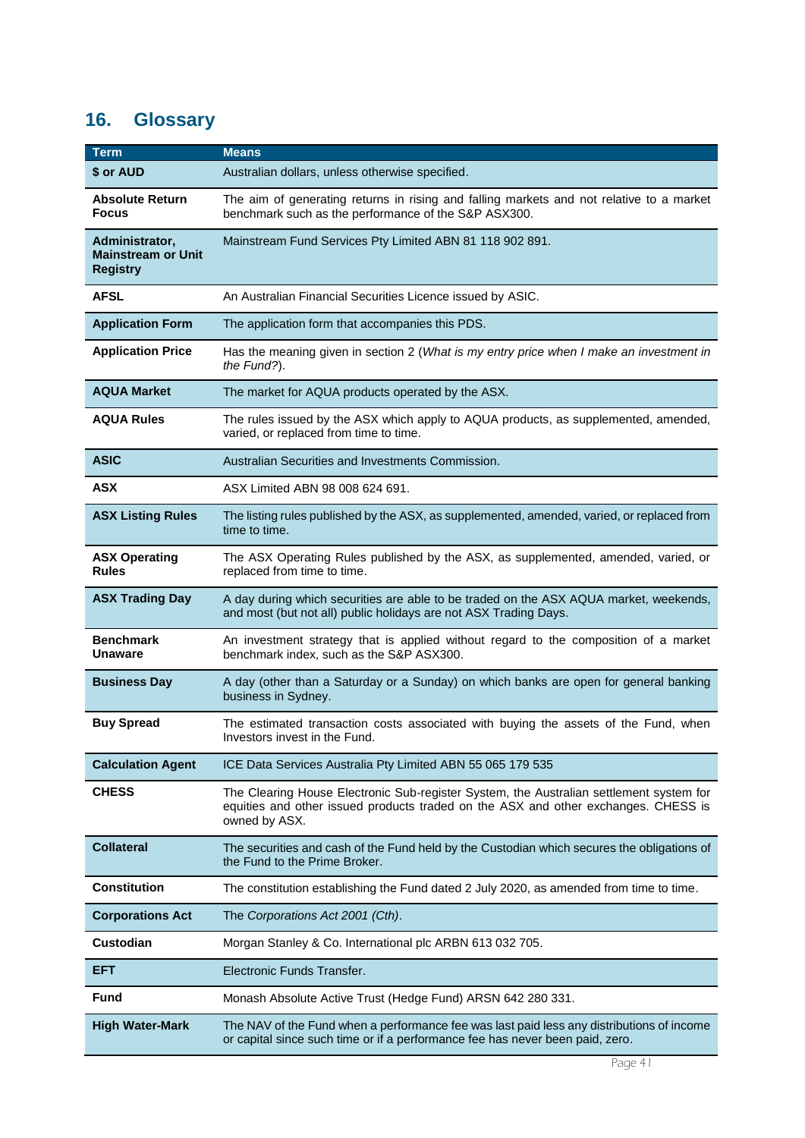# <span id="page-40-0"></span>**16. Glossary**

| <b>Term</b>                                                    | <b>Means</b>                                                                                                                                                                                   |
|----------------------------------------------------------------|------------------------------------------------------------------------------------------------------------------------------------------------------------------------------------------------|
| \$ or AUD                                                      | Australian dollars, unless otherwise specified.                                                                                                                                                |
| <b>Absolute Return</b><br><b>Focus</b>                         | The aim of generating returns in rising and falling markets and not relative to a market<br>benchmark such as the performance of the S&P ASX300.                                               |
| Administrator,<br><b>Mainstream or Unit</b><br><b>Registry</b> | Mainstream Fund Services Pty Limited ABN 81 118 902 891.                                                                                                                                       |
| <b>AFSL</b>                                                    | An Australian Financial Securities Licence issued by ASIC.                                                                                                                                     |
| <b>Application Form</b>                                        | The application form that accompanies this PDS.                                                                                                                                                |
| <b>Application Price</b>                                       | Has the meaning given in section 2 (What is my entry price when I make an investment in<br>the Fund?).                                                                                         |
| <b>AQUA Market</b>                                             | The market for AQUA products operated by the ASX.                                                                                                                                              |
| <b>AQUA Rules</b>                                              | The rules issued by the ASX which apply to AQUA products, as supplemented, amended,<br>varied, or replaced from time to time.                                                                  |
| <b>ASIC</b>                                                    | Australian Securities and Investments Commission.                                                                                                                                              |
| <b>ASX</b>                                                     | ASX Limited ABN 98 008 624 691.                                                                                                                                                                |
| <b>ASX Listing Rules</b>                                       | The listing rules published by the ASX, as supplemented, amended, varied, or replaced from<br>time to time.                                                                                    |
| <b>ASX Operating</b><br><b>Rules</b>                           | The ASX Operating Rules published by the ASX, as supplemented, amended, varied, or<br>replaced from time to time.                                                                              |
| <b>ASX Trading Day</b>                                         | A day during which securities are able to be traded on the ASX AQUA market, weekends,<br>and most (but not all) public holidays are not ASX Trading Days.                                      |
| <b>Benchmark</b><br><b>Unaware</b>                             | An investment strategy that is applied without regard to the composition of a market<br>benchmark index, such as the S&P ASX300.                                                               |
| <b>Business Day</b>                                            | A day (other than a Saturday or a Sunday) on which banks are open for general banking<br>business in Sydney.                                                                                   |
| <b>Buy Spread</b>                                              | The estimated transaction costs associated with buying the assets of the Fund, when<br>Investors invest in the Fund.                                                                           |
| <b>Calculation Agent</b>                                       | ICE Data Services Australia Pty Limited ABN 55 065 179 535                                                                                                                                     |
| <b>CHESS</b>                                                   | The Clearing House Electronic Sub-register System, the Australian settlement system for<br>equities and other issued products traded on the ASX and other exchanges. CHESS is<br>owned by ASX. |
| <b>Collateral</b>                                              | The securities and cash of the Fund held by the Custodian which secures the obligations of<br>the Fund to the Prime Broker.                                                                    |
| <b>Constitution</b>                                            | The constitution establishing the Fund dated 2 July 2020, as amended from time to time.                                                                                                        |
| <b>Corporations Act</b>                                        | The Corporations Act 2001 (Cth).                                                                                                                                                               |
| Custodian                                                      | Morgan Stanley & Co. International plc ARBN 613 032 705.                                                                                                                                       |
| EFT                                                            | Electronic Funds Transfer.                                                                                                                                                                     |
| Fund                                                           | Monash Absolute Active Trust (Hedge Fund) ARSN 642 280 331.                                                                                                                                    |
| <b>High Water-Mark</b>                                         | The NAV of the Fund when a performance fee was last paid less any distributions of income<br>or capital since such time or if a performance fee has never been paid, zero.                     |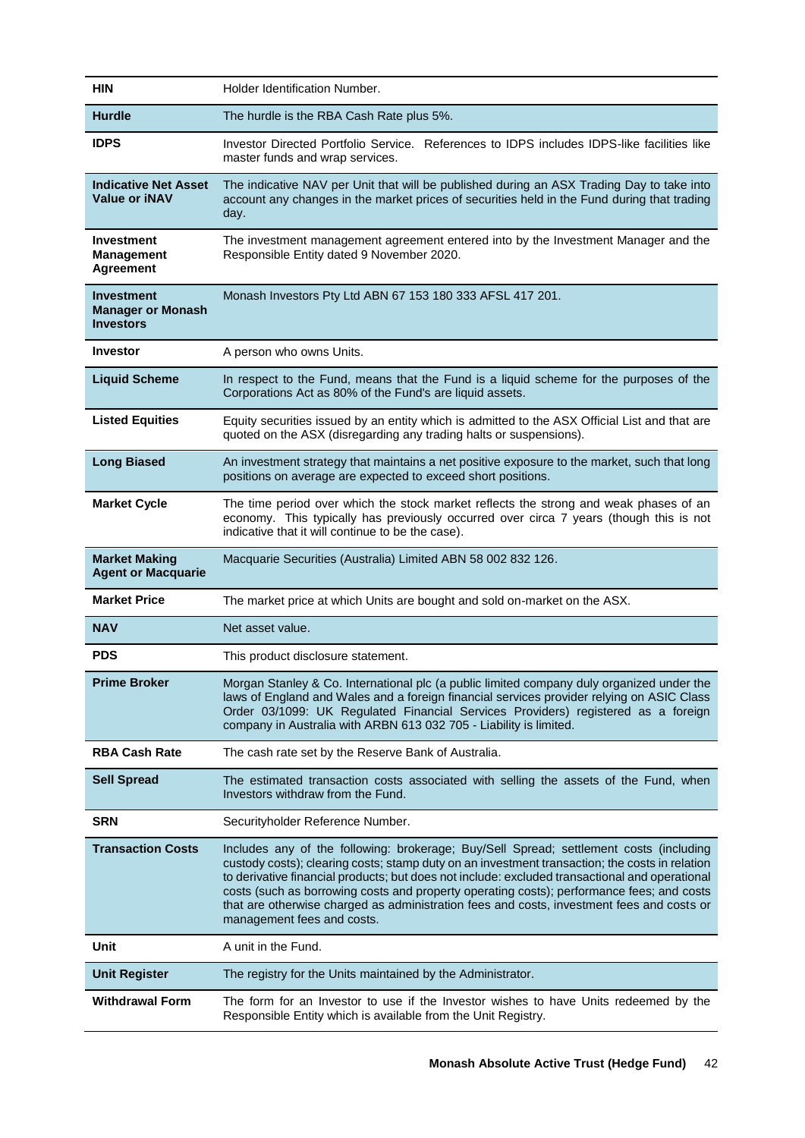| HIN                                                               | Holder Identification Number.                                                                                                                                                                                                                                                                                                                                                                                                                                                                                      |
|-------------------------------------------------------------------|--------------------------------------------------------------------------------------------------------------------------------------------------------------------------------------------------------------------------------------------------------------------------------------------------------------------------------------------------------------------------------------------------------------------------------------------------------------------------------------------------------------------|
| <b>Hurdle</b>                                                     | The hurdle is the RBA Cash Rate plus 5%.                                                                                                                                                                                                                                                                                                                                                                                                                                                                           |
| <b>IDPS</b>                                                       | Investor Directed Portfolio Service. References to IDPS includes IDPS-like facilities like<br>master funds and wrap services.                                                                                                                                                                                                                                                                                                                                                                                      |
| <b>Indicative Net Asset</b><br><b>Value or INAV</b>               | The indicative NAV per Unit that will be published during an ASX Trading Day to take into<br>account any changes in the market prices of securities held in the Fund during that trading<br>day.                                                                                                                                                                                                                                                                                                                   |
| <b>Investment</b><br><b>Management</b><br><b>Agreement</b>        | The investment management agreement entered into by the Investment Manager and the<br>Responsible Entity dated 9 November 2020.                                                                                                                                                                                                                                                                                                                                                                                    |
| <b>Investment</b><br><b>Manager or Monash</b><br><b>Investors</b> | Monash Investors Pty Ltd ABN 67 153 180 333 AFSL 417 201.                                                                                                                                                                                                                                                                                                                                                                                                                                                          |
| <b>Investor</b>                                                   | A person who owns Units.                                                                                                                                                                                                                                                                                                                                                                                                                                                                                           |
| <b>Liquid Scheme</b>                                              | In respect to the Fund, means that the Fund is a liquid scheme for the purposes of the<br>Corporations Act as 80% of the Fund's are liquid assets.                                                                                                                                                                                                                                                                                                                                                                 |
| <b>Listed Equities</b>                                            | Equity securities issued by an entity which is admitted to the ASX Official List and that are<br>quoted on the ASX (disregarding any trading halts or suspensions).                                                                                                                                                                                                                                                                                                                                                |
| <b>Long Biased</b>                                                | An investment strategy that maintains a net positive exposure to the market, such that long<br>positions on average are expected to exceed short positions.                                                                                                                                                                                                                                                                                                                                                        |
| <b>Market Cycle</b>                                               | The time period over which the stock market reflects the strong and weak phases of an<br>economy. This typically has previously occurred over circa 7 years (though this is not<br>indicative that it will continue to be the case).                                                                                                                                                                                                                                                                               |
| <b>Market Making</b><br><b>Agent or Macquarie</b>                 | Macquarie Securities (Australia) Limited ABN 58 002 832 126.                                                                                                                                                                                                                                                                                                                                                                                                                                                       |
|                                                                   |                                                                                                                                                                                                                                                                                                                                                                                                                                                                                                                    |
| <b>Market Price</b>                                               | The market price at which Units are bought and sold on-market on the ASX.                                                                                                                                                                                                                                                                                                                                                                                                                                          |
| <b>NAV</b>                                                        | Net asset value.                                                                                                                                                                                                                                                                                                                                                                                                                                                                                                   |
| <b>PDS</b>                                                        | This product disclosure statement.                                                                                                                                                                                                                                                                                                                                                                                                                                                                                 |
| <b>Prime Broker</b>                                               | Morgan Stanley & Co. International plc (a public limited company duly organized under the<br>laws of England and Wales and a foreign financial services provider relying on ASIC Class<br>Order 03/1099: UK Regulated Financial Services Providers) registered as a foreign<br>company in Australia with ARBN 613 032 705 - Liability is limited.                                                                                                                                                                  |
| <b>RBA Cash Rate</b>                                              | The cash rate set by the Reserve Bank of Australia.                                                                                                                                                                                                                                                                                                                                                                                                                                                                |
| <b>Sell Spread</b>                                                | The estimated transaction costs associated with selling the assets of the Fund, when<br>Investors withdraw from the Fund.                                                                                                                                                                                                                                                                                                                                                                                          |
| <b>SRN</b>                                                        | Securityholder Reference Number.                                                                                                                                                                                                                                                                                                                                                                                                                                                                                   |
| <b>Transaction Costs</b>                                          | Includes any of the following: brokerage; Buy/Sell Spread; settlement costs (including<br>custody costs); clearing costs; stamp duty on an investment transaction; the costs in relation<br>to derivative financial products; but does not include: excluded transactional and operational<br>costs (such as borrowing costs and property operating costs); performance fees; and costs<br>that are otherwise charged as administration fees and costs, investment fees and costs or<br>management fees and costs. |
| Unit                                                              | A unit in the Fund.                                                                                                                                                                                                                                                                                                                                                                                                                                                                                                |
| <b>Unit Register</b>                                              | The registry for the Units maintained by the Administrator.                                                                                                                                                                                                                                                                                                                                                                                                                                                        |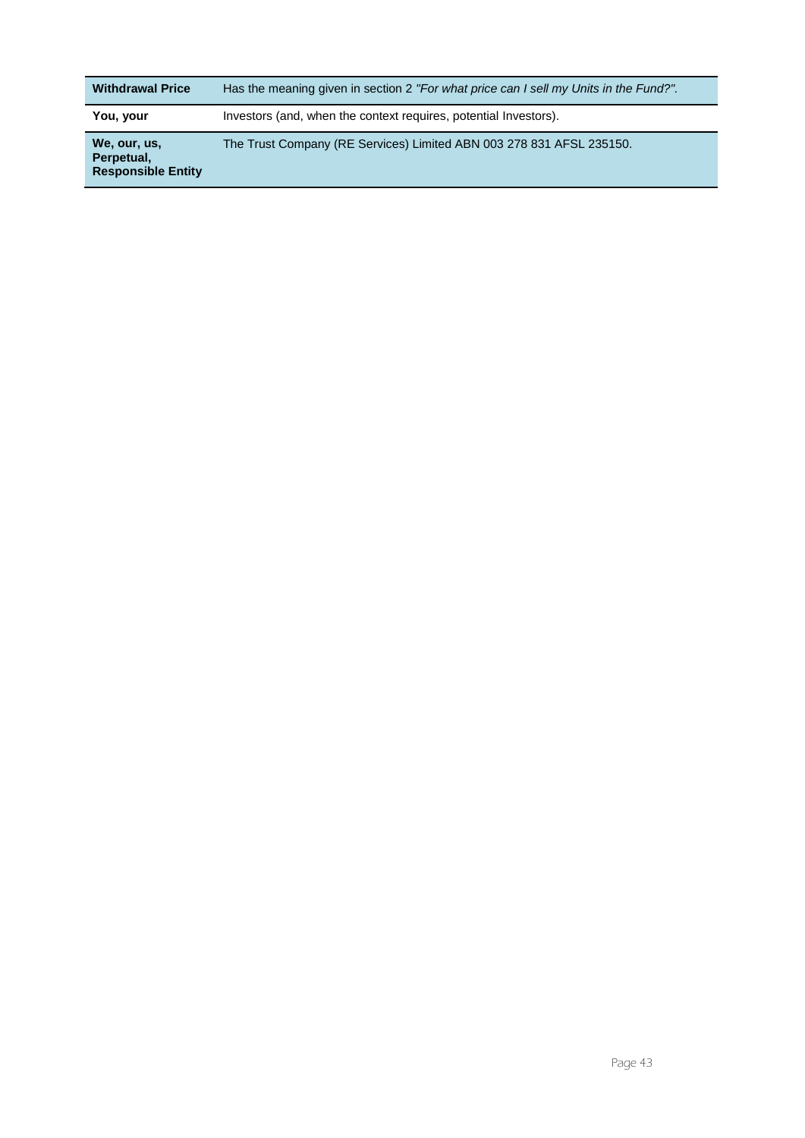| <b>Withdrawal Price</b>                                 | Has the meaning given in section 2 "For what price can I sell my Units in the Fund?". |
|---------------------------------------------------------|---------------------------------------------------------------------------------------|
| You, your                                               | Investors (and, when the context requires, potential Investors).                      |
| We, our, us,<br>Perpetual,<br><b>Responsible Entity</b> | The Trust Company (RE Services) Limited ABN 003 278 831 AFSL 235150.                  |